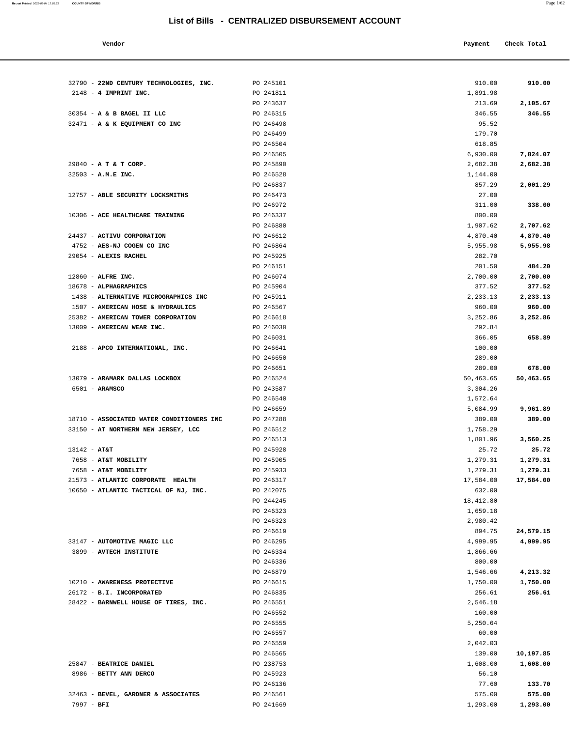| Vendor |  | Payment Check Total |
|--------|--|---------------------|
|--------|--|---------------------|

| 32790 - 22ND CENTURY TECHNOLOGIES, INC.                   | PO 245101              | 910.00                | 910.00    |
|-----------------------------------------------------------|------------------------|-----------------------|-----------|
| $2148 - 4$ IMPRINT INC.                                   | PO 241811              | 1,891.98              |           |
|                                                           | PO 243637              | 213.69                | 2,105.67  |
| 30354 - A & B BAGEL II LLC                                | PO 246315              | 346.55                | 346.55    |
| 32471 - A & K EQUIPMENT CO INC                            | PO 246498              | 95.52                 |           |
|                                                           | PO 246499              | 179.70                |           |
|                                                           | PO 246504              | 618.85                |           |
|                                                           | PO 246505              | 6,930.00              | 7,824.07  |
| 29840 - A T & T CORP.                                     | PO 245890              | 2,682.38              | 2,682.38  |
| 32503 - A.M.E INC.                                        | PO 246528              | 1,144.00              |           |
| 12757 - ABLE SECURITY LOCKSMITHS                          | PO 246837<br>PO 246473 | 857.29                | 2,001.29  |
|                                                           | PO 246972              | 27.00<br>311.00       | 338.00    |
| 10306 - ACE HEALTHCARE TRAINING                           | PO 246337              | 800.00                |           |
|                                                           | PO 246880              | 1,907.62              | 2,707.62  |
| 24437 - ACTIVU CORPORATION                                | PO 246612              | 4,870.40              | 4,870.40  |
| 4752 - AES-NJ COGEN CO INC                                | PO 246864              | 5,955.98              | 5,955.98  |
| 29054 - ALEXIS RACHEL                                     | PO 245925              | 282.70                |           |
|                                                           | PO 246151              | 201.50                | 484.20    |
| 12860 - ALFRE INC.                                        | PO 246074              | 2,700.00              | 2,700.00  |
| 18678 - ALPHAGRAPHICS                                     | PO 245904              | 377.52                | 377.52    |
| 1438 - ALTERNATIVE MICROGRAPHICS INC                      | PO 245911              | 2,233.13              | 2,233.13  |
| 1507 - AMERICAN HOSE & HYDRAULICS                         | PO 246567              | 960.00                | 960.00    |
| 25382 - AMERICAN TOWER CORPORATION                        | PO 246618              | 3,252.86              | 3,252.86  |
| 13009 - AMERICAN WEAR INC.                                | PO 246030              | 292.84                |           |
|                                                           | PO 246031              | 366.05                | 658.89    |
| 2188 - APCO INTERNATIONAL, INC.                           | PO 246641              | 100.00                |           |
|                                                           | PO 246650              | 289.00                |           |
|                                                           | PO 246651              | 289.00                | 678.00    |
| 13079 - ARAMARK DALLAS LOCKBOX                            | PO 246524              | 50,463.65             | 50,463.65 |
| 6501 - ARAMSCO                                            | PO 243587              | 3,304.26              |           |
|                                                           | PO 246540              | 1,572.64              |           |
|                                                           | PO 246659              | 5,084.99              | 9,961.89  |
| 18710 - ASSOCIATED WATER CONDITIONERS INC                 | PO 247288              | 389.00                | 389.00    |
| 33150 - AT NORTHERN NEW JERSEY, LCC                       | PO 246512              | 1,758.29              |           |
|                                                           | PO 246513              | 1,801.96              | 3,560.25  |
| $13142 - AT&T$                                            | PO 245928              | 25.72                 | 25.72     |
| 7658 - AT&T MOBILITY                                      | PO 245905<br>PO 245933 | 1,279.31              | 1,279.31  |
| 7658 - AT&T MOBILITY<br>21573 - ATLANTIC CORPORATE HEALTH | PO 246317              | 1,279.31<br>17,584.00 | 1,279.31  |
| 10650 - ATLANTIC TACTICAL OF NJ, INC.                     | PO 242075              | 632.00                | 17,584.00 |
|                                                           | PO 244245              | 18,412.80             |           |
|                                                           | PO 246323              | 1,659.18              |           |
|                                                           | PO 246323              | 2,980.42              |           |
|                                                           | PO 246619              | 894.75                | 24,579.15 |
| 33147 - AUTOMOTIVE MAGIC LLC                              | PO 246295              | 4,999.95              | 4,999.95  |
| 3899 - AVTECH INSTITUTE                                   | PO 246334              | 1,866.66              |           |
|                                                           | PO 246336              | 800.00                |           |
|                                                           | PO 246879              | 1,546.66              | 4,213.32  |
| 10210 - AWARENESS PROTECTIVE                              | PO 246615              | 1,750.00              | 1,750.00  |
| 26172 - B.I. INCORPORATED                                 | PO 246835              | 256.61                | 256.61    |
| 28422 - BARNWELL HOUSE OF TIRES, INC.                     | PO 246551              | 2,546.18              |           |
|                                                           | PO 246552              | 160.00                |           |
|                                                           | PO 246555              | 5,250.64              |           |
|                                                           | PO 246557              | 60.00                 |           |
|                                                           | PO 246559              | 2,042.03              |           |
|                                                           | PO 246565              | 139.00                | 10,197.85 |
| 25847 - BEATRICE DANIEL                                   | PO 238753              | 1,608.00              | 1,608.00  |
| 8986 - BETTY ANN DERCO                                    | PO 245923              | 56.10                 |           |
|                                                           | PO 246136              | 77.60                 | 133.70    |
| 32463 - BEVEL, GARDNER & ASSOCIATES                       | PO 246561              | 575.00                | 575.00    |
| 7997 - BFI                                                | PO 241669              | 1,293.00              | 1,293.00  |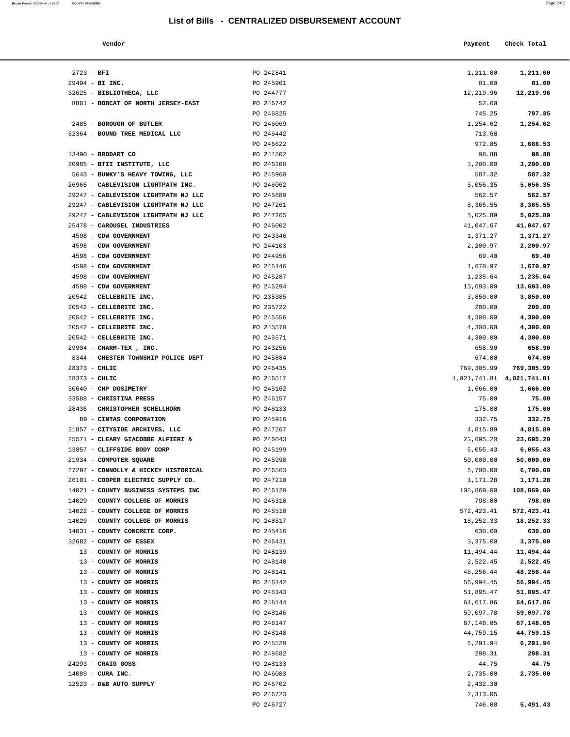| Report Printed 2022-02-04 12:01:23 | <b>COUNTY OF MORRIS</b> |  |  | Page 2/62 |
|------------------------------------|-------------------------|--|--|-----------|
|                                    |                         |  |  |           |

| Vendor |  | Payment Check Total |
|--------|--|---------------------|
|--------|--|---------------------|

| $2723 - BFI$    |                                                                      | PO 242841              | 1,211.00                  | 1,211.00            |
|-----------------|----------------------------------------------------------------------|------------------------|---------------------------|---------------------|
|                 | $29494$ - BI INC.                                                    | PO 245901              | 81.00                     | 81.00               |
|                 | 32625 - BIBLIOTHECA, LLC                                             | PO 244777              | 12,219.96                 | 12,219.96           |
|                 | 8801 - BOBCAT OF NORTH JERSEY-EAST                                   | PO 246742              | 52.60                     |                     |
|                 |                                                                      | PO 246825              | 745.25                    | 797.85              |
|                 | 2485 - BOROUGH OF BUTLER                                             | PO 246069              | 1,254.62                  | 1,254.62            |
|                 | 32364 - BOUND TREE MEDICAL LLC                                       | PO 246442              | 713.68                    |                     |
|                 |                                                                      | PO 246622              | 972.85                    | 1,686.53            |
|                 | $13490$ - BRODART CO                                                 | PO 244802              | 98.88                     | 98.88               |
|                 | 20985 - BTII INSTITUTE, LLC                                          | PO 246308              | 3,200.00                  | 3,200.00            |
|                 | 5643 - BUNKY'S HEAVY TOWING, LLC                                     | PO 245960              | 587.32                    | 587.32              |
|                 | 26965 - CABLEVISION LIGHTPATH INC.                                   | PO 246062              | 5,056.35                  | 5,056.35            |
|                 | 29247 - CABLEVISION LIGHTPATH NJ LLC                                 | PO 245889              | 562.57                    | 562.57              |
|                 | 29247 - CABLEVISION LIGHTPATH NJ LLC                                 | PO 247261              | 8,365.55                  | 8,365.55            |
|                 | 29247 - CABLEVISION LIGHTPATH NJ LLC                                 | PO 247265              | 5,025.89                  | 5,025.89            |
|                 | 25478 - CAROUSEL INDUSTRIES                                          | PO 246002              | 41,047.67                 | 41,047.67           |
|                 | 4598 - CDW GOVERNMENT                                                | PO 243346              | 1,371.27                  | 1,371.27            |
|                 | 4598 - CDW GOVERNMENT                                                | PO 244103<br>PO 244956 | 2,200.97                  | 2,200.97            |
|                 | 4598 - CDW GOVERNMENT<br>4598 - CDW GOVERNMENT                       | PO 245146              | 69.40<br>1,670.97         | 69.40<br>1,670.97   |
|                 | 4598 - CDW GOVERNMENT                                                | PO 245287              | 1,235.64                  | 1,235.64            |
|                 | 4598 - CDW GOVERNMENT                                                | PO 245294              | 13,693.00                 | 13,693.00           |
|                 | 20542 - CELLEBRITE INC.                                              | PO 235385              | 3,850.00                  | 3,850.00            |
|                 | 20542 - CELLEBRITE INC.                                              | PO 235722              | 200.00                    | 200.00              |
|                 | 20542 - CELLEBRITE INC.                                              | PO 245556              | 4,300.00                  | 4,300.00            |
|                 | 20542 - CELLEBRITE INC.                                              | PO 245570              | 4,300.00                  | 4,300.00            |
|                 | 20542 - CELLEBRITE INC.                                              | PO 245571              | 4,300.00                  | 4,300.00            |
|                 | 29904 - CHARM-TEX, INC.                                              | PO 243256              | 658.90                    | 658.90              |
|                 | 8344 - CHESTER TOWNSHIP POLICE DEPT                                  | PO 245884              | 674.00                    | 674.00              |
| $28373 - CHLIC$ |                                                                      | PO 246435              | 769,305.99                | 769,305.99          |
| $28373 - CHLIC$ |                                                                      | PO 246517              | 4,021,741.81 4,021,741.81 |                     |
|                 | 30640 - CHP DOSIMETRY                                                | PO 245162              | 1,666.00                  | 1,666.00            |
|                 | 33588 - CHRISTINA PRESS                                              | PO 246157              | 75.00                     | 75.00               |
|                 | 28436 - CHRISTOPHER SCHELLHORN                                       | PO 246133              | 175.00                    | 175.00              |
|                 | 89 - CINTAS CORPORATION                                              | PO 245916              | 332.75                    | 332.75              |
|                 | 21857 - CITYSIDE ARCHIVES, LLC                                       | PO 247267              | 4,815.89                  | 4,815.89            |
|                 | 25571 - CLEARY GIACOBBE ALFIERI &                                    | PO 246043              | 23,695.20                 | 23,695.20           |
|                 | 13857 - CLIFFSIDE BODY CORP                                          | PO 245199              | 6,055.43                  | 6,055.43            |
|                 | 21934 - COMPUTER SQUARE                                              | PO 245998              | 50,000.00                 | 50,000.00           |
|                 | 27297 - CONNOLLY & HICKEY HISTORICAL                                 | PO 246503              | 6,700.00                  | 6,700.00            |
|                 | 26101 - COOPER ELECTRIC SUPPLY CO.                                   | PO 247210              | 1,171.28                  | 1,171.28            |
|                 | 14021 - COUNTY BUSINESS SYSTEMS INC                                  | PO 246120              | 108,869.00                | 108,869.00          |
|                 | 14029 - COUNTY COLLEGE OF MORRIS                                     | PO 246310              | 798.00                    | 798.00              |
|                 | 14022 - COUNTY COLLEGE OF MORRIS<br>14029 - COUNTY COLLEGE OF MORRIS | PO 248510<br>PO 248517 | 572, 423.41               | 572,423.41          |
|                 | 14031 - COUNTY CONCRETE CORP.                                        | PO 245416              | 18,252.33<br>630.00       | 18,252.33<br>630.00 |
|                 | 32682 - COUNTY OF ESSEX                                              | PO 246431              | 3,375.00                  | 3,375.00            |
|                 | 13 - COUNTY OF MORRIS                                                | PO 248139              | 11,494.44                 | 11,494.44           |
|                 | 13 - COUNTY OF MORRIS                                                | PO 248140              | 2,522.45                  | 2,522.45            |
|                 | 13 - COUNTY OF MORRIS                                                | PO 248141              | 48,256.44                 | 48,256.44           |
|                 | 13 - COUNTY OF MORRIS                                                | PO 248142              | 56,994.45                 | 56,994.45           |
|                 | 13 - COUNTY OF MORRIS                                                | PO 248143              | 51,895.47                 | 51,895.47           |
|                 | 13 - COUNTY OF MORRIS                                                | PO 248144              | 64,617.86                 | 64,617.86           |
|                 | 13 - COUNTY OF MORRIS                                                | PO 248146              | 59,097.78                 | 59,097.78           |
|                 | 13 - COUNTY OF MORRIS                                                | PO 248147              | 67,148.05                 | 67,148.05           |
|                 | 13 - COUNTY OF MORRIS                                                | PO 248148              | 44,759.15                 | 44,759.15           |
|                 | 13 - COUNTY OF MORRIS                                                | PO 248520              | 6,291.94                  | 6,291.94            |
|                 | 13 - COUNTY OF MORRIS                                                | PO 248682              | 298.31                    | 298.31              |
|                 | 24293 - CRAIG GOSS                                                   | PO 248133              | 44.75                     | 44.75               |
|                 | 14089 - CURA INC.                                                    | PO 246083              | 2,735.00                  | 2,735.00            |
|                 | 12523 - D&B AUTO SUPPLY                                              | PO 246702              | 2,432.30                  |                     |
|                 |                                                                      | PO 246723              | 2,313.05                  |                     |
|                 |                                                                      | PO 246727              | 746.08                    | 5,491.43            |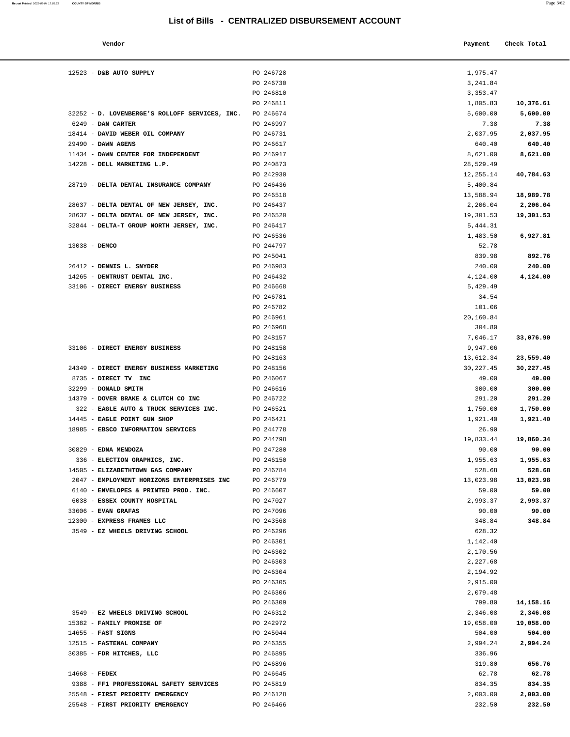12523 - **D&B AUTO SUPPLY PO 246728** 

| Vendor                                 |           | Payment    | Check Total |
|----------------------------------------|-----------|------------|-------------|
| D&B AUTO SUPPLY                        | PO 246728 | 1,975.47   |             |
|                                        | PO 246730 | 3,241.84   |             |
|                                        | PO 246810 | 3,353.47   |             |
|                                        | PO 246811 | 1,805.83   | 10,376.61   |
| D. LOVENBERGE'S ROLLOFF SERVICES, INC. | PO 246674 | 5,600.00   | 5,600.00    |
| <b>DAN CARTER</b>                      | PO 246997 | 7.38       | 7.38        |
| DAVID WEBER OIL COMPANY                | PO 246731 | 2,037.95   | 2,037.95    |
| DAWN AGENS                             | PO 246617 | 640.40     | 640.40      |
| DAWN CENTER FOR INDEPENDENT            | PO 246917 | 8,621.00   | 8,621.00    |
| DELL MARKETING L.P.                    | PO 240873 | 28,529.49  |             |
|                                        | PO 242930 | 12,255.14  | 40,784.63   |
| DELTA DENTAL INSURANCE COMPANY         | PO 246436 | 5,400.84   |             |
|                                        | PO 246518 | 13,588.94  | 18,989.78   |
| DELTA DENTAL OF NEW JERSEY, INC.       | PO 246437 | 2,206.04   | 2,206.04    |
| DELTA DENTAL OF NEW JERSEY, INC.       | PO 246520 | 19,301.53  | 19,301.53   |
| DELTA-T GROUP NORTH JERSEY, INC.       | PO 246417 | 5,444.31   |             |
|                                        | PO 246536 | 1,483.50   | 6,927.81    |
| DEMCO                                  | PO 244797 | 52.78      |             |
|                                        | PO 245041 | 839.98     | 892.76      |
| DENNIS L. SNYDER                       | PO 246983 | 240.00     | 240.00      |
| DENTRUST DENTAL INC.                   | PO 246432 | 4,124.00   | 4,124.00    |
| DIRECT ENERGY BUSINESS                 | PO 246668 | 5,429.49   |             |
|                                        | PO 246781 | 34.54      |             |
|                                        | PO 246782 | 101.06     |             |
|                                        | PO 246961 | 20,160.84  |             |
|                                        | PO 246968 | 304.80     |             |
|                                        | PO 248157 | 7,046.17   | 33,076.90   |
| <b>DIRECT ENERGY BUSINESS</b>          | PO 248158 | 9,947.06   |             |
|                                        | PO 248163 | 13,612.34  | 23,559.40   |
| DIRECT ENERGY BUSINESS MARKETING       | PO 248156 | 30, 227.45 | 30,227.45   |
| DIRECT TV INC                          | PO 246067 | 49.00      | 49.00       |
| <b>DONALD SMITH</b>                    | PO 246616 | 300.00     | 300.00      |
| DOVER BRAKE & CLUTCH CO INC            | PO 246722 | 291.20     | 291.20      |
| EAGLE AUTO & TRUCK SERVICES INC.       | PO 246521 | 1,750.00   | 1,750.00    |
| <b>EAGLE POINT GUN SHOP</b>            | PO 246421 | 1,921.40   | 1,921.40    |
| EBSCO INFORMATION SERVICES             | PO 244778 | 26.90      |             |
|                                        | PO 244798 | 19,833.44  | 19,860.34   |
| <b>EDNA MENDOZA</b>                    | PO 247280 | 90.00      | 90.00       |
| ELECTION GRAPHICS, INC.                | PO 246150 | 1,955.63   | 1,955.63    |
| ELIZABETHTOWN GAS COMPANY              | PO 246784 | 528.68     | 528.68      |
| EMPLOYMENT HORIZONS ENTERPRISES INC    | PO 246779 | 13,023.98  | 13,023.98   |
| ENVELOPES & PRINTED PROD. INC.         | PO 246607 | 59.00      | 59.00       |
| ESSEX COUNTY HOSPITAL                  | PO 247027 | 2,993.37   | 2,993.37    |
| <b>EVAN GRAFAS</b>                     | PO 247096 | 90.00      | 90.00       |
| EXPRESS FRAMES LLC                     | PO 243568 | 348.84     | 348.84      |
| EZ WHEELS DRIVING SCHOOL               | PO 246296 | 628.32     |             |
|                                        | PO 246301 | 1,142.40   |             |
|                                        | PO 246302 | 2,170.56   |             |
|                                        | PO 246303 | 2,227.68   |             |
|                                        |           |            |             |

|                                                                             | PO 246730              | 3,241.84           |                    |
|-----------------------------------------------------------------------------|------------------------|--------------------|--------------------|
|                                                                             | PO 246810              | 3, 353. 47         |                    |
|                                                                             | PO 246811              | 1,805.83           | 10,376.61          |
| 32252 - D. LOVENBERGE'S ROLLOFF SERVICES, INC.                              | PO 246674              | 5,600.00           | 5,600.00           |
| 6249 - DAN CARTER                                                           | PO 246997              | 7.38               | 7.38               |
| 18414 - DAVID WEBER OIL COMPANY                                             | PO 246731              | 2,037.95           | 2,037.95           |
| 29490 - DAWN AGENS                                                          | PO 246617              | 640.40             | 640.40             |
| 11434 - DAWN CENTER FOR INDEPENDENT                                         | PO 246917              | 8,621.00           | 8,621.00           |
| 14228 - DELL MARKETING L.P.                                                 | PO 240873              | 28,529.49          |                    |
|                                                                             | PO 242930              | 12,255.14          | 40,784.63          |
| 28719 - DELTA DENTAL INSURANCE COMPANY                                      | PO 246436              | 5,400.84           |                    |
|                                                                             | PO 246518              | 13,588.94          | 18,989.78          |
| 28637 - DELTA DENTAL OF NEW JERSEY, INC.                                    | PO 246437              | 2,206.04           | 2,206.04           |
| 28637 - DELTA DENTAL OF NEW JERSEY, INC.                                    | PO 246520              | 19,301.53          | 19,301.53          |
| 32844 - DELTA-T GROUP NORTH JERSEY, INC.                                    | PO 246417              | 5,444.31           |                    |
|                                                                             | PO 246536              | 1,483.50           | 6,927.81           |
| $13038 -$ DEMCO                                                             | PO 244797              | 52.78              |                    |
| 26412 - DENNIS L. SNYDER                                                    | PO 245041<br>PO 246983 | 839.98<br>240.00   | 892.76<br>240.00   |
| 14265 - DENTRUST DENTAL INC.                                                | PO 246432              | 4,124.00           | 4,124.00           |
| 33106 - DIRECT ENERGY BUSINESS                                              | PO 246668              | 5,429.49           |                    |
|                                                                             | PO 246781              | 34.54              |                    |
|                                                                             | PO 246782              | 101.06             |                    |
|                                                                             | PO 246961              | 20,160.84          |                    |
|                                                                             | PO 246968              | 304.80             |                    |
|                                                                             | PO 248157              | 7,046.17           | 33,076.90          |
| 33106 - DIRECT ENERGY BUSINESS                                              | PO 248158              | 9,947.06           |                    |
|                                                                             | PO 248163              | 13,612.34          | 23,559.40          |
| 24349 - DIRECT ENERGY BUSINESS MARKETING                                    | PO 248156              | 30,227.45          | 30,227.45          |
| 8735 - DIRECT TV INC                                                        | PO 246067              | 49.00              | 49.00              |
| 32299 - DONALD SMITH                                                        | PO 246616              | 300.00             | 300.00             |
| 14379 - DOVER BRAKE & CLUTCH CO INC                                         | PO 246722              | 291.20             | 291.20             |
| 322 - EAGLE AUTO & TRUCK SERVICES INC.                                      | PO 246521              | 1,750.00           | 1,750.00           |
| 14445 - EAGLE POINT GUN SHOP                                                | PO 246421              | 1,921.40           | 1,921.40           |
| 18985 - EBSCO INFORMATION SERVICES                                          | PO 244778              | 26.90              |                    |
|                                                                             | PO 244798              | 19,833.44          | 19,860.34          |
| 30829 - EDNA MENDOZA                                                        | PO 247280              | 90.00              | 90.00              |
| 336 - ELECTION GRAPHICS, INC.                                               | PO 246150              | 1,955.63           | 1,955.63           |
| 14505 - ELIZABETHTOWN GAS COMPANY                                           | PO 246784              | 528.68             | 528.68             |
| 2047 - EMPLOYMENT HORIZONS ENTERPRISES INC                                  | PO 246779              | 13,023.98          | 13,023.98          |
| 6140 - ENVELOPES & PRINTED PROD. INC.                                       | PO 246607              | 59.00              | 59.00              |
| 6038 - ESSEX COUNTY HOSPITAL                                                | PO 247027              | 2,993.37           | 2,993.37           |
| 33606 - EVAN GRAFAS                                                         | PO 247096              | 90.00              | 90.00              |
| 12300 - EXPRESS FRAMES LLC                                                  | PO 243568              | 348.84             | 348.84             |
| 3549 - EZ WHEELS DRIVING SCHOOL                                             | PO 246296              | 628.32             |                    |
|                                                                             | PO 246301              | 1,142.40           |                    |
|                                                                             | PO 246302              | 2,170.56           |                    |
|                                                                             | PO 246303              | 2,227.68           |                    |
|                                                                             | PO 246304              | 2,194.92           |                    |
|                                                                             | PO 246305              | 2,915.00           |                    |
|                                                                             | PO 246306              | 2,079.48           |                    |
|                                                                             | PO 246309              | 799.80             | 14,158.16          |
| 3549 - EZ WHEELS DRIVING SCHOOL                                             | PO 246312              | 2,346.08           | 2,346.08           |
| 15382 - FAMILY PROMISE OF                                                   | PO 242972              | 19,058.00          | 19,058.00          |
| $14655$ - FAST SIGNS                                                        | PO 245044              | 504.00             | 504.00             |
| 12515 - FASTENAL COMPANY                                                    | PO 246355              | 2,994.24           | 2,994.24           |
| 30385 - FDR HITCHES, LLC                                                    | PO 246895              | 336.96             |                    |
|                                                                             | PO 246896              | 319.80             | 656.76             |
| $14668$ - FEDEX                                                             | PO 246645              | 62.78              | 62.78              |
| 9388 - FF1 PROFESSIONAL SAFETY SERVICES<br>25548 - FIRST PRIORITY EMERGENCY | PO 245819              | 834.35             | 834.35             |
| 25548 - FIRST PRIORITY EMERGENCY                                            | PO 246128<br>PO 246466 | 2,003.00<br>232.50 | 2,003.00<br>232.50 |
|                                                                             |                        |                    |                    |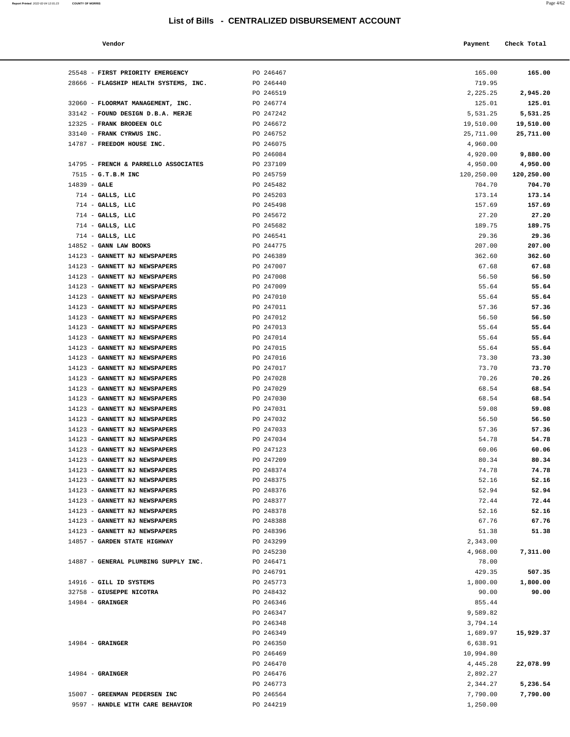#### **Vendor Payment** Check Total **Payment** Check Total **Payment**

| Report Printed 2022-02-04 12:01:23 COUNTY OF MORRIS |  |  | Page $4/62$ |
|-----------------------------------------------------|--|--|-------------|
|                                                     |  |  |             |

| 25548 - FIRST PRIORITY EMERGENCY      | PO 246467              | 165.00               | 165.00               |
|---------------------------------------|------------------------|----------------------|----------------------|
| 28666 - FLAGSHIP HEALTH SYSTEMS, INC. | PO 246440              | 719.95               |                      |
|                                       | PO 246519              | 2,225.25             | 2,945.20             |
| 32060 - FLOORMAT MANAGEMENT, INC.     | PO 246774              | 125.01               | 125.01               |
| 33142 - FOUND DESIGN D.B.A. MERJE     | PO 247242              | 5,531.25             | 5,531.25             |
| 12325 - FRANK BRODEEN OLC             | PO 246672              | 19,510.00            | 19,510.00            |
| 33140 - FRANK CYRWUS INC.             | PO 246752              | 25,711.00            | 25,711.00            |
| 14787 - FREEDOM HOUSE INC.            | PO 246075<br>PO 246084 | 4,960.00             |                      |
| 14795 - FRENCH & PARRELLO ASSOCIATES  | PO 237109              | 4,920.00<br>4,950.00 | 9,880.00<br>4,950.00 |
| 7515 - G.T.B.M INC                    | PO 245759              |                      | 120,250.00           |
|                                       |                        | 120,250.00           |                      |
| $14839 - GALE$                        | PO 245482              | 704.70<br>173.14     | 704.70<br>173.14     |
| $714$ - GALLS, LLC                    | PO 245203              |                      |                      |
| $714$ - GALLS, LLC                    | PO 245498              | 157.69               | 157.69               |
| 714 - GALLS, LLC                      | PO 245672              | 27.20                | 27.20                |
| $714$ - GALLS, LLC                    | PO 245682              | 189.75               | 189.75               |
| $714$ - GALLS, LLC                    | PO 246541              | 29.36                | 29.36                |
| $14852$ - GANN LAW BOOKS              | PO 244775              | 207.00               | 207.00               |
| 14123 - GANNETT NJ NEWSPAPERS         | PO 246389              | 362.60               | 362.60               |
| 14123 - GANNETT NJ NEWSPAPERS         | PO 247007              | 67.68                | 67.68                |
| 14123 - GANNETT NJ NEWSPAPERS         | PO 247008              | 56.50                | 56.50                |
| 14123 - GANNETT NJ NEWSPAPERS         | PO 247009              | 55.64                | 55.64                |
| 14123 - GANNETT NJ NEWSPAPERS         | PO 247010              | 55.64                | 55.64                |
| 14123 - GANNETT NJ NEWSPAPERS         | PO 247011              | 57.36                | 57.36                |
| 14123 - GANNETT NJ NEWSPAPERS         | PO 247012              | 56.50                | 56.50                |
| 14123 - GANNETT NJ NEWSPAPERS         | PO 247013              | 55.64                | 55.64                |
| 14123 - GANNETT NJ NEWSPAPERS         | PO 247014              | 55.64                | 55.64                |
| 14123 - GANNETT NJ NEWSPAPERS         | PO 247015              | 55.64                | 55.64                |
| 14123 - GANNETT NJ NEWSPAPERS         | PO 247016              | 73.30                | 73.30                |
| 14123 - GANNETT NJ NEWSPAPERS         | PO 247017              | 73.70                | 73.70                |
| 14123 - GANNETT NJ NEWSPAPERS         | PO 247028              | 70.26                | 70.26                |
| 14123 - GANNETT NJ NEWSPAPERS         | PO 247029              | 68.54                | 68.54                |
| 14123 - GANNETT NJ NEWSPAPERS         | PO 247030              | 68.54                | 68.54                |
| 14123 - GANNETT NJ NEWSPAPERS         | PO 247031              | 59.08                | 59.08                |
| 14123 - GANNETT NJ NEWSPAPERS         | PO 247032              | 56.50                | 56.50                |
| 14123 - GANNETT NJ NEWSPAPERS         | PO 247033              | 57.36                | 57.36                |
| 14123 - GANNETT NJ NEWSPAPERS         | PO 247034              | 54.78                | 54.78                |
| 14123 - GANNETT NJ NEWSPAPERS         | PO 247123              | 60.06                | 60.06                |
| 14123 - GANNETT NJ NEWSPAPERS         | PO 247209              | 80.34                | 80.34                |
| 14123 - GANNETT NJ NEWSPAPERS         | PO 248374              | 74.78                | 74.78                |
| 14123 - GANNETT NJ NEWSPAPERS         | PO 248375              | 52.16                | 52.16                |
| 14123 - GANNETT NJ NEWSPAPERS         | PO 248376              | 52.94                | 52.94                |
| 14123 - GANNETT NJ NEWSPAPERS         | PO 248377              | 72.44                | 72.44                |
| 14123 - GANNETT NJ NEWSPAPERS         | PO 248378              | 52.16                | 52.16                |
| 14123 - GANNETT NJ NEWSPAPERS         | PO 248388              | 67.76                | 67.76                |
| 14123 - GANNETT NJ NEWSPAPERS         | PO 248396              | 51.38                | 51.38                |
| 14857 - GARDEN STATE HIGHWAY          | PO 243299              | 2,343.00             |                      |
|                                       | PO 245230              | 4,968.00             | 7,311.00             |
| 14887 - GENERAL PLUMBING SUPPLY INC.  | PO 246471              | 78.00                |                      |
|                                       | PO 246791              | 429.35               | 507.35               |
| 14916 - GILL ID SYSTEMS               | PO 245773              | 1,800.00             | 1,800.00             |
| 32758 - GIUSEPPE NICOTRA              | PO 248432              | 90.00                | 90.00                |
| $14984$ - GRAINGER                    | PO 246346              | 855.44               |                      |
|                                       | PO 246347              | 9,589.82             |                      |
|                                       | PO 246348              | 3,794.14             |                      |
|                                       | PO 246349              | 1,689.97             | 15,929.37            |
| $14984$ - GRAINGER                    | PO 246350              | 6,638.91             |                      |
|                                       | PO 246469              | 10,994.80            |                      |
|                                       | PO 246470              | 4,445.28             | 22,078.99            |
| $14984$ - GRAINGER                    | PO 246476              | 2,892.27             |                      |
|                                       | PO 246773              | 2,344.27             | 5,236.54             |
| 15007 - GREENMAN PEDERSEN INC         | PO 246564              | 7,790.00             | 7,790.00             |
| 9597 - HANDLE WITH CARE BEHAVIOR      | PO 244219              | 1,250.00             |                      |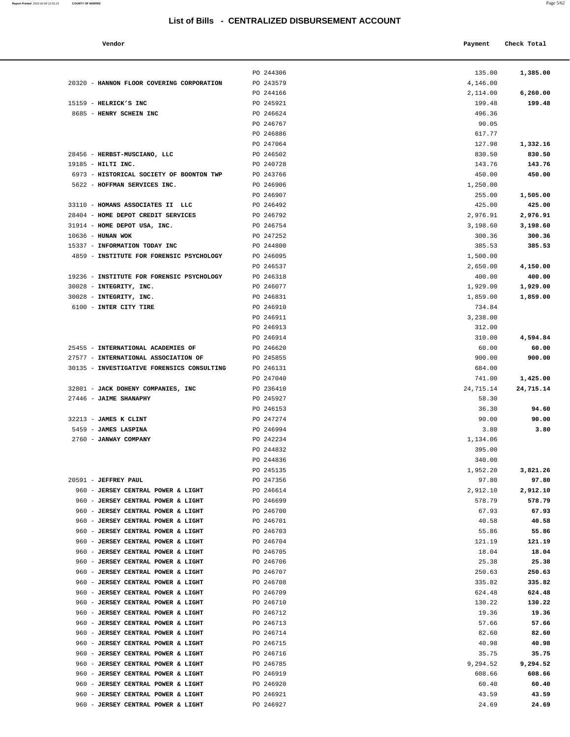#### **Vendor Check Total Payment Check Total**

**Report Printed** 2022-02-04 12:01:23 **COUNTY OF MORRIS** 

| 2,114.00  | 6,260.00  |
|-----------|-----------|
| 199.48    | 199.48    |
| 496.36    |           |
| 90.05     |           |
| 617.77    |           |
| 127.98    | 1,332.16  |
| 830.50    | 830.50    |
| 143.76    | 143.76    |
| 450.00    | 450.00    |
| 1,250.00  |           |
| 255.00    | 1,505.00  |
| 425.00    | 425.00    |
| 2,976.91  | 2,976.91  |
| 3,198.60  | 3,198.60  |
| 300.36    | 300.36    |
| 385.53    | 385.53    |
| 1,500.00  |           |
| 2,650.00  | 4,150.00  |
| 400.00    | 400.00    |
| 1,929.00  | 1,929.00  |
| 1,859.00  | 1,859.00  |
| 734.84    |           |
| 3,238.00  |           |
| 312.00    |           |
| 310.00    | 4,594.84  |
| 60.00     | 60.00     |
| 900.00    | 900.00    |
| 684.00    |           |
| 741.00    | 1,425.00  |
| 24,715.14 | 24,715.14 |
| 58.30     |           |
| 36.30     | 94.60     |
| 90.00     | 90.00     |
| 3.80      | 3.80      |
| 1,134.06  |           |
| 395.00    |           |
| 340.00    |           |
| 1,952.20  | 3,821.26  |
| 97.80     | 97.80     |
| 2,912.10  | 2,912.10  |
| 578.79    | 578.79    |
| 67.93     | 67.93     |
| 40.58     | 40.58     |
| 55.86     | 55.86     |
| 121.19    | 121.19    |
| 18.04     | 18.04     |
| 25.38     | 25.38     |
| 250.63    | 250.63    |
| 335.82    | 335.82    |
| 624.48    | 624.48    |
| 130.22    | 130.22    |
| 19.36     | 19.36     |
| 57.66     | 57.66     |
| 82.60     | 82.60     |
| 40.98     | 40.98     |
| 35.75     | 35.75     |
| 9,294.52  | 9,294.52  |
| 608.66    | 608.66    |
| 60.40     | 60.40     |
| 43.59     | 43.59     |
| 24.69     | 24.69     |
|           |           |
|           |           |

|                                                                                    | PO 244306              | 135.00             | 1,385.00           |
|------------------------------------------------------------------------------------|------------------------|--------------------|--------------------|
| 20320 - HANNON FLOOR COVERING CORPORATION                                          | PO 243579              | 4,146.00           |                    |
|                                                                                    | PO 244166              | 2,114.00           | 6,260.00           |
| 15159 - HELRICK'S INC                                                              | PO 245921              | 199.48             | 199.48             |
| 8685 - HENRY SCHEIN INC                                                            | PO 246624              | 496.36             |                    |
|                                                                                    | PO 246767              | 90.05              |                    |
|                                                                                    | PO 246886              | 617.77             |                    |
|                                                                                    | PO 247064              | 127.98             | 1,332.16           |
| 28456 - HERBST-MUSCIANO, LLC                                                       | PO 246502              | 830.50             | 830.50             |
| 19185 - HILTI INC.                                                                 | PO 240728              | 143.76             | 143.76             |
| 6973 - HISTORICAL SOCIETY OF BOONTON TWP                                           | PO 243766              | 450.00             | 450.00             |
| 5622 - HOFFMAN SERVICES INC.                                                       | PO 246906              | 1,250.00           |                    |
|                                                                                    | PO 246907              | 255.00             | 1,505.00           |
| 33110 - HOMANS ASSOCIATES II LLC<br>28404 - HOME DEPOT CREDIT SERVICES             | PO 246492<br>PO 246792 | 425.00<br>2,976.91 | 425.00<br>2,976.91 |
| 31914 - HOME DEPOT USA, INC.                                                       | PO 246754              | 3,198.60           | 3,198.60           |
| $10636$ - HUNAN WOK                                                                | PO 247252              | 300.36             | 300.36             |
| 15337 - INFORMATION TODAY INC                                                      | PO 244800              | 385.53             | 385.53             |
| 4859 - INSTITUTE FOR FORENSIC PSYCHOLOGY                                           | PO 246095              | 1,500.00           |                    |
|                                                                                    | PO 246537              | 2,650.00           | 4,150.00           |
| 19236 - INSTITUTE FOR FORENSIC PSYCHOLOGY                                          | PO 246318              | 400.00             | 400.00             |
| 30028 - INTEGRITY, INC.                                                            | PO 246077              | 1,929.00           | 1,929.00           |
| 30028 - INTEGRITY, INC.                                                            | PO 246831              | 1,859.00           | 1,859.00           |
| 6100 - INTER CITY TIRE                                                             | PO 246910              | 734.84             |                    |
|                                                                                    | PO 246911              | 3,238.00           |                    |
|                                                                                    | PO 246913              | 312.00             |                    |
|                                                                                    | PO 246914              | 310.00             | 4,594.84           |
| 25455 - INTERNATIONAL ACADEMIES OF                                                 | PO 246620              | 60.00              | 60.00              |
| 27577 - INTERNATIONAL ASSOCIATION OF<br>30135 - INVESTIGATIVE FORENSICS CONSULTING | PO 245855<br>PO 246131 | 900.00<br>684.00   | 900.00             |
|                                                                                    | PO 247040              | 741.00             | 1,425.00           |
| 32801 - JACK DOHENY COMPANIES, INC                                                 | PO 236410              | 24,715.14          | 24,715.14          |
| 27446 - JAIME SHANAPHY                                                             | PO 245927              | 58.30              |                    |
|                                                                                    | PO 246153              | 36.30              | 94.60              |
| 32213 - JAMES K CLINT                                                              | PO 247274              | 90.00              | 90.00              |
| 5459 - JAMES LASPINA                                                               | PO 246994              | 3.80               | 3.80               |
| 2760 - JANWAY COMPANY                                                              | PO 242234              | 1,134.06           |                    |
|                                                                                    | PO 244832              | 395.00             |                    |
|                                                                                    | PO 244836              | 340.00             |                    |
|                                                                                    | PO 245135              | 1,952.20           | 3,821.26           |
| 20591 - JEFFREY PAUL                                                               | PO 247356              | 97.80              | 97.80              |
| 960 - JERSEY CENTRAL POWER & LIGHT                                                 | PO 246614              | 2,912.10           | 2,912.10           |
| 960 - JERSEY CENTRAL POWER & LIGHT                                                 | PO 246699              | 578.79             | 578.79<br>67.93    |
| 960 - JERSEY CENTRAL POWER & LIGHT<br>960 - JERSEY CENTRAL POWER & LIGHT           | PO 246700<br>PO 246701 | 67.93<br>40.58     | 40.58              |
| 960 - JERSEY CENTRAL POWER & LIGHT                                                 | PO 246703              | 55.86              | 55.86              |
| 960 - JERSEY CENTRAL POWER & LIGHT                                                 | PO 246704              | 121.19             | 121.19             |
| 960 - JERSEY CENTRAL POWER & LIGHT                                                 | PO 246705              | 18.04              | 18.04              |
| 960 - JERSEY CENTRAL POWER & LIGHT                                                 | PO 246706              | 25.38              | 25.38              |
| 960 - JERSEY CENTRAL POWER & LIGHT                                                 | PO 246707              | 250.63             | 250.63             |
| 960 - JERSEY CENTRAL POWER & LIGHT                                                 | PO 246708              | 335.82             | 335.82             |
| 960 - JERSEY CENTRAL POWER & LIGHT                                                 | PO 246709              | 624.48             | 624.48             |
| 960 - JERSEY CENTRAL POWER & LIGHT                                                 | PO 246710              | 130.22             | 130.22             |
| 960 - JERSEY CENTRAL POWER & LIGHT                                                 | PO 246712              | 19.36              | 19.36              |
| 960 - JERSEY CENTRAL POWER & LIGHT                                                 | PO 246713              | 57.66              | 57.66              |
| 960 - JERSEY CENTRAL POWER & LIGHT                                                 | PO 246714              | 82.60              | 82.60              |
| 960 - JERSEY CENTRAL POWER & LIGHT<br>960 - JERSEY CENTRAL POWER & LIGHT           | PO 246715<br>PO 246716 | 40.98<br>35.75     | 40.98<br>35.75     |
| 960 - JERSEY CENTRAL POWER & LIGHT                                                 | PO 246785              | 9,294.52           | 9,294.52           |
| 960 - JERSEY CENTRAL POWER & LIGHT                                                 | PO 246919              | 608.66             | 608.66             |
| 960 - JERSEY CENTRAL POWER & LIGHT                                                 | PO 246920              | 60.40              | 60.40              |
| 960 - JERSEY CENTRAL POWER & LIGHT                                                 | PO 246921              | 43.59              | 43.59              |
|                                                                                    |                        |                    |                    |

960 - **JERSEY CENTRAL POWER & LIGHT** PO 246927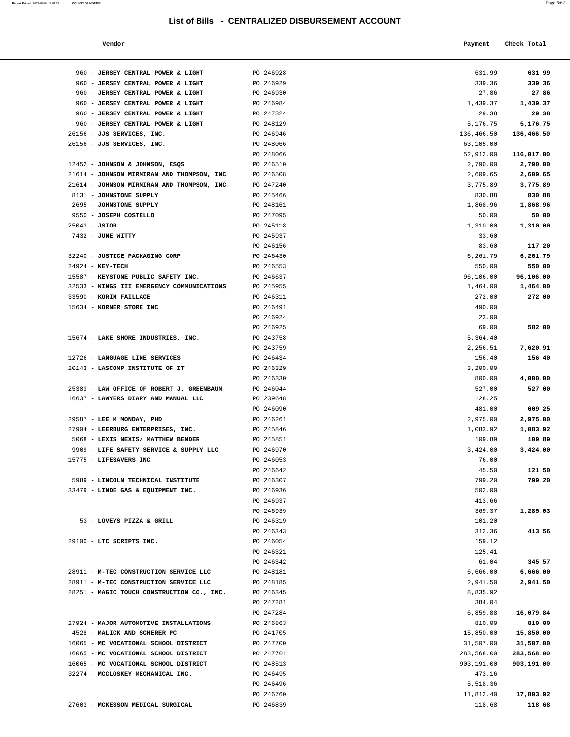| Report Printed 2022-02-04 12:01:23 | <b>COUNTY OF MORRIS</b> |  |  |  | Page 6/62 |
|------------------------------------|-------------------------|--|--|--|-----------|
|                                    |                         |  |  |  |           |
|                                    |                         |  |  |  |           |

| Vendor |  | Payment Check Total |
|--------|--|---------------------|
|--------|--|---------------------|

|                  | 960 - JERSEY CENTRAL POWER & LIGHT                 | PO 246928              | 631.99             | 631.99             |
|------------------|----------------------------------------------------|------------------------|--------------------|--------------------|
|                  | 960 - JERSEY CENTRAL POWER & LIGHT                 | PO 246929              | 339.36             | 339.36             |
|                  | 960 - JERSEY CENTRAL POWER & LIGHT                 | PO 246930              | 27.86              | 27.86              |
|                  | 960 - JERSEY CENTRAL POWER & LIGHT                 | PO 246984              | 1,439.37           | 1,439.37           |
|                  | 960 - JERSEY CENTRAL POWER & LIGHT                 | PO 247324              | 29.38              | 29.38              |
|                  | 960 - JERSEY CENTRAL POWER & LIGHT                 | PO 248129              | 5,176.75           | 5,176.75           |
|                  | 26156 - JJS SERVICES, INC.                         | PO 246946              | 136,466.50         | 136,466.50         |
|                  | 26156 - JJS SERVICES, INC.                         | PO 248066              | 63,105.00          |                    |
|                  |                                                    | PO 248066              | 52,912.00          | 116,017.00         |
|                  | 12452 - JOHNSON & JOHNSON, ESQS                    | PO 246510              | 2,790.00           | 2,790.00           |
|                  | 21614 - JOHNSON MIRMIRAN AND THOMPSON, INC.        | PO 246508              | 2,609.65           | 2,609.65           |
|                  | 21614 - JOHNSON MIRMIRAN AND THOMPSON, INC.        | PO 247240              | 3,775.89           | 3,775.89           |
|                  | 8131 - JOHNSTONE SUPPLY<br>2695 - JOHNSTONE SUPPLY | PO 245466<br>PO 248161 | 830.88<br>1,868.96 | 830.88<br>1,868.96 |
|                  | 9550 - JOSEPH COSTELLO                             | PO 247095              | 50.00              | 50.00              |
| $25043 - JSTOR$  |                                                    | PO 245118              | 1,310.00           | 1,310.00           |
|                  | 7432 - JUNE WITTY                                  | PO 245937              | 33.60              |                    |
|                  |                                                    | PO 246156              | 83.60              | 117.20             |
|                  | 32240 - JUSTICE PACKAGING CORP                     | PO 246430              | 6,261.79           | 6,261.79           |
| 24924 - KEY-TECH |                                                    | PO 246553              | 550.00             | 550.00             |
|                  | 15587 - KEYSTONE PUBLIC SAFETY INC.                | PO 246637              | 96,106.00          | 96,106.00          |
|                  | 32533 - KINGS III EMERGENCY COMMUNICATIONS         | PO 245955              | 1,464.00           | 1,464.00           |
|                  | 33590 - KORIN FAILLACE                             | PO 246311              | 272.00             | 272.00             |
|                  | 15634 - KORNER STORE INC                           | PO 246491              | 490.00             |                    |
|                  |                                                    | PO 246924              | 23.00              |                    |
|                  |                                                    | PO 246925              | 69.00              | 582.00             |
|                  | 15674 - LAKE SHORE INDUSTRIES, INC.                | PO 243758              | 5,364.40           |                    |
|                  |                                                    | PO 243759              | 2,256.51           | 7,620.91           |
|                  | 12726 - LANGUAGE LINE SERVICES                     | PO 246434              | 156.40             | 156.40             |
|                  | 20143 - LASCOMP INSTITUTE OF IT                    | PO 246329<br>PO 246330 | 3,200.00<br>800.00 | 4,000.00           |
|                  | 25383 - LAW OFFICE OF ROBERT J. GREENBAUM          | PO 246044              | 527.00             | 527.00             |
|                  | 16637 - LAWYERS DIARY AND MANUAL LLC               | PO 239648              | 128.25             |                    |
|                  |                                                    | PO 246090              | 481.00             | 609.25             |
|                  | 29587 - LEE M MONDAY, PHD                          | PO 246261              | 2,975.00           | 2,975.00           |
|                  | 27904 - LEERBURG ENTERPRISES, INC.                 | PO 245846              | 1,083.92           | 1,083.92           |
|                  | 5068 - LEXIS NEXIS/ MATTHEW BENDER                 | PO 245851              | 109.89             | 109.89             |
|                  | 9909 - LIFE SAFETY SERVICE & SUPPLY LLC            | PO 246970              | 3,424.00           | 3,424.00           |
|                  | 15775 - LIFESAVERS INC                             | PO 246053              | 76.00              |                    |
|                  |                                                    | PO 246642              | 45.50              | 121.50             |
|                  | 5989 - LINCOLN TECHNICAL INSTITUTE                 | PO 246307              | 799.20             | 799.20             |
|                  | 33479 - LINDE GAS & EQUIPMENT INC.                 | PO 246936              | 502.00             |                    |
|                  |                                                    | PO 246937              | 413.66             |                    |
|                  | 53 - LOVEYS PIZZA & GRILL                          | PO 246939              | 369.37             | 1,285.03           |
|                  |                                                    | PO 246319<br>PO 246343 | 101.20<br>312.36   | 413.56             |
|                  | 29100 - LTC SCRIPTS INC.                           | PO 246054              | 159.12             |                    |
|                  |                                                    | PO 246321              | 125.41             |                    |
|                  |                                                    | PO 246342              | 61.04              | 345.57             |
|                  | 28911 - M-TEC CONSTRUCTION SERVICE LLC             | PO 248181              | 6,666.00           | 6,666.00           |
|                  | 28911 - M-TEC CONSTRUCTION SERVICE LLC             | PO 248185              | 2,941.50           | 2,941.50           |
|                  | 28251 - MAGIC TOUCH CONSTRUCTION CO., INC.         | PO 246345              | 8,835.92           |                    |
|                  |                                                    | PO 247281              | 384.04             |                    |
|                  |                                                    | PO 247284              | 6,859.88           | 16,079.84          |
|                  | 27924 - MAJOR AUTOMOTIVE INSTALLATIONS             | PO 246863              | 810.00             | 810.00             |
|                  | 4528 - MALICK AND SCHERER PC                       | PO 241705              | 15,850.00          | 15,850.00          |
|                  | 16065 - MC VOCATIONAL SCHOOL DISTRICT              | PO 247700              | 31,507.00          | 31,507.00          |
|                  | 16065 - MC VOCATIONAL SCHOOL DISTRICT              | PO 247701              | 283,568.00         | 283,568.00         |
|                  | 16065 - MC VOCATIONAL SCHOOL DISTRICT              | PO 248513              | 903,191.00         | 903,191.00         |
|                  | 32274 - MCCLOSKEY MECHANICAL INC.                  | PO 246495<br>PO 246496 | 473.16<br>5,518.36 |                    |
|                  |                                                    | PO 246760              | 11,812.40          | 17,803.92          |
|                  | 27603 - MCKESSON MEDICAL SURGICAL                  | PO 246839              | 118.68             | 118.68             |
|                  |                                                    |                        |                    |                    |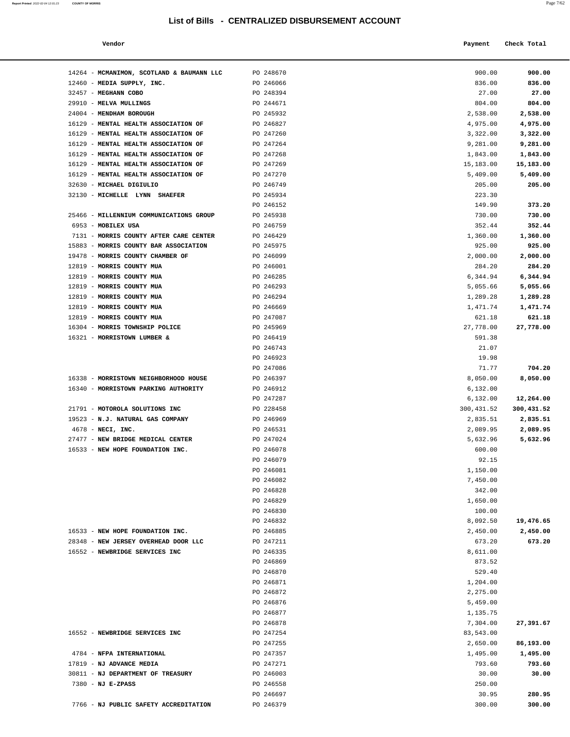#### **Vendor Payment Check Total**   $\blacksquare$  Payment Check Total **Payment** Check Total **Payment**

| 14264 - MCMANIMON, SCOTLAND & BAUMANN LLC                                       | PO 248670              | 900.00             | 900.00             |
|---------------------------------------------------------------------------------|------------------------|--------------------|--------------------|
| 12460 - MEDIA SUPPLY, INC.                                                      | PO 246066              | 836.00             | 836.00             |
| 32457 - MEGHANN COBO                                                            | PO 248394              | 27.00              | 27.00              |
| 29910 - MELVA MULLINGS                                                          | PO 244671              | 804.00             | 804.00             |
| 24004 - MENDHAM BOROUGH                                                         | PO 245932              | 2,538.00           | 2,538.00           |
| 16129 - MENTAL HEALTH ASSOCIATION OF                                            | PO 246827              | 4,975.00           | 4,975.00           |
| 16129 - MENTAL HEALTH ASSOCIATION OF                                            | PO 247260              | 3,322.00           | 3,322.00           |
| 16129 - MENTAL HEALTH ASSOCIATION OF                                            | PO 247264              | 9,281.00           | 9,281.00           |
| 16129 - MENTAL HEALTH ASSOCIATION OF                                            | PO 247268              | 1,843.00           | 1,843.00           |
| 16129 - MENTAL HEALTH ASSOCIATION OF                                            | PO 247269              | 15,183.00          | 15,183.00          |
| 16129 - MENTAL HEALTH ASSOCIATION OF                                            | PO 247270              | 5,409.00           | 5,409.00           |
| 32630 - MICHAEL DIGIULIO                                                        | PO 246749              | 205.00             | 205.00             |
| 32130 - MICHELLE LYNN SHAEFER                                                   | PO 245934              | 223.30             |                    |
|                                                                                 | PO 246152              | 149.90             | 373.20             |
| 25466 - MILLENNIUM COMMUNICATIONS GROUP                                         | PO 245938              | 730.00             | 730.00             |
| 6953 - MOBILEX USA                                                              | PO 246759              | 352.44             | 352.44             |
| 7131 - MORRIS COUNTY AFTER CARE CENTER<br>15883 - MORRIS COUNTY BAR ASSOCIATION | PO 246429              | 1,360.00           | 1,360.00           |
| 19478 - MORRIS COUNTY CHAMBER OF                                                | PO 245975<br>PO 246099 | 925.00             | 925.00<br>2,000.00 |
| 12819 - MORRIS COUNTY MUA                                                       | PO 246001              | 2,000.00<br>284.20 | 284.20             |
| 12819 - MORRIS COUNTY MUA                                                       | PO 246285              | 6,344.94           | 6,344.94           |
| 12819 - MORRIS COUNTY MUA                                                       | PO 246293              | 5,055.66           | 5,055.66           |
| 12819 - MORRIS COUNTY MUA                                                       | PO 246294              | 1,289.28           | 1,289.28           |
| 12819 - MORRIS COUNTY MUA                                                       | PO 246669              | 1,471.74           | 1,471.74           |
| 12819 - MORRIS COUNTY MUA                                                       | PO 247087              | 621.18             | 621.18             |
| 16304 - MORRIS TOWNSHIP POLICE                                                  | PO 245969              | 27,778.00          | 27,778.00          |
| 16321 - MORRISTOWN LUMBER &                                                     | PO 246419              | 591.38             |                    |
|                                                                                 | PO 246743              | 21.07              |                    |
|                                                                                 | PO 246923              | 19.98              |                    |
|                                                                                 | PO 247086              | 71.77              | 704.20             |
| 16338 - MORRISTOWN NEIGHBORHOOD HOUSE                                           | PO 246397              | 8,050.00           | 8,050.00           |
| 16340 - MORRISTOWN PARKING AUTHORITY                                            | PO 246912              | 6,132.00           |                    |
|                                                                                 | PO 247287              | 6,132.00           | 12,264.00          |
| 21791 - MOTOROLA SOLUTIONS INC                                                  | PO 228458              | 300,431.52         | 300,431.52         |
| 19523 - N.J. NATURAL GAS COMPANY                                                | PO 246969              | 2,835.51           | 2,835.51           |
| $4678$ - NECI, INC.                                                             | PO 246531              | 2,089.95           | 2,089.95           |
| 27477 - NEW BRIDGE MEDICAL CENTER                                               | PO 247024              | 5,632.96           | 5,632.96           |
| 16533 - NEW HOPE FOUNDATION INC.                                                | PO 246078              | 600.00             |                    |
|                                                                                 | PO 246079              | 92.15              |                    |
|                                                                                 | PO 246081              | 1,150.00           |                    |
|                                                                                 | PO 246082<br>PO 246828 | 7,450.00<br>342.00 |                    |
|                                                                                 | PO 246829              | 1,650.00           |                    |
|                                                                                 | PO 246830              | 100.00             |                    |
|                                                                                 | PO 246832              | 8,092.50           | 19,476.65          |
| 16533 - NEW HOPE FOUNDATION INC.                                                | PO 246885              | 2,450.00           | 2,450.00           |
| 28348 - NEW JERSEY OVERHEAD DOOR LLC                                            | PO 247211              | 673.20             | 673.20             |
| 16552 - NEWBRIDGE SERVICES INC                                                  | PO 246335              | 8,611.00           |                    |
|                                                                                 | PO 246869              | 873.52             |                    |
|                                                                                 | PO 246870              | 529.40             |                    |
|                                                                                 | PO 246871              | 1,204.00           |                    |
|                                                                                 | PO 246872              | 2,275.00           |                    |
|                                                                                 | PO 246876              | 5,459.00           |                    |
|                                                                                 | PO 246877              | 1,135.75           |                    |
|                                                                                 | PO 246878              | 7,304.00           | 27,391.67          |
| 16552 - NEWBRIDGE SERVICES INC                                                  | PO 247254              | 83,543.00          |                    |
|                                                                                 | PO 247255              | 2,650.00           | 86,193.00          |
| 4784 - NFPA INTERNATIONAL                                                       | PO 247357              | 1,495.00           | 1,495.00           |
| 17819 - NJ ADVANCE MEDIA                                                        | PO 247271              | 793.60             | 793.60             |
| 30811 - NJ DEPARTMENT OF TREASURY<br>7380 - NJ E-ZPASS                          | PO 246003              | 30.00              | 30.00              |
|                                                                                 | PO 246558<br>PO 246697 | 250.00<br>30.95    | 280.95             |
| 7766 - NJ PUBLIC SAFETY ACCREDITATION                                           | PO 246379              | 300.00             | 300.00             |
|                                                                                 |                        |                    |                    |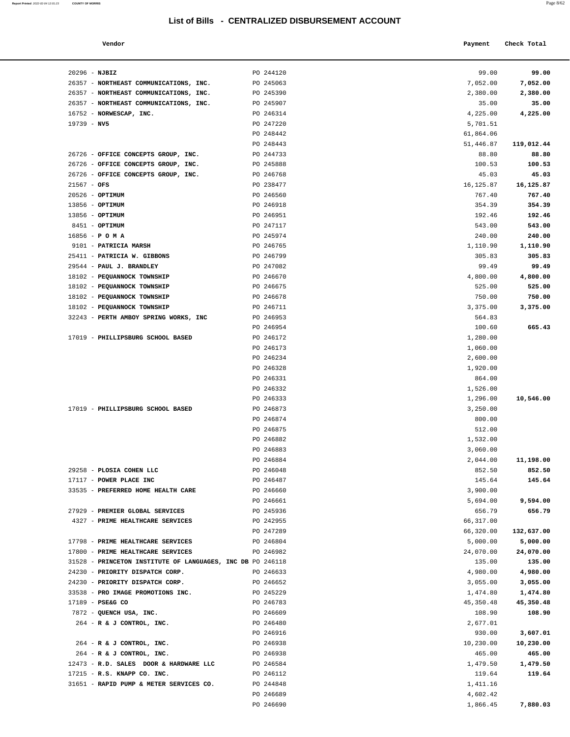**Report Printed** 2022-02-04 12:01:23 **COUNTY OF MORRIS** 

|                                  | List of Bills - CENTRALIZED DISBURSEMENT ACCOUNT |                      | Page 8/62   |
|----------------------------------|--------------------------------------------------|----------------------|-------------|
| Vendor                           |                                                  | Payment              | Check Total |
| NJBIZ                            | PO 244120                                        | 99.00                | 99.00       |
| NORTHEAST COMMUNICATIONS, INC.   | PO 245063                                        | 7,052.00             | 7,052.00    |
| NORTHEAST COMMUNICATIONS, INC.   | PO 245390                                        | 2,380.00             | 2,380.00    |
| NORTHEAST COMMUNICATIONS, INC.   | PO 245907                                        | 35.00                | 35.00       |
| NORWESCAP, INC.                  | PO 246314                                        | 4,225.00             | 4,225.00    |
| NV5                              | PO 247220                                        | 5,701.51             |             |
|                                  | PO 248442                                        | 61,864.06            |             |
|                                  | PO 248443                                        | 51,446.87            | 119,012.44  |
| OFFICE CONCEPTS GROUP, INC.      | PO 244733                                        | 88.80                | 88.80       |
| OFFICE CONCEPTS GROUP, INC.      | PO 245888                                        | 100.53               | 100.53      |
| OFFICE CONCEPTS GROUP, INC.      | PO 246768                                        | 45.03                | 45.03       |
| OFS                              | PO 238477                                        | 16, 125.87           | 16,125.87   |
| OPTIMUM                          | PO 246560                                        | 767.40               | 767.40      |
| OPTIMUM                          | PO 246918                                        | 354.39               | 354.39      |
| OPTIMUM                          | PO 246951                                        | 192.46               | 192.46      |
| OPTIMUM                          | PO 247117                                        | 543.00               | 543.00      |
| РОМА                             | PO 245974                                        | 240.00               | 240.00      |
| <b>PATRICIA MARSH</b>            | PO 246765                                        | 1,110.90             | 1,110.90    |
| PATRICIA W. GIBBONS              | PO 246799                                        | 305.83               | 305.83      |
| <b>PAUL J. BRANDLEY</b>          | PO 247082                                        | 99.49                | 99.49       |
| PEQUANNOCK TOWNSHIP              | PO 246670                                        | 4,800.00             | 4,800.00    |
| PEQUANNOCK TOWNSHIP              | PO 246675                                        | 525.00               | 525.00      |
| PEQUANNOCK TOWNSHIP              | PO 246678                                        | 750.00               | 750.00      |
| PEQUANNOCK TOWNSHIP              | PO 246711                                        | 3,375.00             | 3,375.00    |
| PERTH AMBOY SPRING WORKS, INC    | PO 246953                                        | 564.83               |             |
|                                  | PO 246954                                        | 100.60               | 665.43      |
| <b>PHILLIPSBURG SCHOOL BASED</b> | PO 246172                                        | 1,280.00             |             |
|                                  | PO 246173<br>PO 246234                           | 1,060.00<br>2,600.00 |             |
|                                  | PO 246328                                        | 1,920.00             |             |
|                                  | PO 246331                                        | 864.00               |             |
|                                  | PO 246332                                        | 1,526.00             |             |
|                                  | PO 246333                                        | 1,296.00             | 10,546.00   |
| <b>PHILLIPSBURG SCHOOL BASED</b> | PO 246873                                        | 3,250.00             |             |
|                                  | PO 246874                                        | 800.00               |             |
|                                  | PO 246875                                        | 512.00               |             |
|                                  | PO 246882                                        | 1,532.00             |             |
|                                  | PO 246883                                        | 3,060.00             |             |
|                                  | PO 246884                                        | 2,044.00             | 11,198.00   |
| <b>PLOSIA COHEN LLC</b>          | PO 246048                                        | 852.50               | 852.50      |
| POWER PLACE INC                  | PO 246487                                        | 145.64               | 145.64      |
| PREFERRED HOME HEALTH CARE       | PO 246660                                        | 3,900.00             |             |
|                                  | PO 246661                                        | 5,694.00             | 9,594.00    |
| PREMIER GLOBAL SERVICES          | PO 245936                                        | 656.79               | 656.79      |
| PRIME HEALTHCARE SERVICES        | PO 242955                                        | 66,317.00            |             |
|                                  | PO 247289                                        | 66,320.00            | 132,637.00  |

| $20296 - NJBIZ$                                                                                 | PO 244120              | 99.00                 | 99.00                  |
|-------------------------------------------------------------------------------------------------|------------------------|-----------------------|------------------------|
| 26357 - NORTHEAST COMMUNICATIONS, INC.                                                          | PO 245063              | 7,052.00              | 7,052.00               |
| 26357 - NORTHEAST COMMUNICATIONS, INC.                                                          | PO 245390              | 2,380.00              | 2,380.00               |
| 26357 - NORTHEAST COMMUNICATIONS, INC.                                                          | PO 245907              | 35.00                 | 35.00                  |
| 16752 - NORWESCAP, INC.                                                                         | PO 246314              | 4,225.00              | 4,225.00               |
| $19739 - NV5$                                                                                   | PO 247220              | 5,701.51              |                        |
|                                                                                                 | PO 248442              | 61,864.06             |                        |
|                                                                                                 | PO 248443              | 51,446.87             | 119,012.44             |
| 26726 - OFFICE CONCEPTS GROUP, INC.                                                             | PO 244733              | 88.80                 | 88.80                  |
| 26726 - OFFICE CONCEPTS GROUP, INC.                                                             | PO 245888              | 100.53                | 100.53                 |
| 26726 - OFFICE CONCEPTS GROUP, INC.                                                             | PO 246768              | 45.03                 | 45.03                  |
| $21567 - OFS$                                                                                   | PO 238477              | 16, 125.87            | 16,125.87              |
| 20526 - OPTIMUM                                                                                 | PO 246560              | 767.40                | 767.40                 |
| 13856 - OPTIMUM                                                                                 | PO 246918              | 354.39                | 354.39                 |
| 13856 - OPTIMUM                                                                                 | PO 246951              | 192.46                | 192.46                 |
| 8451 - OPTIMUM                                                                                  | PO 247117              | 543.00                | 543.00                 |
| $16856 - P$ O M A                                                                               | PO 245974              | 240.00                | 240.00                 |
| 9101 - PATRICIA MARSH                                                                           | PO 246765              | 1,110.90              | 1,110.90               |
| 25411 - PATRICIA W. GIBBONS                                                                     | PO 246799              | 305.83                | 305.83                 |
| 29544 - PAUL J. BRANDLEY                                                                        | PO 247082              | 99.49                 | 99.49                  |
| 18102 - PEQUANNOCK TOWNSHIP                                                                     | PO 246670              | 4,800.00              | 4,800.00               |
| 18102 - PEQUANNOCK TOWNSHIP                                                                     | PO 246675              | 525.00                | 525.00                 |
| 18102 - PEQUANNOCK TOWNSHIP                                                                     | PO 246678              | 750.00                | 750.00                 |
| 18102 - PEQUANNOCK TOWNSHIP                                                                     | PO 246711              | 3,375.00              | 3,375.00               |
| 32243 - PERTH AMBOY SPRING WORKS, INC                                                           | PO 246953              | 564.83                |                        |
|                                                                                                 | PO 246954              | 100.60                | 665.43                 |
| 17019 - PHILLIPSBURG SCHOOL BASED                                                               | PO 246172              | 1,280.00              |                        |
|                                                                                                 | PO 246173              | 1,060.00              |                        |
|                                                                                                 | PO 246234              | 2,600.00              |                        |
|                                                                                                 | PO 246328              | 1,920.00              |                        |
|                                                                                                 | PO 246331              | 864.00                |                        |
|                                                                                                 | PO 246332              | 1,526.00              |                        |
|                                                                                                 | PO 246333              | 1,296.00              | 10,546.00              |
| 17019 - PHILLIPSBURG SCHOOL BASED                                                               | PO 246873              | 3,250.00              |                        |
|                                                                                                 | PO 246874              | 800.00                |                        |
|                                                                                                 | PO 246875              | 512.00                |                        |
|                                                                                                 | PO 246882              | 1,532.00              |                        |
|                                                                                                 | PO 246883              | 3,060.00              |                        |
|                                                                                                 | PO 246884              | 2,044.00              | 11,198.00              |
| 29258 - PLOSIA COHEN LLC                                                                        | PO 246048              | 852.50                | 852.50                 |
| 17117 - POWER PLACE INC                                                                         | PO 246487              | 145.64                | 145.64                 |
| 33535 - PREFERRED HOME HEALTH CARE                                                              | PO 246660              | 3,900.00              |                        |
|                                                                                                 | PO 246661              | 5,694.00              | 9,594.00               |
| 27929 - PREMIER GLOBAL SERVICES                                                                 |                        |                       |                        |
| 4327 - PRIME HEALTHCARE SERVICES                                                                | PO 245936<br>PO 242955 | 656.79<br>66,317.00   | 656.79                 |
|                                                                                                 |                        |                       |                        |
| 17798 - PRIME HEALTHCARE SERVICES                                                               | PO 247289<br>PO 246804 | 66,320.00<br>5,000.00 | 132,637.00<br>5,000.00 |
|                                                                                                 |                        |                       |                        |
| 17800 - PRIME HEALTHCARE SERVICES<br>31528 - PRINCETON INSTITUTE OF LANGUAGES, INC DB PO 246118 | PO 246982              | 24,070.00             | 24,070.00              |
|                                                                                                 |                        | 135.00                | 135.00<br>4,980.00     |
| 24230 - PRIORITY DISPATCH CORP.                                                                 | PO 246633              | 4,980.00              |                        |
| 24230 - PRIORITY DISPATCH CORP.                                                                 | PO 246652              | 3,055.00              | 3,055.00               |
| 33538 - PRO IMAGE PROMOTIONS INC.                                                               | PO 245229              | 1,474.80              | 1,474.80               |
| 17189 - PSE&G CO                                                                                | PO 246783              | 45,350.48             | 45,350.48              |
| 7872 - QUENCH USA, INC.                                                                         | PO 246609              | 108.90                | 108.90                 |
| 264 - R & J CONTROL, INC.                                                                       | PO 246480              | 2,677.01              |                        |
|                                                                                                 | PO 246916              | 930.00                | 3,607.01               |
| 264 - R & J CONTROL, INC.                                                                       | PO 246938              | 10,230.00             | 10,230.00              |
| 264 - R & J CONTROL, INC.                                                                       | PO 246938              | 465.00                | 465.00                 |
| 12473 - R.D. SALES DOOR & HARDWARE LLC                                                          | PO 246584              | 1,479.50              | 1,479.50               |
| 17215 - R.S. KNAPP CO. INC.                                                                     | PO 246112              | 119.64                | 119.64                 |
| 31651 - RAPID PUMP & METER SERVICES CO.                                                         | PO 244848              | 1,411.16              |                        |
|                                                                                                 | PO 246689              | 4,602.42              |                        |

PO 246690 1,866.45 **7,880.03**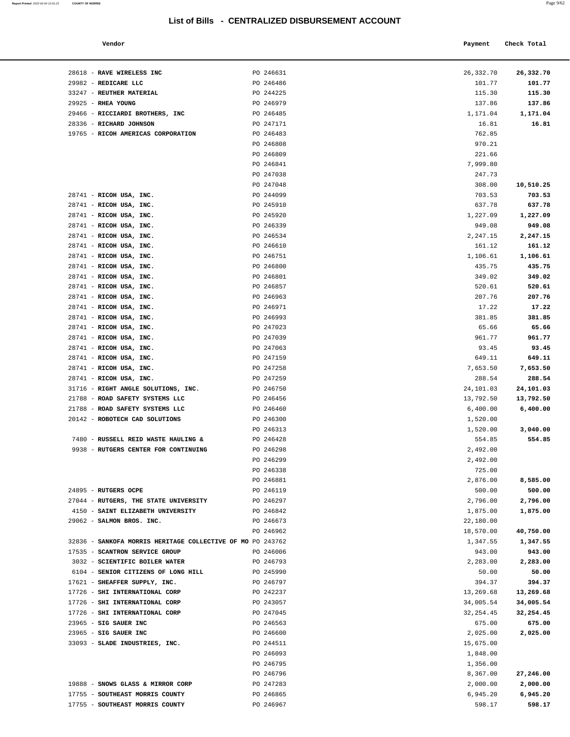PO 246313

PO 246299 PO 246338

#### **Vendor Payment** Check Total **Payment** Check Total **Payment**

28618 - **RAVE WIRELESS INC PO 246631** 29982 - **REDICARE LLC** PO 246486 33247 - **REUTHER MATERIAL** PO 244225 29925 - **RHEA YOUNG PO 246979** 29466 - **RICCIARDI BROTHERS, INC** PO 246485 28336 - **RICHARD JOHNSON** PO 247171 16.81 **16.81** 19765 - **RICOH AMERICAS CORPORATION** PO 246483

28741 - **RICOH USA, INC. PO 244099** 28741 - **RICOH USA, INC. PO 245910** 28741 - **RICOH USA, INC. PO 245920** 28741 - **RICOH USA, INC. PO 246339** 28741 - **RICOH USA, INC.** PO 246534 28741 - **RICOH USA, INC.** PO 246610 28741 - **RICOH USA, INC. PO 246751** 28741 - **RICOH USA, INC. PO 246800** 28741 - **RICOH USA, INC.** PO 246801 28741 - **RICOH USA, INC. PO 246857** 28741 - **RICOH USA, INC. PO 246963** 28741 - **RICOH USA, INC.** PO 246971 28741 - **RICOH USA, INC. PO 246993** 28741 - **RICOH USA, INC. PO 247023** 28741 - **RICOH USA, INC. PO 247039** 28741 - **RICOH USA, INC. PO 247063** 28741 - **RICOH USA, INC. PO 247159** 28741 - **RICOH USA, INC. PO 247258** 28741 - **RICOH USA, INC. PO 247259** 31716 - **RIGHT ANGLE SOLUTIONS, INC.** PO 246750 21788 - **ROAD SAFETY SYSTEMS LLC** PO 246456 13,792.50 **13,792.50** 21788 - **ROAD SAFETY SYSTEMS LLC** PO 246460 20142 - **ROBOTECH CAD SOLUTIONS** PO 246300

7480 - **RUSSELL REID WASTE HAULING &** PO 246428 9938 - **RUTGERS CENTER FOR CONTINUING** PO 246298

24895 - **RUTGERS OCPE** PO 246119 27044 - **RUTGERS, THE STATE UNIVERSITY** PO 246297 4150 - **SAINT ELIZABETH UNIVERSITY** PO 246842 29062 - **SALMON BROS. INC.** PO 246673

32836 - SANKOFA MORRIS HERITAGE COLLECTIVE OF MO PO 243762 17535 - **SCANTRON SERVICE GROUP** PO 246006 943.00 **943.00** 3032 - **SCIENTIFIC BOILER WATER** PO 246793 6104 - **SENIOR CITIZENS OF LONG HILL** PO 245990 50.00 **50.00** 17621 - **SHEAFFER SUPPLY, INC.** PO 246797 17726 - **SHI INTERNATIONAL CORP PO 242237** 17726 - **SHI INTERNATIONAL CORP** PO 243057 17726 - **SHI INTERNATIONAL CORP** PO 247045 32,254.45 **32,254.45** 23965 - **SIG SAUER INC** PO 246563 675.00 **675.00** 23965 - **SIG SAUER INC PO 246600** 33093 - **SLADE INDUSTRIES, INC.** PO 244511

19888 - **SNOWS GLASS & MIRROR CORP** PO 247283 17755 - **SOUTHEAST MORRIS COUNTY PO 246865** 17755 - **SOUTHEAST MORRIS COUNTY** PO 246967 598.17 **598.17** 

| Report Printed 2022-02-04 12:01:23 | <b>COUNTY OF MORRIS</b> |  | Page 9/62 |
|------------------------------------|-------------------------|--|-----------|
|                                    |                         |  |           |

| PO 246631 | 26,332.70  | 26,332.70 |
|-----------|------------|-----------|
| PO 246486 | 101.77     | 101.77    |
| PO 244225 | 115.30     | 115.30    |
| PO 246979 | 137.86     | 137.86    |
| PO 246485 | 1,171.04   | 1,171.04  |
| PO 247171 | 16.81      | 16.81     |
| PO 246483 | 762.85     |           |
| PO 246808 | 970.21     |           |
| PO 246809 | 221.66     |           |
| PO 246841 | 7,999.80   |           |
| PO 247038 | 247.73     |           |
| PO 247048 | 308.00     | 10,510.25 |
| PO 244099 | 703.53     | 703.53    |
| PO 245910 | 637.78     | 637.78    |
| PO 245920 | 1,227.09   | 1,227.09  |
| PO 246339 | 949.08     | 949.08    |
| PO 246534 | 2,247.15   | 2,247.15  |
| PO 246610 | 161.12     | 161.12    |
| PO 246751 | 1,106.61   | 1,106.61  |
| PO 246800 | 435.75     | 435.75    |
| PO 246801 | 349.02     | 349.02    |
| PO 246857 | 520.61     | 520.61    |
| PO 246963 | 207.76     | 207.76    |
| PO 246971 | 17.22      | 17.22     |
| PO 246993 | 381.85     | 381.85    |
| PO 247023 | 65.66      | 65.66     |
| PO 247039 | 961.77     | 961.77    |
| PO 247063 | 93.45      | 93.45     |
| PO 247159 | 649.11     | 649.11    |
| PO 247258 | 7,653.50   | 7,653.50  |
| PO 247259 | 288.54     | 288.54    |
| PO 246750 | 24,101.03  | 24,101.03 |
| PO 246456 | 13,792.50  | 13,792.50 |
| PO 246460 | 6,400.00   | 6,400.00  |
| PO 246300 | 1,520.00   |           |
| PO 246313 | 1,520.00   | 3,040.00  |
| PO 246428 | 554.85     | 554.85    |
| PO 246298 | 2,492.00   |           |
| PO 246299 | 2,492.00   |           |
| PO 246338 | 725.00     |           |
| PO 246881 | 2,876.00   | 8,585.00  |
| PO 246119 | 500.00     | 500.00    |
| PO 246297 | 2,796.00   | 2,796.00  |
| PO 246842 | 1,875.00   | 1,875.00  |
| PO 246673 | 22,180.00  |           |
| PO 246962 | 18,570.00  | 40,750.00 |
| PO 243762 | 1,347.55   | 1,347.55  |
| PO 246006 | 943.00     | 943.00    |
| PO 246793 | 2,283.00   | 2,283.00  |
| PO 245990 | 50.00      | 50.00     |
| PO 246797 | 394.37     | 394.37    |
| PO 242237 | 13,269.68  | 13,269.68 |
| PO 243057 | 34,005.54  | 34,005.54 |
| PO 247045 | 32, 254.45 | 32,254.45 |
| PO 246563 | 675.00     | 675.00    |
| PO 246600 | 2,025.00   | 2,025.00  |
| PO 244511 | 15,675.00  |           |
| PO 246093 | 1,848.00   |           |
| PO 246795 | 1,356.00   |           |
| PO 246796 | 8,367.00   | 27,246.00 |
| PO 247283 | 2,000.00   | 2,000.00  |
| PO 246865 | 6,945.20   | 6,945.20  |
| PO 246967 | 598.17     | 598.17    |
|           |            |           |
|           |            |           |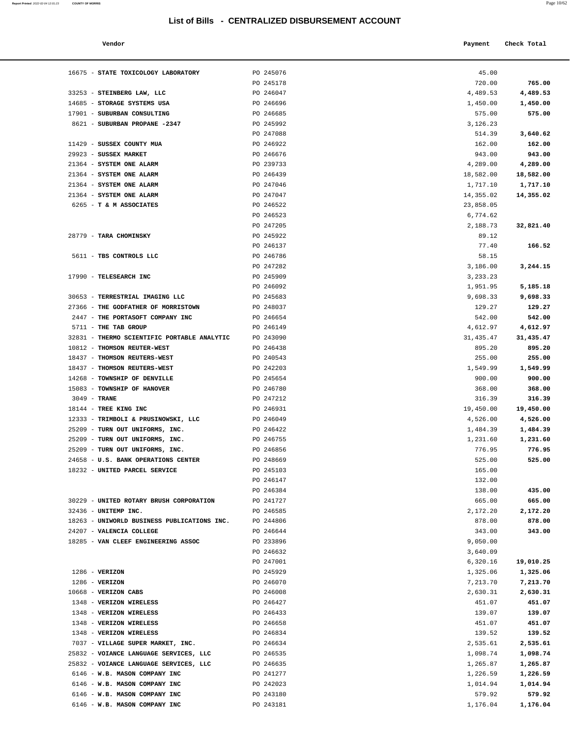| Report Printed 2022-02-04 12:01:23 | <b>COUNTY OF MORRIS</b> |  |  | Page 10/62 |
|------------------------------------|-------------------------|--|--|------------|
|                                    |                         |  |  |            |

| Vendor | Payment Check Total |
|--------|---------------------|
|        |                     |

| 16675 - STATE TOXICOLOGY LABORATORY         | PO 245076 | 45.00      |           |
|---------------------------------------------|-----------|------------|-----------|
|                                             | PO 245178 | 720.00     | 765.00    |
| 33253 - STEINBERG LAW, LLC                  | PO 246047 | 4,489.53   | 4,489.53  |
| 14685 - STORAGE SYSTEMS USA                 | PO 246696 | 1,450.00   | 1,450.00  |
| 17901 - SUBURBAN CONSULTING                 | PO 246685 | 575.00     | 575.00    |
| 8621 - SUBURBAN PROPANE -2347               | PO 245992 | 3,126.23   |           |
|                                             | PO 247088 | 514.39     | 3,640.62  |
| 11429 - SUSSEX COUNTY MUA                   | PO 246922 | 162.00     | 162.00    |
| 29923 - SUSSEX MARKET                       | PO 246676 | 943.00     | 943.00    |
| 21364 - SYSTEM ONE ALARM                    | PO 239733 | 4,289.00   | 4,289.00  |
| 21364 - SYSTEM ONE ALARM                    | PO 246439 | 18,582.00  | 18,582.00 |
| 21364 - SYSTEM ONE ALARM                    | PO 247046 | 1,717.10   | 1,717.10  |
| 21364 - SYSTEM ONE ALARM                    | PO 247047 | 14,355.02  | 14,355.02 |
| 6265 - T & M ASSOCIATES                     | PO 246522 | 23,858.05  |           |
|                                             | PO 246523 | 6,774.62   |           |
|                                             | PO 247205 | 2,188.73   | 32,821.40 |
| 28779 - TARA CHOMINSKY                      | PO 245922 | 89.12      |           |
|                                             | PO 246137 | 77.40      | 166.52    |
| 5611 - TBS CONTROLS LLC                     | PO 246786 | 58.15      |           |
|                                             | PO 247282 | 3,186.00   | 3,244.15  |
| 17990 - TELESEARCH INC                      | PO 245909 | 3, 233. 23 |           |
|                                             | PO 246092 | 1,951.95   | 5,185.18  |
| 30653 - TERRESTRIAL IMAGING LLC             | PO 245683 | 9,698.33   | 9,698.33  |
| 27366 - THE GODFATHER OF MORRISTOWN         | PO 248037 | 129.27     | 129.27    |
| 2447 - THE PORTASOFT COMPANY INC            | PO 246654 | 542.00     | 542.00    |
| 5711 - THE TAB GROUP                        | PO 246149 | 4,612.97   | 4,612.97  |
| 32831 - THERMO SCIENTIFIC PORTABLE ANALYTIC | PO 243090 | 31,435.47  | 31,435.47 |
| 10812 - THOMSON REUTER-WEST                 | PO 246438 | 895.20     | 895.20    |
| 18437 - THOMSON REUTERS-WEST                | PO 240543 | 255.00     | 255.00    |
| 18437 - THOMSON REUTERS-WEST                | PO 242203 | 1,549.99   | 1,549.99  |
| 14268 - TOWNSHIP OF DENVILLE                | PO 245654 | 900.00     | 900.00    |
| 15083 - TOWNSHIP OF HANOVER                 | PO 246780 | 368.00     | 368.00    |
| $3049$ - TRANE                              | PO 247212 | 316.39     | 316.39    |
| 18144 - TREE KING INC                       | PO 246931 | 19,450.00  | 19,450.00 |
| 12333 - TRIMBOLI & PRUSINOWSKI, LLC         | PO 246049 | 4,526.00   | 4,526.00  |
| 25209 - TURN OUT UNIFORMS, INC.             | PO 246422 | 1,484.39   | 1,484.39  |
| 25209 - TURN OUT UNIFORMS, INC.             | PO 246755 | 1,231.60   | 1,231.60  |
| 25209 - TURN OUT UNIFORMS, INC.             | PO 246856 | 776.95     | 776.95    |
| 24658 - U.S. BANK OPERATIONS CENTER         | PO 248669 | 525.00     | 525.00    |
| 18232 - UNITED PARCEL SERVICE               | PO 245103 | 165.00     |           |
|                                             | PO 246147 | 132.00     |           |
|                                             | PO 246384 | 138.00     | 435.00    |
| 30229 - UNITED ROTARY BRUSH CORPORATION     | PO 241727 | 665.00     | 665.00    |
| 32436 - UNITEMP INC.                        | PO 246585 | 2,172.20   | 2,172.20  |
| 18263 - UNIWORLD BUSINESS PUBLICATIONS INC. | PO 244806 | 878.00     | 878.00    |
| 24207 - VALENCIA COLLEGE                    | PO 246644 | 343.00     | 343.00    |
| 18285 - VAN CLEEF ENGINEERING ASSOC         | PO 233896 | 9,050.00   |           |
|                                             | PO 246632 | 3,640.09   |           |
|                                             | PO 247001 | 6,320.16   | 19,010.25 |
| $1286$ - VERIZON                            | PO 245929 | 1,325.06   | 1,325.06  |
| $1286$ - VERIZON                            | PO 246070 | 7,213.70   | 7,213.70  |
| 10668 - VERIZON CABS                        | PO 246008 | 2,630.31   | 2,630.31  |
| 1348 - VERIZON WIRELESS                     | PO 246427 | 451.07     | 451.07    |
| 1348 - VERIZON WIRELESS                     | PO 246433 | 139.07     | 139.07    |
| 1348 - VERIZON WIRELESS                     | PO 246658 | 451.07     | 451.07    |
| 1348 - VERIZON WIRELESS                     | PO 246834 | 139.52     | 139.52    |
| 7037 - VILLAGE SUPER MARKET, INC.           | PO 246634 | 2,535.61   | 2,535.61  |
| 25832 - VOIANCE LANGUAGE SERVICES, LLC      | PO 246535 | 1,098.74   | 1,098.74  |
| 25832 - VOIANCE LANGUAGE SERVICES, LLC      | PO 246635 | 1,265.87   | 1,265.87  |
| 6146 - W.B. MASON COMPANY INC               | PO 241277 | 1,226.59   | 1,226.59  |
| 6146 - W.B. MASON COMPANY INC               | PO 242023 | 1,014.94   | 1,014.94  |
| 6146 - W.B. MASON COMPANY INC               | PO 243180 | 579.92     | 579.92    |
| 6146 - W.B. MASON COMPANY INC               | PO 243181 | 1,176.04   | 1,176.04  |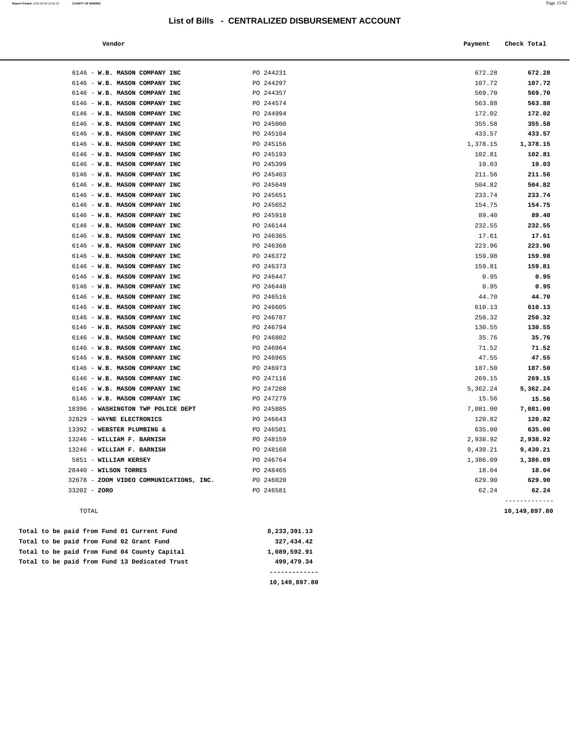| Vendor |  | Payment Check Total |
|--------|--|---------------------|
|--------|--|---------------------|

| PO 244231<br>PO 244297<br>PO 244357<br>PO 244574<br>PO 244994<br>PO 245000<br>PO 245104<br>PO 245156<br>PO 245193<br>PO 245399<br>PO 245403<br>PO 245649<br>PO 245651<br>PO 245652<br>PO 245918<br>PO 246144 | 672.28<br>107.72<br>569.70<br>563.88<br>172.02<br>355.58<br>433.57<br>1,378.15<br>102.81<br>19.03<br>211.56<br>504.82<br>233.74<br>154.75<br>89.40 | 672.28<br>107.72<br>569.70<br>563.88<br>172.02<br>355.58<br>433.57<br>1,378.15<br>102.81<br>19.03<br>211.56<br>504.82<br>233.74 |
|--------------------------------------------------------------------------------------------------------------------------------------------------------------------------------------------------------------|----------------------------------------------------------------------------------------------------------------------------------------------------|---------------------------------------------------------------------------------------------------------------------------------|
|                                                                                                                                                                                                              |                                                                                                                                                    |                                                                                                                                 |
|                                                                                                                                                                                                              |                                                                                                                                                    |                                                                                                                                 |
|                                                                                                                                                                                                              |                                                                                                                                                    |                                                                                                                                 |
|                                                                                                                                                                                                              |                                                                                                                                                    |                                                                                                                                 |
|                                                                                                                                                                                                              |                                                                                                                                                    |                                                                                                                                 |
|                                                                                                                                                                                                              |                                                                                                                                                    |                                                                                                                                 |
|                                                                                                                                                                                                              |                                                                                                                                                    |                                                                                                                                 |
|                                                                                                                                                                                                              |                                                                                                                                                    |                                                                                                                                 |
|                                                                                                                                                                                                              |                                                                                                                                                    |                                                                                                                                 |
|                                                                                                                                                                                                              |                                                                                                                                                    |                                                                                                                                 |
|                                                                                                                                                                                                              |                                                                                                                                                    |                                                                                                                                 |
|                                                                                                                                                                                                              |                                                                                                                                                    |                                                                                                                                 |
|                                                                                                                                                                                                              |                                                                                                                                                    |                                                                                                                                 |
|                                                                                                                                                                                                              |                                                                                                                                                    | 154.75                                                                                                                          |
|                                                                                                                                                                                                              |                                                                                                                                                    | 89.40                                                                                                                           |
|                                                                                                                                                                                                              | 232.55                                                                                                                                             | 232.55                                                                                                                          |
| PO 246365                                                                                                                                                                                                    | 17.61                                                                                                                                              | 17.61                                                                                                                           |
| PO 246368                                                                                                                                                                                                    | 223.96                                                                                                                                             | 223.96                                                                                                                          |
| PO 246372                                                                                                                                                                                                    | 159.98                                                                                                                                             | 159.98                                                                                                                          |
| PO 246373                                                                                                                                                                                                    | 159.81                                                                                                                                             | 159.81                                                                                                                          |
| PO 246447                                                                                                                                                                                                    | 0.95                                                                                                                                               | 0.95                                                                                                                            |
| PO 246448                                                                                                                                                                                                    | 0.95                                                                                                                                               | 0.95                                                                                                                            |
| PO 246516                                                                                                                                                                                                    | 44.70                                                                                                                                              | 44.70                                                                                                                           |
| PO 246605                                                                                                                                                                                                    | 610.13                                                                                                                                             | 610.13                                                                                                                          |
| PO 246787                                                                                                                                                                                                    | 250.32                                                                                                                                             | 250.32                                                                                                                          |
| PO 246794                                                                                                                                                                                                    | 130.55                                                                                                                                             | 130.55                                                                                                                          |
| PO 246802                                                                                                                                                                                                    | 35.76                                                                                                                                              | 35.76                                                                                                                           |
| PO 246964                                                                                                                                                                                                    | 71.52                                                                                                                                              | 71.52                                                                                                                           |
| PO 246965                                                                                                                                                                                                    | 47.55                                                                                                                                              | 47.55                                                                                                                           |
| PO 246973                                                                                                                                                                                                    | 187.50                                                                                                                                             | 187.50                                                                                                                          |
| PO 247116                                                                                                                                                                                                    | 269.15                                                                                                                                             | 269.15                                                                                                                          |
| PO 247208                                                                                                                                                                                                    | 5,362.24                                                                                                                                           | 5,362.24                                                                                                                        |
| PO 247279                                                                                                                                                                                                    | 15.56                                                                                                                                              | 15.56                                                                                                                           |
| PO 245885                                                                                                                                                                                                    | 7,081.00                                                                                                                                           | 7,081.00                                                                                                                        |
| PO 246643                                                                                                                                                                                                    | 120.82                                                                                                                                             | 120.82                                                                                                                          |
| PO 246501                                                                                                                                                                                                    | 635.00                                                                                                                                             | 635.00                                                                                                                          |
| PO 248159                                                                                                                                                                                                    | 2,938.92                                                                                                                                           | 2,938.92                                                                                                                        |
| PO 248160                                                                                                                                                                                                    | 9,430.21                                                                                                                                           | 9,430.21                                                                                                                        |
| PO 246764                                                                                                                                                                                                    | 1,386.09                                                                                                                                           | 1,386.09                                                                                                                        |
| PO 248465                                                                                                                                                                                                    | 18.04                                                                                                                                              | 18.04                                                                                                                           |
| PO 246020                                                                                                                                                                                                    | 629.90                                                                                                                                             | 629.90                                                                                                                          |
| PO 246581                                                                                                                                                                                                    | 62.24                                                                                                                                              | 62.24                                                                                                                           |
|                                                                                                                                                                                                              |                                                                                                                                                    |                                                                                                                                 |

TOTAL **10,149,897.80**

|  |  |  | Total to be paid from Fund 13 Dedicated Trust | 499,479.34   |
|--|--|--|-----------------------------------------------|--------------|
|  |  |  | Total to be paid from Fund 04 County Capital  | 1,089,592.91 |
|  |  |  | Total to be paid from Fund 02 Grant Fund      | 327,434.42   |
|  |  |  | Total to be paid from Fund 01 Current Fund    | 8,233,391.13 |

**10,149,897.80**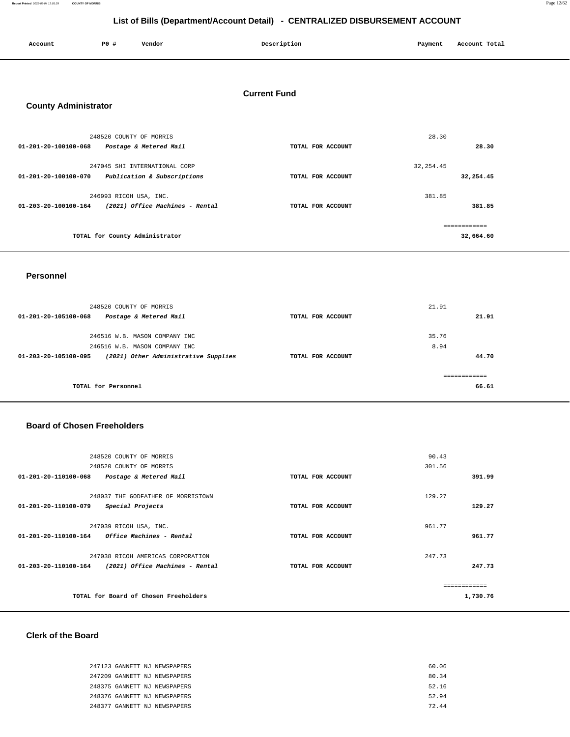**Report Printed** 2022-02-04 12:01:29 **COUNTY OF MORRIS** Page 12/62

# **List of Bills (Department/Account Detail) - CENTRALIZED DISBURSEMENT ACCOUNT**

|                             | List of Bills (Department/Account Detail) - CENTRALIZED DISBORSEMENT ACCOUNT |                                                   |                     |         |               |
|-----------------------------|------------------------------------------------------------------------------|---------------------------------------------------|---------------------|---------|---------------|
| Account                     | P0 #                                                                         | Vendor                                            | Description         | Payment | Account Total |
| <b>County Administrator</b> |                                                                              |                                                   | <b>Current Fund</b> |         |               |
| 01-201-20-100100-068        |                                                                              | 248520 COUNTY OF MORRIS<br>Postage & Metered Mail | TOTAL FOR ACCOUNT   | 28.30   | 28.30         |

| 01-201-20-100100-070 | 247045 SHI INTERNATIONAL CORP<br>Publication & Subscriptions | TOTAL FOR ACCOUNT | 32, 254.45<br>32,254.45 |           |  |
|----------------------|--------------------------------------------------------------|-------------------|-------------------------|-----------|--|
| 01-203-20-100100-164 | 246993 RICOH USA, INC.<br>(2021) Office Machines - Rental    | TOTAL FOR ACCOUNT | 381.85                  | 381.85    |  |
|                      | TOTAL for County Administrator                               |                   |                         | 32,664.60 |  |

#### **Personnel**

| 248520 COUNTY OF MORRIS<br>Postage & Metered Mail<br>01-201-20-105100-068 | TOTAL FOR ACCOUNT | 21.91<br>21.91 |  |
|---------------------------------------------------------------------------|-------------------|----------------|--|
| 246516 W.B. MASON COMPANY INC                                             |                   | 35.76          |  |
| 246516 W.B. MASON COMPANY INC                                             |                   | 8.94           |  |
| (2021) Other Administrative Supplies<br>01-203-20-105100-095              | TOTAL FOR ACCOUNT | 44.70          |  |
|                                                                           |                   |                |  |
|                                                                           |                   |                |  |
| TOTAL for Personnel                                                       |                   | 66.61          |  |

### **Board of Chosen Freeholders**

| 248520 COUNTY OF MORRIS                                                                                |                   | 90.43            |
|--------------------------------------------------------------------------------------------------------|-------------------|------------------|
| 248520 COUNTY OF MORRIS                                                                                |                   | 301.56           |
| $01 - 201 - 20 - 110100 - 068$<br>Postage & Metered Mail                                               | TOTAL FOR ACCOUNT | 391.99           |
| 248037 THE GODFATHER OF MORRISTOWN<br>01-201-20-110100-079<br>Special Projects                         | TOTAL FOR ACCOUNT | 129.27<br>129.27 |
| 247039 RICOH USA, INC.<br>$01 - 201 - 20 - 110100 - 164$<br>Office Machines - Rental                   | TOTAL FOR ACCOUNT | 961.77<br>961.77 |
| 247038 RICOH AMERICAS CORPORATION<br>(2021) Office Machines - Rental<br>$01 - 203 - 20 - 110100 - 164$ | TOTAL FOR ACCOUNT | 247.73<br>247.73 |
| TOTAL for Board of Chosen Freeholders                                                                  |                   | 1,730.76         |

### **Clerk of the Board**

| 247123 GANNETT NJ NEWSPAPERS | 60.06 |
|------------------------------|-------|
| 247209 GANNETT NJ NEWSPAPERS | 80.34 |
| 248375 GANNETT NJ NEWSPAPERS | 52.16 |
| 248376 GANNETT NJ NEWSPAPERS | 52.94 |
| 248377 GANNETT NJ NEWSPAPERS | 72.44 |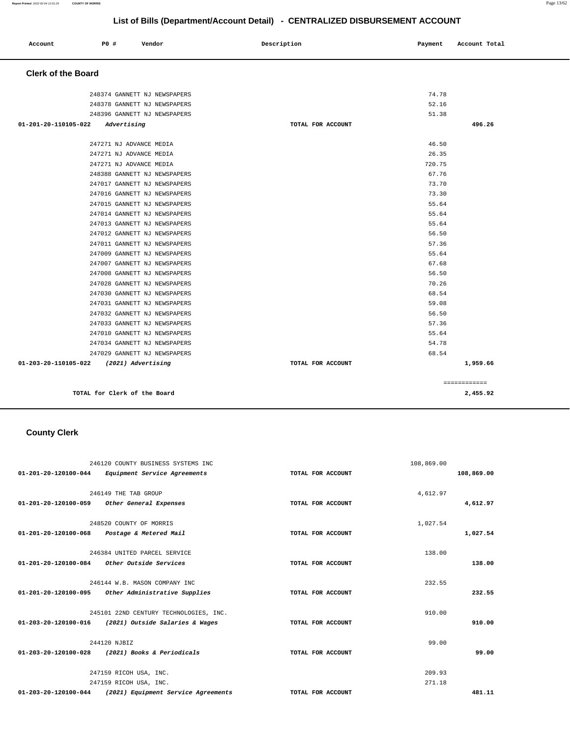| Account                   | <b>PO #</b>                  | Vendor                       | Description       | Payment | Account Total |
|---------------------------|------------------------------|------------------------------|-------------------|---------|---------------|
| <b>Clerk of the Board</b> |                              |                              |                   |         |               |
|                           |                              | 248374 GANNETT NJ NEWSPAPERS |                   | 74.78   |               |
|                           |                              | 248378 GANNETT NJ NEWSPAPERS |                   | 52.16   |               |
|                           |                              | 248396 GANNETT NJ NEWSPAPERS |                   | 51.38   |               |
| 01-201-20-110105-022      | Advertising                  |                              | TOTAL FOR ACCOUNT |         | 496.26        |
|                           | 247271 NJ ADVANCE MEDIA      |                              |                   | 46.50   |               |
|                           | 247271 NJ ADVANCE MEDIA      |                              |                   | 26.35   |               |
|                           | 247271 NJ ADVANCE MEDIA      |                              |                   | 720.75  |               |
|                           |                              | 248388 GANNETT NJ NEWSPAPERS |                   | 67.76   |               |
|                           |                              | 247017 GANNETT NJ NEWSPAPERS |                   | 73.70   |               |
|                           |                              | 247016 GANNETT NJ NEWSPAPERS |                   | 73.30   |               |
|                           |                              | 247015 GANNETT NJ NEWSPAPERS |                   | 55.64   |               |
|                           |                              | 247014 GANNETT NJ NEWSPAPERS |                   | 55.64   |               |
|                           |                              | 247013 GANNETT NJ NEWSPAPERS |                   | 55.64   |               |
|                           |                              | 247012 GANNETT NJ NEWSPAPERS |                   | 56.50   |               |
|                           |                              | 247011 GANNETT NJ NEWSPAPERS |                   | 57.36   |               |
|                           |                              | 247009 GANNETT NJ NEWSPAPERS |                   | 55.64   |               |
|                           |                              | 247007 GANNETT NJ NEWSPAPERS |                   | 67.68   |               |
|                           |                              | 247008 GANNETT NJ NEWSPAPERS |                   | 56.50   |               |
|                           |                              | 247028 GANNETT NJ NEWSPAPERS |                   | 70.26   |               |
|                           |                              | 247030 GANNETT NJ NEWSPAPERS |                   | 68.54   |               |
|                           |                              | 247031 GANNETT NJ NEWSPAPERS |                   | 59.08   |               |
|                           |                              | 247032 GANNETT NJ NEWSPAPERS |                   | 56.50   |               |
|                           |                              | 247033 GANNETT NJ NEWSPAPERS |                   | 57.36   |               |
|                           |                              | 247010 GANNETT NJ NEWSPAPERS |                   | 55.64   |               |
|                           |                              | 247034 GANNETT NJ NEWSPAPERS |                   | 54.78   |               |
|                           |                              | 247029 GANNETT NJ NEWSPAPERS |                   | 68.54   |               |
| 01-203-20-110105-022      |                              | (2021) Advertising           | TOTAL FOR ACCOUNT |         | 1,959.66      |
|                           |                              |                              |                   |         | ============  |
|                           | TOTAL for Clerk of the Board |                              |                   |         | 2,455.92      |

# **County Clerk**

|                      | 246120 COUNTY BUSINESS SYSTEMS INC                   |                   | 108,869.00 |            |
|----------------------|------------------------------------------------------|-------------------|------------|------------|
| 01-201-20-120100-044 | Equipment Service Agreements                         | TOTAL FOR ACCOUNT |            | 108,869.00 |
|                      | 246149 THE TAB GROUP                                 |                   | 4,612.97   |            |
| 01-201-20-120100-059 | Other General Expenses                               | TOTAL FOR ACCOUNT |            | 4,612.97   |
|                      | 248520 COUNTY OF MORRIS                              |                   | 1,027.54   |            |
| 01-201-20-120100-068 | Postage & Metered Mail                               | TOTAL FOR ACCOUNT |            | 1,027.54   |
|                      | 246384 UNITED PARCEL SERVICE                         |                   | 138.00     |            |
| 01-201-20-120100-084 | Other Outside Services                               | TOTAL FOR ACCOUNT |            | 138.00     |
|                      | 246144 W.B. MASON COMPANY INC                        |                   | 232.55     |            |
| 01-201-20-120100-095 | Other Administrative Supplies                        | TOTAL FOR ACCOUNT |            | 232.55     |
|                      | 245101 22ND CENTURY TECHNOLOGIES, INC.               |                   | 910.00     |            |
|                      | 01-203-20-120100-016 (2021) Outside Salaries & Wages | TOTAL FOR ACCOUNT |            | 910.00     |
|                      | 244120 NJBIZ                                         |                   | 99.00      |            |
| 01-203-20-120100-028 | (2021) Books & Periodicals                           | TOTAL FOR ACCOUNT |            | 99.00      |
|                      | 247159 RICOH USA, INC.                               |                   | 209.93     |            |
|                      | 247159 RICOH USA, INC.                               |                   | 271.18     |            |
| 01-203-20-120100-044 | (2021) Equipment Service Agreements                  | TOTAL FOR ACCOUNT |            | 481.11     |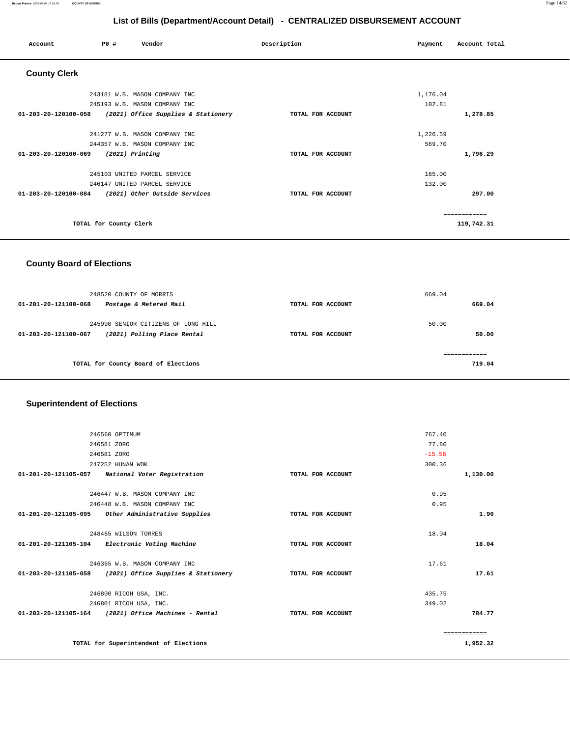| Account                        | PO#                    | Vendor                              | Description       | Payment  | Account Total |
|--------------------------------|------------------------|-------------------------------------|-------------------|----------|---------------|
| <b>County Clerk</b>            |                        |                                     |                   |          |               |
|                                |                        | 243181 W.B. MASON COMPANY INC       |                   | 1,176.04 |               |
|                                |                        | 245193 W.B. MASON COMPANY INC       |                   | 102.81   |               |
| 01-203-20-120100-058           |                        | (2021) Office Supplies & Stationery | TOTAL FOR ACCOUNT |          | 1,278.85      |
|                                |                        | 241277 W.B. MASON COMPANY INC       |                   | 1,226.59 |               |
|                                |                        | 244357 W.B. MASON COMPANY INC       |                   | 569.70   |               |
| 01-203-20-120100-069           | $(2021)$ Printing      |                                     | TOTAL FOR ACCOUNT |          | 1,796.29      |
|                                |                        | 245103 UNITED PARCEL SERVICE        |                   | 165.00   |               |
|                                |                        | 246147 UNITED PARCEL SERVICE        |                   | 132.00   |               |
| $01 - 203 - 20 - 120100 - 084$ |                        | (2021) Other Outside Services       | TOTAL FOR ACCOUNT |          | 297.00        |
|                                |                        |                                     |                   |          | ============  |
|                                | TOTAL for County Clerk |                                     |                   |          | 119,742.31    |

# **County Board of Elections**

| 248520 COUNTY OF MORRIS<br>Postage & Metered Mail<br>$01 - 201 - 20 - 121100 - 068$        | TOTAL FOR ACCOUNT | 669.04<br>669.04 |  |  |
|--------------------------------------------------------------------------------------------|-------------------|------------------|--|--|
| 245990 SENIOR CITIZENS OF LONG HILL<br>(2021) Polling Place Rental<br>01-203-20-121100-067 | TOTAL FOR ACCOUNT | 50.00<br>50.00   |  |  |
| TOTAL for County Board of Elections                                                        |                   | 719.04           |  |  |

# **Superintendent of Elections**

| 246560 OPTIMUM                                           |                   | 767.40   |               |
|----------------------------------------------------------|-------------------|----------|---------------|
| 246581 ZORO                                              |                   | 77.80    |               |
| 246581 ZORO                                              |                   | $-15.56$ |               |
|                                                          |                   |          |               |
| 247252 HUNAN WOK                                         |                   | 300.36   |               |
| 01-201-20-121105-057 National Voter Registration         | TOTAL FOR ACCOUNT |          | 1,130.00      |
|                                                          |                   |          |               |
| 246447 W.B. MASON COMPANY INC                            |                   | 0.95     |               |
| 246448 W.B. MASON COMPANY INC                            |                   | 0.95     |               |
| 01-201-20-121105-095 Other Administrative Supplies       | TOTAL FOR ACCOUNT |          | 1.90          |
|                                                          |                   |          |               |
| 248465 WILSON TORRES                                     |                   | 18.04    |               |
| 01-201-20-121105-104 Electronic Voting Machine           | TOTAL FOR ACCOUNT |          | 18.04         |
|                                                          |                   |          |               |
| 246365 W.B. MASON COMPANY INC                            |                   | 17.61    |               |
| 01-203-20-121105-058 (2021) Office Supplies & Stationery | TOTAL FOR ACCOUNT |          | 17.61         |
|                                                          |                   |          |               |
| 246800 RICOH USA, INC.                                   |                   | 435.75   |               |
|                                                          |                   |          |               |
| 246801 RICOH USA, INC.                                   |                   | 349.02   |               |
| 01-203-20-121105-164 (2021) Office Machines - Rental     | TOTAL FOR ACCOUNT |          | 784.77        |
|                                                          |                   |          |               |
|                                                          |                   |          | ------------- |
| TOTAL for Superintendent of Elections                    |                   |          | 1,952.32      |
|                                                          |                   |          |               |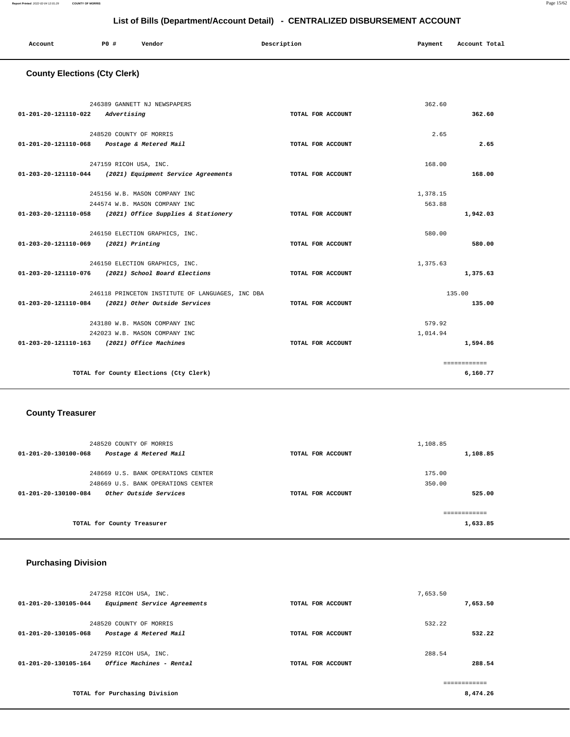| Account | P <sub>0</sub> | Vendor | Description | Payment | Account Total |
|---------|----------------|--------|-------------|---------|---------------|
|         |                |        |             |         |               |

# **County Elections (Cty Clerk)**

| 01-201-20-121110-022 Advertising            | 246389 GANNETT NJ NEWSPAPERS                                                         | TOTAL FOR ACCOUNT | 362.60   | 362.60       |
|---------------------------------------------|--------------------------------------------------------------------------------------|-------------------|----------|--------------|
|                                             | 248520 COUNTY OF MORRIS<br>01-201-20-121110-068 Postage & Metered Mail               | TOTAL FOR ACCOUNT | 2.65     | 2.65         |
|                                             | 247159 RICOH USA, INC.<br>$01-203-20-121110-044$ (2021) Equipment Service Agreements | TOTAL FOR ACCOUNT | 168.00   | 168.00       |
|                                             | 245156 W.B. MASON COMPANY INC                                                        |                   | 1,378.15 |              |
|                                             | 244574 W.B. MASON COMPANY INC                                                        |                   | 563.88   |              |
|                                             | 01-203-20-121110-058 (2021) Office Supplies & Stationery                             | TOTAL FOR ACCOUNT |          | 1,942.03     |
|                                             | 246150 ELECTION GRAPHICS, INC.                                                       |                   | 580.00   |              |
| 01-203-20-121110-069 (2021) Printing        |                                                                                      | TOTAL FOR ACCOUNT |          | 580.00       |
|                                             | 246150 ELECTION GRAPHICS, INC.                                                       |                   | 1,375.63 |              |
|                                             | 01-203-20-121110-076 (2021) School Board Elections                                   | TOTAL FOR ACCOUNT |          | 1,375.63     |
|                                             | 246118 PRINCETON INSTITUTE OF LANGUAGES, INC DBA                                     |                   | 135.00   |              |
|                                             | 01-203-20-121110-084 (2021) Other Outside Services                                   | TOTAL FOR ACCOUNT |          | 135.00       |
|                                             | 243180 W.B. MASON COMPANY INC                                                        |                   | 579.92   |              |
|                                             | 242023 W.B. MASON COMPANY INC.                                                       |                   | 1,014.94 |              |
| 01-203-20-121110-163 (2021) Office Machines |                                                                                      | TOTAL FOR ACCOUNT |          | 1,594.86     |
|                                             |                                                                                      |                   |          | ============ |
|                                             | TOTAL for County Elections (Cty Clerk)                                               |                   |          | 6,160.77     |

# **County Treasurer**

| 248520 COUNTY OF MORRIS                        |                   | 1,108.85 |
|------------------------------------------------|-------------------|----------|
| Postage & Metered Mail<br>01-201-20-130100-068 | TOTAL FOR ACCOUNT | 1,108.85 |
|                                                |                   |          |
| 248669 U.S. BANK OPERATIONS CENTER             |                   | 175.00   |
| 248669 U.S. BANK OPERATIONS CENTER             |                   | 350.00   |
| Other Outside Services<br>01-201-20-130100-084 | TOTAL FOR ACCOUNT | 525.00   |
|                                                |                   |          |
| TOTAL for County Treasurer                     |                   | 1,633.85 |

# **Purchasing Division**

| 247258 RICOH USA, INC.                               |                   | 7,653.50 |
|------------------------------------------------------|-------------------|----------|
| Equipment Service Agreements<br>01-201-20-130105-044 | TOTAL FOR ACCOUNT | 7,653.50 |
| 248520 COUNTY OF MORRIS                              |                   | 532.22   |
| 01-201-20-130105-068<br>Postage & Metered Mail       | TOTAL FOR ACCOUNT | 532.22   |
| 247259 RICOH USA, INC.                               |                   | 288.54   |
| Office Machines - Rental<br>01-201-20-130105-164     | TOTAL FOR ACCOUNT | 288.54   |
|                                                      |                   |          |
| TOTAL for Purchasing Division                        |                   | 8,474.26 |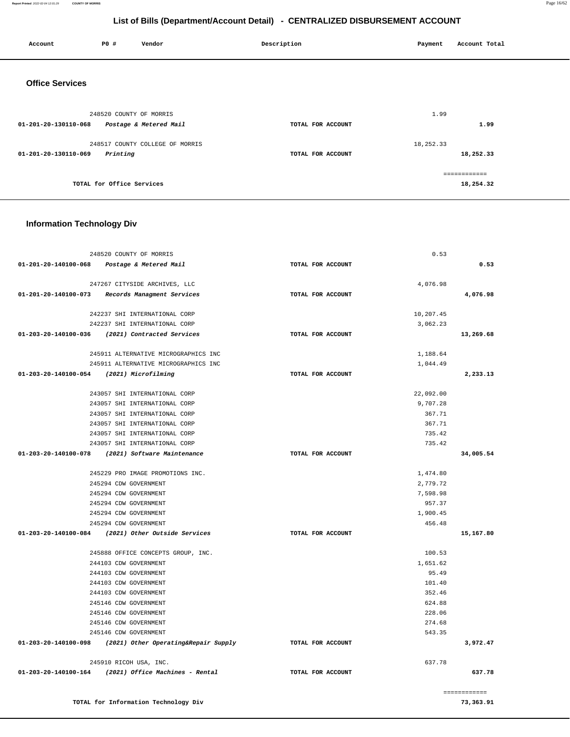#### **Report Printed** 2022-02-04 12:01:29 **COUNTY OF MORRIS** Page 16/62

# **List of Bills (Department/Account Detail) - CENTRALIZED DISBURSEMENT ACCOUNT**

| Account                | P0 #                      | Vendor                          | Description |                   | Payment   | Account Total              |
|------------------------|---------------------------|---------------------------------|-------------|-------------------|-----------|----------------------------|
| <b>Office Services</b> |                           |                                 |             |                   |           |                            |
| 01-201-20-130110-068   | 248520 COUNTY OF MORRIS   | Postage & Metered Mail          |             | TOTAL FOR ACCOUNT | 1.99      | 1.99                       |
| 01-201-20-130110-069   | Printing                  | 248517 COUNTY COLLEGE OF MORRIS |             | TOTAL FOR ACCOUNT | 18,252.33 | 18,252.33                  |
|                        | TOTAL for Office Services |                                 |             |                   |           | -------------<br>18,254.32 |

# **Information Technology Div**

| 248520 COUNTY OF MORRIS                                   | 0.53              |              |
|-----------------------------------------------------------|-------------------|--------------|
| 01-201-20-140100-068 Postage & Metered Mail               | TOTAL FOR ACCOUNT | 0.53         |
|                                                           |                   |              |
| 247267 CITYSIDE ARCHIVES, LLC                             | 4.076.98          |              |
| 01-201-20-140100-073 Records Managment Services           | TOTAL FOR ACCOUNT | 4,076.98     |
| 242237 SHI INTERNATIONAL CORP                             | 10,207.45         |              |
| 242237 SHI INTERNATIONAL CORP                             | 3,062.23          |              |
| 01-203-20-140100-036 (2021) Contracted Services           | TOTAL FOR ACCOUNT | 13,269.68    |
| 245911 ALTERNATIVE MICROGRAPHICS INC                      | 1,188.64          |              |
| 245911 ALTERNATIVE MICROGRAPHICS INC                      | 1,044.49          |              |
| 01-203-20-140100-054 (2021) Microfilming                  | TOTAL FOR ACCOUNT | 2,233.13     |
|                                                           |                   |              |
| 243057 SHI INTERNATIONAL CORP                             | 22,092.00         |              |
| 243057 SHI INTERNATIONAL CORP                             | 9,707.28          |              |
| 243057 SHI INTERNATIONAL CORP                             | 367.71            |              |
| 243057 SHI INTERNATIONAL CORP                             | 367.71            |              |
| 243057 SHI INTERNATIONAL CORP                             | 735.42            |              |
| 243057 SHI INTERNATIONAL CORP                             | 735.42            |              |
| 01-203-20-140100-078 (2021) Software Maintenance          | TOTAL FOR ACCOUNT | 34,005.54    |
| 245229 PRO IMAGE PROMOTIONS INC.                          | 1,474.80          |              |
| 245294 CDW GOVERNMENT                                     | 2,779.72          |              |
| 245294 CDW GOVERNMENT                                     | 7,598.98          |              |
| 245294 CDW GOVERNMENT                                     | 957.37            |              |
| 245294 CDW GOVERNMENT                                     | 1,900.45          |              |
| 245294 CDW GOVERNMENT                                     | 456.48            |              |
| 01-203-20-140100-084 (2021) Other Outside Services        | TOTAL FOR ACCOUNT | 15,167.80    |
|                                                           |                   |              |
| 245888 OFFICE CONCEPTS GROUP, INC.                        | 100.53            |              |
| 244103 CDW GOVERNMENT                                     | 1,651.62          |              |
| 244103 CDW GOVERNMENT                                     | 95.49             |              |
| 244103 CDW GOVERNMENT                                     | 101.40            |              |
| 244103 CDW GOVERNMENT                                     | 352.46            |              |
| 245146 CDW GOVERNMENT                                     | 624.88            |              |
| 245146 CDW GOVERNMENT                                     | 228.06            |              |
| 245146 CDW GOVERNMENT                                     | 274.68            |              |
| 245146 CDW GOVERNMENT                                     | 543.35            |              |
| 01-203-20-140100-098 (2021) Other Operating&Repair Supply | TOTAL FOR ACCOUNT | 3,972.47     |
| 245910 RICOH USA, INC.                                    | 637.78            |              |
| $01-203-20-140100-164$ (2021) Office Machines - Rental    | TOTAL FOR ACCOUNT | 637.78       |
|                                                           |                   |              |
|                                                           |                   | ------------ |
| TOTAL for Information Technology Div                      |                   | 73,363.91    |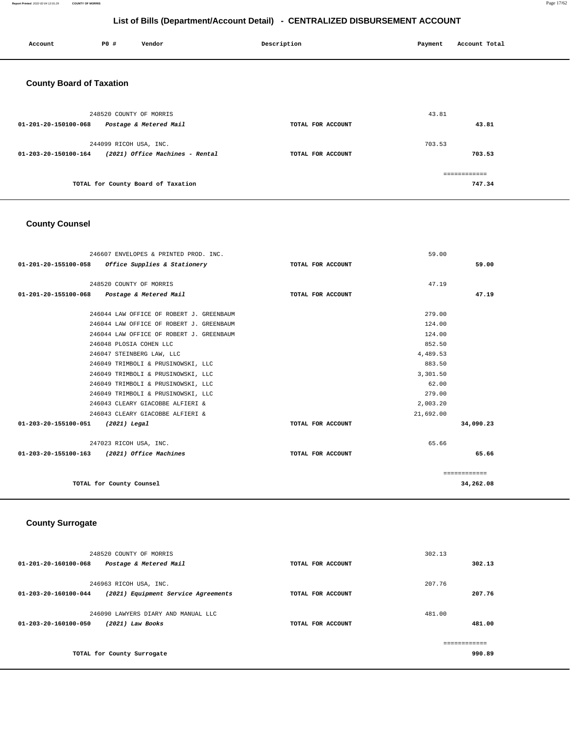#### **Report Printed** 2022-02-04 12:01:29 **COUNTY OF MORRIS** Page 17/62

# **List of Bills (Department/Account Detail) - CENTRALIZED DISBURSEMENT ACCOUNT**

| Account                         | <b>PO #</b>             | Vendor                             | Description       | Payment | Account Total          |
|---------------------------------|-------------------------|------------------------------------|-------------------|---------|------------------------|
| <b>County Board of Taxation</b> |                         |                                    |                   |         |                        |
| 01-201-20-150100-068            | 248520 COUNTY OF MORRIS | Postage & Metered Mail             | TOTAL FOR ACCOUNT | 43.81   | 43.81                  |
| 01-203-20-150100-164            | 244099 RICOH USA, INC.  | (2021) Office Machines - Rental    | TOTAL FOR ACCOUNT | 703.53  | 703.53                 |
|                                 |                         | TOTAL for County Board of Taxation |                   |         | ============<br>747.34 |

# **County Counsel**

|                                             | 246607 ENVELOPES & PRINTED PROD. INC.             |                   | 59.00     |              |
|---------------------------------------------|---------------------------------------------------|-------------------|-----------|--------------|
|                                             | 01-201-20-155100-058 Office Supplies & Stationery | TOTAL FOR ACCOUNT |           | 59.00        |
|                                             |                                                   |                   |           |              |
|                                             | 248520 COUNTY OF MORRIS                           |                   | 47.19     |              |
| 01-201-20-155100-068 Postage & Metered Mail |                                                   | TOTAL FOR ACCOUNT |           | 47.19        |
|                                             | 246044 LAW OFFICE OF ROBERT J. GREENBAUM          |                   | 279.00    |              |
|                                             | 246044 LAW OFFICE OF ROBERT J. GREENBAUM          |                   | 124.00    |              |
|                                             | 246044 LAW OFFICE OF ROBERT J. GREENBAUM          |                   | 124.00    |              |
|                                             | 246048 PLOSIA COHEN LLC                           |                   | 852.50    |              |
|                                             | 246047 STEINBERG LAW, LLC                         |                   | 4,489.53  |              |
|                                             | 246049 TRIMBOLI & PRUSINOWSKI, LLC                |                   | 883.50    |              |
|                                             | 246049 TRIMBOLI & PRUSINOWSKI, LLC                |                   | 3,301.50  |              |
|                                             | 246049 TRIMBOLI & PRUSINOWSKI, LLC                |                   | 62.00     |              |
|                                             | 246049 TRIMBOLI & PRUSINOWSKI, LLC                |                   | 279.00    |              |
|                                             | 246043 CLEARY GIACOBBE ALFIERI &                  |                   | 2,003.20  |              |
|                                             | 246043 CLEARY GIACOBBE ALFIERI &                  |                   | 21,692.00 |              |
| 01-203-20-155100-051                        | $(2021)$ Legal                                    | TOTAL FOR ACCOUNT |           | 34,090.23    |
|                                             |                                                   |                   |           |              |
|                                             | 247023 RICOH USA, INC.                            |                   | 65.66     |              |
|                                             | 01-203-20-155100-163 (2021) Office Machines       | TOTAL FOR ACCOUNT |           | 65.66        |
|                                             |                                                   |                   |           | ============ |
|                                             | TOTAL for County Counsel                          |                   |           | 34,262.08    |
|                                             |                                                   |                   |           |              |

# **County Surrogate**

| 248520 COUNTY OF MORRIS                                     |                   | 302.13 |
|-------------------------------------------------------------|-------------------|--------|
| 01-201-20-160100-068<br>Postage & Metered Mail              | TOTAL FOR ACCOUNT | 302.13 |
| 246963 RICOH USA, INC.                                      |                   | 207.76 |
| 01-203-20-160100-044<br>(2021) Equipment Service Agreements | TOTAL FOR ACCOUNT | 207.76 |
| 246090 LAWYERS DIARY AND MANUAL LLC                         |                   | 481.00 |
| 01-203-20-160100-050<br>(2021) Law Books                    | TOTAL FOR ACCOUNT | 481.00 |
|                                                             |                   |        |
| TOTAL for County Surrogate                                  |                   | 990.89 |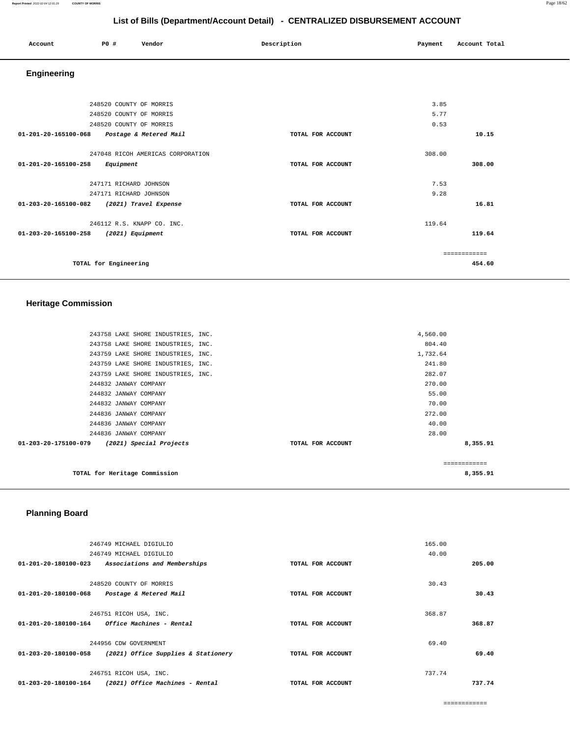|                                              |                         | $\sim$ $\sim$ $\sim$ $\sim$ $\sim$ $\sim$ $\sim$ |                   |         |               |  |
|----------------------------------------------|-------------------------|--------------------------------------------------|-------------------|---------|---------------|--|
| Account                                      | P0 #                    | Vendor                                           | Description       | Payment | Account Total |  |
| Engineering                                  |                         |                                                  |                   |         |               |  |
|                                              |                         |                                                  |                   |         |               |  |
|                                              | 248520 COUNTY OF MORRIS |                                                  |                   | 3.85    |               |  |
|                                              | 248520 COUNTY OF MORRIS |                                                  |                   | 5.77    |               |  |
|                                              | 248520 COUNTY OF MORRIS |                                                  |                   | 0.53    |               |  |
| 01-201-20-165100-068  Postage & Metered Mail |                         |                                                  | TOTAL FOR ACCOUNT |         | 10.15         |  |
|                                              |                         | 247048 RICOH AMERICAS CORPORATION                |                   | 308.00  |               |  |
| 01-201-20-165100-258 Equipment               |                         |                                                  | TOTAL FOR ACCOUNT |         | 308,00        |  |
|                                              | 247171 RICHARD JOHNSON  |                                                  |                   | 7.53    |               |  |
|                                              | 247171 RICHARD JOHNSON  |                                                  |                   | 9.28    |               |  |
| 01-203-20-165100-082 (2021) Travel Expense   |                         |                                                  | TOTAL FOR ACCOUNT |         | 16.81         |  |
|                                              |                         | 246112 R.S. KNAPP CO. INC.                       |                   | 119.64  |               |  |
| 01-203-20-165100-258 (2021) Equipment        |                         |                                                  | TOTAL FOR ACCOUNT |         | 119.64        |  |
|                                              |                         |                                                  |                   |         | ============  |  |
|                                              | TOTAL for Engineering   |                                                  |                   |         | 454.60        |  |

# **Heritage Commission**

| 243758 LAKE SHORE INDUSTRIES, INC.              |                   | 4,560.00     |
|-------------------------------------------------|-------------------|--------------|
| 243758 LAKE SHORE INDUSTRIES, INC.              |                   | 804.40       |
| 243759 LAKE SHORE INDUSTRIES, INC.              |                   | 1,732.64     |
| 243759 LAKE SHORE INDUSTRIES, INC.              |                   | 241.80       |
| 243759 LAKE SHORE INDUSTRIES, INC.              |                   | 282.07       |
| 244832 JANWAY COMPANY                           |                   | 270.00       |
| 244832 JANWAY COMPANY                           |                   | 55.00        |
| 244832 JANWAY COMPANY                           |                   | 70.00        |
| 244836 JANWAY COMPANY                           |                   | 272.00       |
| 244836 JANWAY COMPANY                           |                   | 40.00        |
| 244836 JANWAY COMPANY                           |                   | 28.00        |
| 01-203-20-175100-079<br>(2021) Special Projects | TOTAL FOR ACCOUNT | 8,355.91     |
|                                                 |                   |              |
|                                                 |                   | ============ |
| TOTAL for Heritage Commission                   |                   | 8,355.91     |
|                                                 |                   |              |

# **Planning Board**

|                      | 246749 MICHAEL DIGIULIO                |                   | 165.00 |        |
|----------------------|----------------------------------------|-------------------|--------|--------|
|                      | 246749 MICHAEL DIGIULIO                |                   | 40.00  |        |
| 01-201-20-180100-023 | Associations and Memberships           | TOTAL FOR ACCOUNT |        | 205.00 |
|                      | 248520 COUNTY OF MORRIS                |                   | 30.43  |        |
| 01-201-20-180100-068 | Postage & Metered Mail                 | TOTAL FOR ACCOUNT |        | 30.43  |
|                      | 246751 RICOH USA, INC.                 |                   | 368.87 |        |
| 01-201-20-180100-164 | <i><b>Office Machines - Rental</b></i> | TOTAL FOR ACCOUNT |        | 368.87 |
|                      | 244956 CDW GOVERNMENT                  |                   | 69.40  |        |
| 01-203-20-180100-058 | (2021) Office Supplies & Stationery    | TOTAL FOR ACCOUNT |        | 69.40  |
|                      | 246751 RICOH USA, INC.                 |                   | 737.74 |        |
| 01-203-20-180100-164 | (2021) Office Machines - Rental        | TOTAL FOR ACCOUNT |        | 737.74 |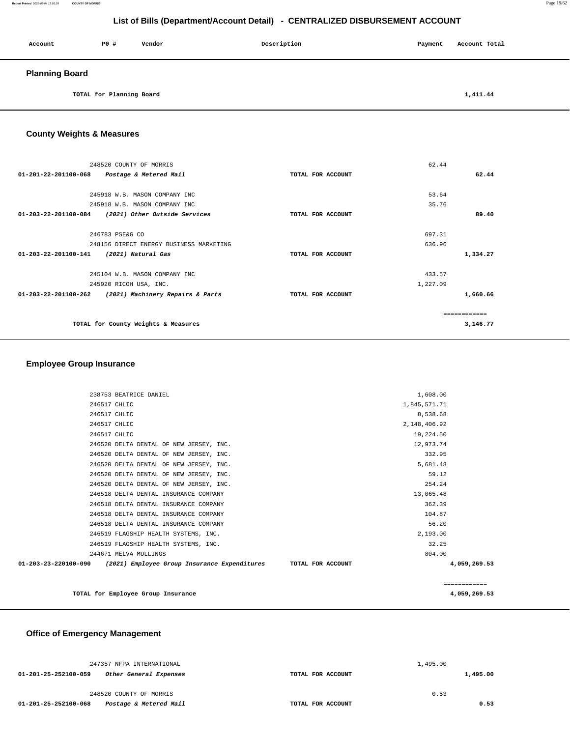#### **Report Printed** 2022-02-04 12:01:29 **COUNTY OF MORRIS** Page 19/62

# **List of Bills (Department/Account Detail) - CENTRALIZED DISBURSEMENT ACCOUNT**

| Account               | <b>PO #</b>              | Vendor | Description | Payment | Account Total |
|-----------------------|--------------------------|--------|-------------|---------|---------------|
| <b>Planning Board</b> |                          |        |             |         |               |
|                       | TOTAL for Planning Board |        |             |         | 1,411.44      |

**County Weights & Measures**

| 248520 COUNTY OF MORRIS<br>01-201-22-201100-068 Postage & Metered Mail | TOTAL FOR ACCOUNT | 62.44<br>62.44 |
|------------------------------------------------------------------------|-------------------|----------------|
|                                                                        |                   |                |
| 245918 W.B. MASON COMPANY INC                                          |                   | 53.64          |
| 245918 W.B. MASON COMPANY INC                                          |                   | 35.76          |
| 01-203-22-201100-084 (2021) Other Outside Services                     | TOTAL FOR ACCOUNT | 89.40          |
|                                                                        |                   |                |
| 246783 PSE&G CO                                                        |                   | 697.31         |
| 248156 DIRECT ENERGY BUSINESS MARKETING                                |                   | 636.96         |
| 01-203-22-201100-141<br>(2021) Natural Gas                             | TOTAL FOR ACCOUNT | 1,334.27       |
| 245104 W.B. MASON COMPANY INC                                          |                   | 433.57         |
| 245920 RICOH USA, INC.                                                 |                   | 1,227.09       |
| $01 - 203 - 22 - 201100 - 262$<br>(2021) Machinery Repairs & Parts     | TOTAL FOR ACCOUNT | 1,660.66       |
|                                                                        |                   | -------------  |
| TOTAL for County Weights & Measures                                    |                   | 3,146.77       |

## **Employee Group Insurance**

| 244671 MELVA MULLINGS<br>01-203-23-220100-090 (2021) Employee Group Insurance Expenditures TOTAL FOR ACCOUNT | 804.00       | 4,059,269.53 |
|--------------------------------------------------------------------------------------------------------------|--------------|--------------|
| 246519 FLAGSHIP HEALTH SYSTEMS, INC.                                                                         | 32.25        |              |
| 246519 FLAGSHIP HEALTH SYSTEMS, INC.                                                                         | 2,193.00     |              |
| 246518 DELTA DENTAL INSURANCE COMPANY                                                                        | 56.20        |              |
| 246518 DELTA DENTAL INSURANCE COMPANY                                                                        | 104.87       |              |
| 246518 DELTA DENTAL INSURANCE COMPANY                                                                        | 362.39       |              |
| 246518 DELTA DENTAL INSURANCE COMPANY                                                                        | 13,065.48    |              |
| 246520 DELTA DENTAL OF NEW JERSEY, INC.                                                                      | 254.24       |              |
| 246520 DELTA DENTAL OF NEW JERSEY, INC.                                                                      | 59.12        |              |
| 246520 DELTA DENTAL OF NEW JERSEY, INC.                                                                      | 5,681.48     |              |
| 246520 DELTA DENTAL OF NEW JERSEY, INC.                                                                      | 332.95       |              |
| 246520 DELTA DENTAL OF NEW JERSEY, INC.                                                                      | 12,973.74    |              |
| 246517 CHLIC                                                                                                 | 19,224.50    |              |
| 246517 CHLIC                                                                                                 | 2,148,406.92 |              |
| 246517 CHLIC                                                                                                 | 8,538.68     |              |
| 246517 CHLIC                                                                                                 | 1,845,571.71 |              |
| 238753 BEATRICE DANIEL                                                                                       | 1,608.00     |              |

# **Office of Emergency Management**

| 247357 NFPA INTERNATIONAL                      |                   | 1,495.00 |          |
|------------------------------------------------|-------------------|----------|----------|
| 01-201-25-252100-059<br>Other General Expenses | TOTAL FOR ACCOUNT |          | 1,495.00 |
| 248520 COUNTY OF MORRIS                        |                   | 0.53     |          |
| 01-201-25-252100-068<br>Postage & Metered Mail | TOTAL FOR ACCOUNT |          | 0.53     |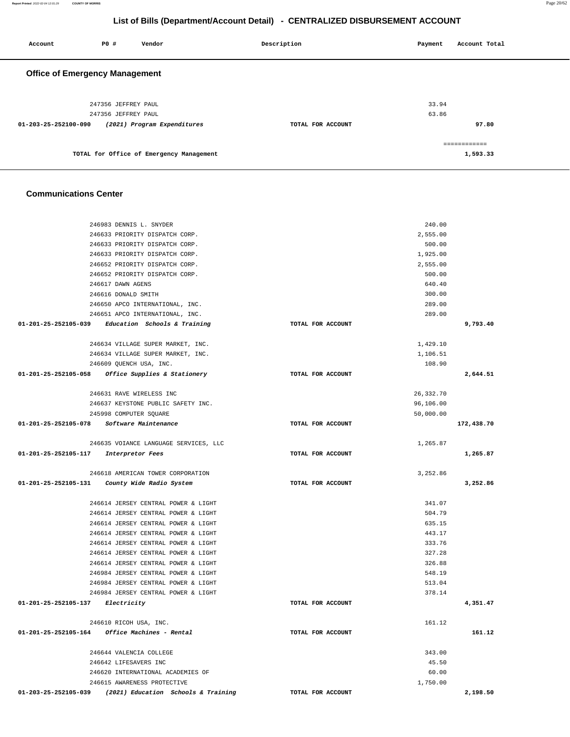| 247356 JEFFREY PAUL                                      |                   | 33.94     |              |
|----------------------------------------------------------|-------------------|-----------|--------------|
| 247356 JEFFREY PAUL                                      |                   | 63.86     |              |
| 01-203-25-252100-090<br>(2021) Program Expenditures      | TOTAL FOR ACCOUNT |           | 97.80        |
|                                                          |                   |           |              |
|                                                          |                   |           | ============ |
| TOTAL for Office of Emergency Management                 |                   |           | 1,593.33     |
|                                                          |                   |           |              |
|                                                          |                   |           |              |
| <b>Communications Center</b>                             |                   |           |              |
|                                                          |                   |           |              |
| 246983 DENNIS L. SNYDER                                  |                   | 240.00    |              |
| 246633 PRIORITY DISPATCH CORP.                           |                   | 2,555.00  |              |
| 246633 PRIORITY DISPATCH CORP.                           |                   | 500.00    |              |
| 246633 PRIORITY DISPATCH CORP.                           |                   | 1,925.00  |              |
| 246652 PRIORITY DISPATCH CORP.                           |                   | 2,555.00  |              |
| 246652 PRIORITY DISPATCH CORP.                           |                   | 500.00    |              |
| 246617 DAWN AGENS                                        |                   | 640.40    |              |
| 246616 DONALD SMITH                                      |                   | 300.00    |              |
| 246650 APCO INTERNATIONAL, INC.                          |                   | 289.00    |              |
| 246651 APCO INTERNATIONAL, INC.                          |                   | 289.00    |              |
| 01-201-25-252105-039 Education Schools & Training        | TOTAL FOR ACCOUNT |           | 9,793.40     |
|                                                          |                   |           |              |
| 246634 VILLAGE SUPER MARKET, INC.                        |                   | 1,429.10  |              |
| 246634 VILLAGE SUPER MARKET, INC.                        |                   | 1,106.51  |              |
| 246609 QUENCH USA, INC.                                  |                   | 108.90    |              |
| 01-201-25-252105-058<br>Office Supplies & Stationery     | TOTAL FOR ACCOUNT |           | 2,644.51     |
| 246631 RAVE WIRELESS INC                                 |                   | 26,332.70 |              |
| 246637 KEYSTONE PUBLIC SAFETY INC.                       |                   | 96,106.00 |              |
| 245998 COMPUTER SQUARE                                   |                   | 50,000.00 |              |
| 01-201-25-252105-078<br>Software Maintenance             | TOTAL FOR ACCOUNT |           | 172,438.70   |
|                                                          |                   |           |              |
| 246635 VOIANCE LANGUAGE SERVICES, LLC                    |                   | 1,265.87  |              |
| 01-201-25-252105-117<br>Interpretor Fees                 | TOTAL FOR ACCOUNT |           | 1,265.87     |
| 246618 AMERICAN TOWER CORPORATION                        |                   | 3,252.86  |              |
| 01-201-25-252105-131<br>County Wide Radio System         | TOTAL FOR ACCOUNT |           | 3,252.86     |
|                                                          |                   |           |              |
| 246614 JERSEY CENTRAL POWER & LIGHT                      |                   | 341.07    |              |
| 246614 JERSEY CENTRAL POWER & LIGHT                      |                   | 504.79    |              |
| 246614 JERSEY CENTRAL POWER & LIGHT                      |                   | 635.15    |              |
| 246614 JERSEY CENTRAL POWER & LIGHT                      |                   | 443.17    |              |
| 246614 JERSEY CENTRAL POWER & LIGHT                      |                   | 333.76    |              |
| 246614 JERSEY CENTRAL POWER & LIGHT                      |                   | 327.28    |              |
| 246614 JERSEY CENTRAL POWER & LIGHT                      |                   | 326.88    |              |
| 246984 JERSEY CENTRAL POWER & LIGHT                      |                   | 548.19    |              |
| 246984 JERSEY CENTRAL POWER & LIGHT                      |                   | 513.04    |              |
| 246984 JERSEY CENTRAL POWER & LIGHT                      |                   | 378.14    |              |
| $01 - 201 - 25 - 252105 - 137$ Electricity               | TOTAL FOR ACCOUNT |           | 4,351.47     |
|                                                          |                   |           |              |
| 246610 RICOH USA, INC.                                   |                   | 161.12    |              |
| 01-201-25-252105-164 Office Machines - Rental            | TOTAL FOR ACCOUNT |           | 161.12       |
| 246644 VALENCIA COLLEGE                                  |                   | 343.00    |              |
| 246642 LIFESAVERS INC                                    |                   | 45.50     |              |
| 246620 INTERNATIONAL ACADEMIES OF                        |                   | 60.00     |              |
| 246615 AWARENESS PROTECTIVE                              |                   | 1,750.00  |              |
| 01-203-25-252105-039 (2021) Education Schools & Training | TOTAL FOR ACCOUNT |           | 2,198.50     |
|                                                          |                   |           |              |

| <b>Office of Emergency Management</b>               |                   |              |
|-----------------------------------------------------|-------------------|--------------|
| 247356 JEFFREY PAUL                                 |                   | 33.94        |
| 247356 JEFFREY PAUL                                 |                   | 63.86        |
| (2021) Program Expenditures<br>01-203-25-252100-090 | TOTAL FOR ACCOUNT | 97.80        |
|                                                     |                   | ============ |
| TOTAL for Office of Emergency Management            |                   | 1.593.33     |

 **Account P0 # Vendor Description Payment Account Total**

# **List of Bills (Department/Account Detail) - CENTRALIZED DISBURSEMENT ACCOUNT**

**Report Printed** 2022-02-04 12:01:29 **COUNTY OF MORRIS** Page 20/62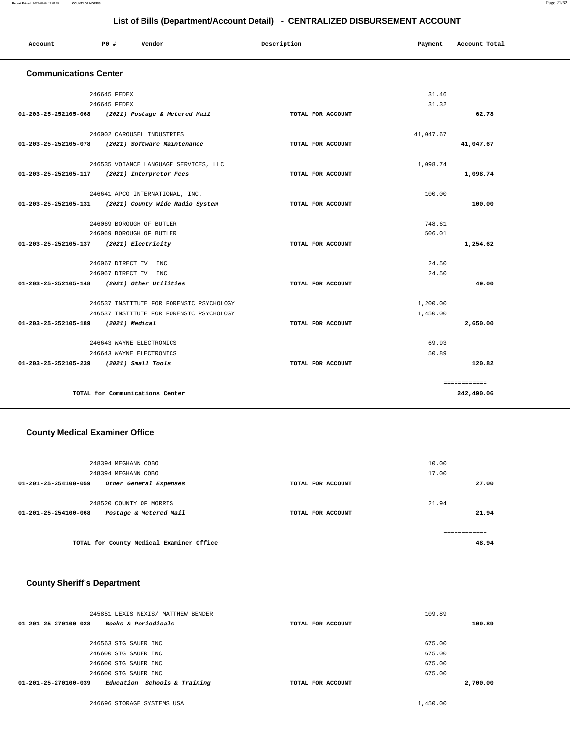| Account                      | PO# | Vendor | Description | Payment | Account Total |
|------------------------------|-----|--------|-------------|---------|---------------|
| <b>Communications Center</b> |     |        |             |         |               |

| 246645 FEDEX                            |                                                      | 31.46             |           |              |
|-----------------------------------------|------------------------------------------------------|-------------------|-----------|--------------|
|                                         | 246645 FEDEX                                         |                   | 31.32     |              |
|                                         | 01-203-25-252105-068 (2021) Postage & Metered Mail   | TOTAL FOR ACCOUNT |           | 62.78        |
|                                         | 246002 CAROUSEL INDUSTRIES                           |                   | 41,047.67 |              |
|                                         | 01-203-25-252105-078 (2021) Software Maintenance     | TOTAL FOR ACCOUNT |           | 41,047.67    |
|                                         | 246535 VOIANCE LANGUAGE SERVICES, LLC                |                   | 1,098.74  |              |
|                                         | 01-203-25-252105-117 (2021) Interpretor Fees         | TOTAL FOR ACCOUNT |           | 1,098.74     |
|                                         | 246641 APCO INTERNATIONAL, INC.                      |                   | 100.00    |              |
|                                         | 01-203-25-252105-131 (2021) County Wide Radio System | TOTAL FOR ACCOUNT |           | 100.00       |
|                                         | 246069 BOROUGH OF BUTLER                             |                   | 748.61    |              |
|                                         | 246069 BOROUGH OF BUTLER                             |                   | 506.01    |              |
| 01-203-25-252105-137 (2021) Electricity |                                                      | TOTAL FOR ACCOUNT |           | 1,254.62     |
|                                         | 246067 DIRECT TV INC                                 |                   | 24.50     |              |
|                                         | 246067 DIRECT TV INC                                 |                   | 24.50     |              |
|                                         | 01-203-25-252105-148 (2021) Other Utilities          | TOTAL FOR ACCOUNT |           | 49.00        |
|                                         | 246537 INSTITUTE FOR FORENSIC PSYCHOLOGY             |                   | 1,200.00  |              |
|                                         | 246537 INSTITUTE FOR FORENSIC PSYCHOLOGY             |                   | 1,450.00  |              |
| 01-203-25-252105-189 (2021) Medical     |                                                      | TOTAL FOR ACCOUNT |           | 2,650.00     |
|                                         | 246643 WAYNE ELECTRONICS                             |                   | 69.93     |              |
|                                         | 246643 WAYNE ELECTRONICS                             |                   | 50.89     |              |
| 01-203-25-252105-239 (2021) Small Tools |                                                      | TOTAL FOR ACCOUNT |           | 120.82       |
|                                         |                                                      |                   |           | ============ |
|                                         | TOTAL for Communications Center                      |                   |           | 242,490.06   |

#### **County Medical Examiner Office**

| 248394 MEGHANN COBO<br>248394 MEGHANN COBO                                |                   | 10.00<br>17.00 |
|---------------------------------------------------------------------------|-------------------|----------------|
| $01 - 201 - 25 - 254100 - 059$<br>Other General Expenses                  | TOTAL FOR ACCOUNT | 27.00          |
| 248520 COUNTY OF MORRIS<br>Postage & Metered Mail<br>01-201-25-254100-068 | TOTAL FOR ACCOUNT | 21.94<br>21.94 |
| TOTAL for County Medical Examiner Office                                  |                   | 48.94          |

## **County Sheriff's Department**

| 245851 LEXIS NEXIS/ MATTHEW BENDER                     |                   | 109.89   |
|--------------------------------------------------------|-------------------|----------|
| <b>Books &amp; Periodicals</b><br>01-201-25-270100-028 | TOTAL FOR ACCOUNT | 109.89   |
|                                                        |                   |          |
| 246563 SIG SAUER INC                                   |                   | 675.00   |
| 246600 SIG SAUER INC                                   |                   | 675.00   |
| 246600 SIG SAUER INC                                   |                   | 675.00   |
| 246600 SIG SAUER INC                                   |                   | 675.00   |
| Education Schools & Training<br>01-201-25-270100-039   | TOTAL FOR ACCOUNT | 2,700.00 |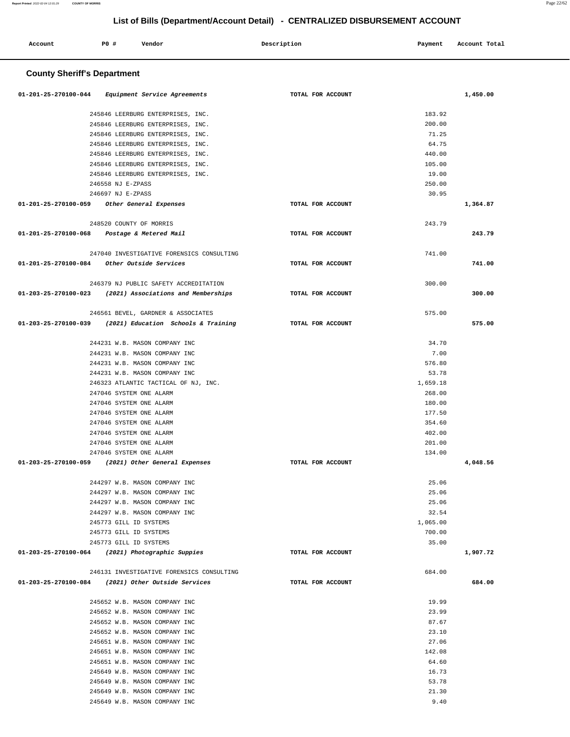| Account                     | PO# | Vendor | Description | Payment | Account Total |  |
|-----------------------------|-----|--------|-------------|---------|---------------|--|
| County Shoriff's Donartmant |     |        |             |         |               |  |

#### **County Sheriff's Department**

| 01-201-25-270100-044 Equipment Service Agreements          | TOTAL FOR ACCOUNT |                | 1,450.00 |
|------------------------------------------------------------|-------------------|----------------|----------|
|                                                            |                   |                |          |
| 245846 LEERBURG ENTERPRISES, INC.                          |                   | 183.92         |          |
| 245846 LEERBURG ENTERPRISES, INC.                          |                   | 200.00         |          |
| 245846 LEERBURG ENTERPRISES, INC.                          |                   | 71.25          |          |
| 245846 LEERBURG ENTERPRISES, INC.                          |                   | 64.75          |          |
| 245846 LEERBURG ENTERPRISES, INC.                          |                   | 440.00         |          |
| 245846 LEERBURG ENTERPRISES, INC.                          |                   | 105.00         |          |
| 245846 LEERBURG ENTERPRISES, INC.                          |                   | 19.00          |          |
| 246558 NJ E-ZPASS                                          |                   | 250.00         |          |
| 246697 NJ E-ZPASS                                          |                   | 30.95          |          |
| 01-201-25-270100-059 Other General Expenses                | TOTAL FOR ACCOUNT |                | 1,364.87 |
| 248520 COUNTY OF MORRIS                                    |                   | 243.79         |          |
| 01-201-25-270100-068 Postage & Metered Mail                | TOTAL FOR ACCOUNT |                | 243.79   |
|                                                            |                   |                |          |
| 247040 INVESTIGATIVE FORENSICS CONSULTING                  |                   | 741.00         |          |
| 01-201-25-270100-084 Other Outside Services                | TOTAL FOR ACCOUNT |                | 741.00   |
|                                                            |                   |                |          |
| 246379 NJ PUBLIC SAFETY ACCREDITATION                      |                   | 300.00         |          |
| $01-203-25-270100-023$ (2021) Associations and Memberships | TOTAL FOR ACCOUNT |                | 300.00   |
|                                                            |                   |                |          |
| 246561 BEVEL, GARDNER & ASSOCIATES                         |                   | 575.00         |          |
| 01-203-25-270100-039 (2021) Education Schools & Training   | TOTAL FOR ACCOUNT |                | 575.00   |
|                                                            |                   |                |          |
| 244231 W.B. MASON COMPANY INC                              |                   | 34.70          |          |
| 244231 W.B. MASON COMPANY INC                              |                   | 7.00           |          |
| 244231 W.B. MASON COMPANY INC                              |                   | 576.80         |          |
| 244231 W.B. MASON COMPANY INC                              |                   | 53.78          |          |
| 246323 ATLANTIC TACTICAL OF NJ, INC.                       |                   | 1,659.18       |          |
| 247046 SYSTEM ONE ALARM                                    |                   | 268.00         |          |
| 247046 SYSTEM ONE ALARM                                    |                   | 180.00         |          |
| 247046 SYSTEM ONE ALARM                                    |                   | 177.50         |          |
| 247046 SYSTEM ONE ALARM                                    |                   | 354.60         |          |
| 247046 SYSTEM ONE ALARM                                    |                   | 402.00         |          |
| 247046 SYSTEM ONE ALARM                                    |                   | 201.00         |          |
| 247046 SYSTEM ONE ALARM                                    |                   | 134.00         |          |
| 01-203-25-270100-059 (2021) Other General Expenses         | TOTAL FOR ACCOUNT |                | 4,048.56 |
|                                                            |                   |                |          |
| 244297 W.B. MASON COMPANY INC                              |                   | 25.06          |          |
| 244297 W.B. MASON COMPANY INC                              |                   | 25.06<br>25.06 |          |
| 244297 W.B. MASON COMPANY INC                              |                   | 32.54          |          |
| 244297 W.B. MASON COMPANY INC<br>245773 GILL ID SYSTEMS    |                   | 1,065.00       |          |
| 245773 GILL ID SYSTEMS                                     |                   | 700.00         |          |
| 245773 GILL ID SYSTEMS                                     |                   | 35.00          |          |
| 01-203-25-270100-064 (2021) Photographic Suppies           | TOTAL FOR ACCOUNT |                | 1,907.72 |
|                                                            |                   |                |          |
| 246131 INVESTIGATIVE FORENSICS CONSULTING                  |                   | 684.00         |          |
| 01-203-25-270100-084 (2021) Other Outside Services         | TOTAL FOR ACCOUNT |                | 684.00   |
|                                                            |                   |                |          |
| 245652 W.B. MASON COMPANY INC                              |                   | 19.99          |          |
| 245652 W.B. MASON COMPANY INC                              |                   | 23.99          |          |
| 245652 W.B. MASON COMPANY INC                              |                   | 87.67          |          |
| 245652 W.B. MASON COMPANY INC                              |                   | 23.10          |          |
| 245651 W.B. MASON COMPANY INC                              |                   | 27.06          |          |
| 245651 W.B. MASON COMPANY INC                              |                   | 142.08         |          |
| 245651 W.B. MASON COMPANY INC                              |                   | 64.60          |          |
| 245649 W.B. MASON COMPANY INC                              |                   | 16.73          |          |
| 245649 W.B. MASON COMPANY INC                              |                   | 53.78          |          |
| 245649 W.B. MASON COMPANY INC                              |                   | 21.30          |          |
| 245649 W.B. MASON COMPANY INC                              |                   | 9.40           |          |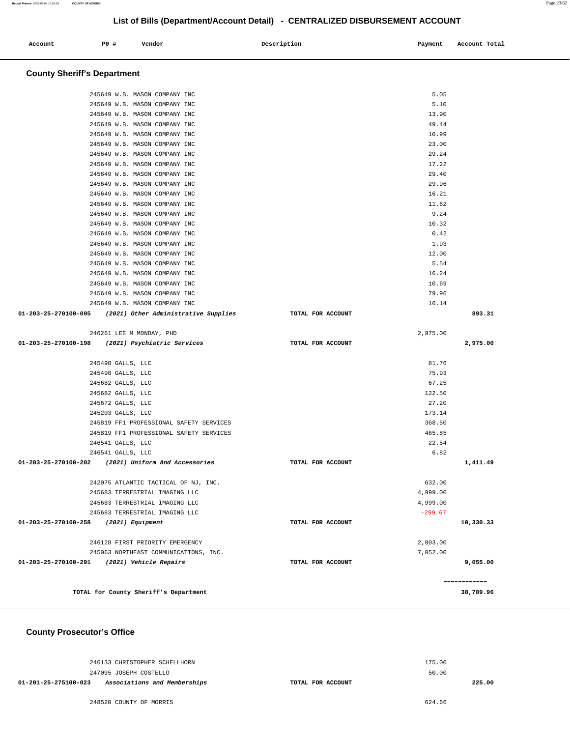| Account | PO# | Vendor | Description | Payment | Account Total |
|---------|-----|--------|-------------|---------|---------------|
| .       |     |        |             |         |               |
|         |     |        |             |         |               |

## **County Sheriff's Department**

| 245649 W.B. MASON COMPANY INC                                            | 5.05              |              |
|--------------------------------------------------------------------------|-------------------|--------------|
| 245649 W.B. MASON COMPANY INC                                            | 5.10              |              |
| 245649 W.B. MASON COMPANY INC                                            | 13.90             |              |
| 245649 W.B. MASON COMPANY INC                                            | 49.44             |              |
| 245649 W.B. MASON COMPANY INC                                            | 10.99             |              |
| 245649 W.B. MASON COMPANY INC                                            | 23.00             |              |
| 245649 W.B. MASON COMPANY INC                                            | 29.24             |              |
| 245649 W.B. MASON COMPANY INC                                            | 17.22             |              |
| 245649 W.B. MASON COMPANY INC                                            | 29.40             |              |
| 245649 W.B. MASON COMPANY INC                                            | 29.96             |              |
| 245649 W.B. MASON COMPANY INC                                            | 16.21             |              |
| 245649 W.B. MASON COMPANY INC                                            | 11.62             |              |
| 245649 W.B. MASON COMPANY INC                                            | 9.24              |              |
| 245649 W.B. MASON COMPANY INC                                            | 10.32             |              |
| 245649 W.B. MASON COMPANY INC                                            | 0.42              |              |
| 245649 W.B. MASON COMPANY INC                                            | 1.93              |              |
| 245649 W.B. MASON COMPANY INC                                            | 12.00             |              |
| 245649 W.B. MASON COMPANY INC                                            | 5.54              |              |
| 245649 W.B. MASON COMPANY INC                                            | 16.24             |              |
| 245649 W.B. MASON COMPANY INC                                            | 10.69             |              |
| 245649 W.B. MASON COMPANY INC                                            | 79.96             |              |
| 245649 W.B. MASON COMPANY INC                                            | 16.14             |              |
| 01-203-25-270100-095 (2021) Other Administrative Supplies                | TOTAL FOR ACCOUNT | 893.31       |
| 246261 LEE M MONDAY, PHD                                                 | 2,975.00          |              |
| 01-203-25-270100-198 (2021) Psychiatric Services                         | TOTAL FOR ACCOUNT | 2,975.00     |
|                                                                          |                   |              |
| 245498 GALLS, LLC                                                        | 81.76             |              |
| 245498 GALLS, LLC                                                        | 75.93             |              |
| 245682 GALLS, LLC                                                        | 67.25<br>122.50   |              |
| 245682 GALLS, LLC                                                        |                   |              |
| 245672 GALLS, LLC                                                        | 27.20             |              |
| 245203 GALLS, LLC                                                        | 173.14            |              |
| 245819 FF1 PROFESSIONAL SAFETY SERVICES                                  | 368.50<br>465.85  |              |
| 245819 FF1 PROFESSIONAL SAFETY SERVICES                                  |                   |              |
| 246541 GALLS, LLC                                                        | 22.54<br>6.82     |              |
| 246541 GALLS, LLC<br>01-203-25-270100-202 (2021) Uniform And Accessories | TOTAL FOR ACCOUNT | 1,411.49     |
|                                                                          |                   |              |
| 242075 ATLANTIC TACTICAL OF NJ, INC.                                     | 632.00            |              |
| 245683 TERRESTRIAL IMAGING LLC                                           | 4,999.00          |              |
| 245683 TERRESTRIAL IMAGING LLC                                           | 4,999.00          |              |
| 245683 TERRESTRIAL IMAGING LLC                                           | $-299.67$         |              |
| 01-203-25-270100-258<br>(2021) Equipment                                 | TOTAL FOR ACCOUNT | 10,330.33    |
|                                                                          |                   |              |
|                                                                          |                   |              |
| 246128 FIRST PRIORITY EMERGENCY                                          | 2,003.00          |              |
| 245063 NORTHEAST COMMUNICATIONS, INC.                                    | 7,052.00          |              |
| 01-203-25-270100-291<br>(2021) Vehicle Repairs                           | TOTAL FOR ACCOUNT | 9,055.00     |
| TOTAL for County Sheriff's Department                                    |                   | ------------ |

 **County Prosecutor's Office**

|                      | 246133 CHRISTOPHER SCHELLHORN | 175.00            |        |
|----------------------|-------------------------------|-------------------|--------|
|                      | 247095 JOSEPH COSTELLO        | 50.00             |        |
| 01-201-25-275100-023 | Associations and Memberships  | TOTAL FOR ACCOUNT | 225.00 |
|                      |                               |                   |        |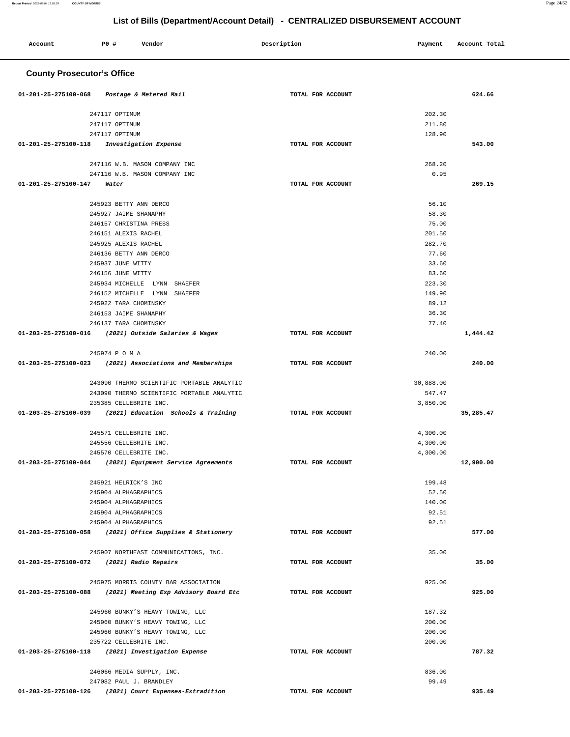۳

| Account                                                | <b>PO #</b>                                     | Vendor                                     |  | Description       |  | Payment        | Account Total |  |
|--------------------------------------------------------|-------------------------------------------------|--------------------------------------------|--|-------------------|--|----------------|---------------|--|
|                                                        | <b>County Prosecutor's Office</b>               |                                            |  |                   |  |                |               |  |
| 01-201-25-275100-068                                   |                                                 | Postage & Metered Mail                     |  | TOTAL FOR ACCOUNT |  |                | 624.66        |  |
|                                                        | 247117 OPTIMUM                                  |                                            |  |                   |  | 202.30         |               |  |
|                                                        | 247117 OPTIMUM                                  |                                            |  |                   |  | 211.80         |               |  |
|                                                        | 247117 OPTIMUM                                  |                                            |  |                   |  | 128.90         |               |  |
| 01-201-25-275100-118                                   |                                                 | Investigation Expense                      |  | TOTAL FOR ACCOUNT |  |                | 543.00        |  |
|                                                        |                                                 | 247116 W.B. MASON COMPANY INC              |  |                   |  | 268.20         |               |  |
|                                                        |                                                 | 247116 W.B. MASON COMPANY INC              |  |                   |  | 0.95           |               |  |
| 01-201-25-275100-147                                   | Water                                           |                                            |  | TOTAL FOR ACCOUNT |  |                | 269.15        |  |
|                                                        |                                                 |                                            |  |                   |  |                |               |  |
|                                                        | 245923 BETTY ANN DERCO<br>245927 JAIME SHANAPHY |                                            |  |                   |  | 56.10<br>58.30 |               |  |
|                                                        | 246157 CHRISTINA PRESS                          |                                            |  |                   |  | 75.00          |               |  |
|                                                        | 246151 ALEXIS RACHEL                            |                                            |  |                   |  | 201.50         |               |  |
|                                                        | 245925 ALEXIS RACHEL                            |                                            |  |                   |  | 282.70         |               |  |
|                                                        | 246136 BETTY ANN DERCO                          |                                            |  |                   |  | 77.60          |               |  |
|                                                        | 245937 JUNE WITTY                               |                                            |  |                   |  | 33.60          |               |  |
|                                                        | 246156 JUNE WITTY                               |                                            |  |                   |  | 83.60          |               |  |
|                                                        |                                                 | 245934 MICHELLE LYNN SHAEFER               |  |                   |  | 223.30         |               |  |
|                                                        | 246152 MICHELLE LYNN                            | SHAEFER                                    |  |                   |  | 149.90         |               |  |
|                                                        | 245922 TARA CHOMINSKY                           |                                            |  |                   |  | 89.12          |               |  |
|                                                        | 246153 JAIME SHANAPHY<br>246137 TARA CHOMINSKY  |                                            |  |                   |  | 36.30<br>77.40 |               |  |
| 01-203-25-275100-016 (2021) Outside Salaries & Wages   |                                                 |                                            |  | TOTAL FOR ACCOUNT |  |                | 1,444.42      |  |
|                                                        |                                                 |                                            |  |                   |  |                |               |  |
|                                                        | 245974 P O M A                                  |                                            |  |                   |  | 240.00         |               |  |
| 01-203-25-275100-023                                   |                                                 | (2021) Associations and Memberships        |  | TOTAL FOR ACCOUNT |  |                | 240.00        |  |
|                                                        |                                                 | 243090 THERMO SCIENTIFIC PORTABLE ANALYTIC |  |                   |  | 30,888.00      |               |  |
|                                                        |                                                 | 243090 THERMO SCIENTIFIC PORTABLE ANALYTIC |  |                   |  | 547.47         |               |  |
|                                                        | 235385 CELLEBRITE INC.                          |                                            |  |                   |  | 3,850.00       |               |  |
| 01-203-25-275100-039                                   |                                                 | (2021) Education Schools & Training        |  | TOTAL FOR ACCOUNT |  |                | 35,285.47     |  |
|                                                        | 245571 CELLEBRITE INC.                          |                                            |  |                   |  | 4,300.00       |               |  |
|                                                        | 245556 CELLEBRITE INC.                          |                                            |  |                   |  | 4,300.00       |               |  |
|                                                        | 245570 CELLEBRITE INC.                          |                                            |  |                   |  | 4,300.00       |               |  |
| 01-203-25-275100-044                                   |                                                 | (2021) Equipment Service Agreements        |  | TOTAL FOR ACCOUNT |  |                | 12,900.00     |  |
|                                                        | 245921 HELRICK'S INC                            |                                            |  |                   |  | 199.48         |               |  |
|                                                        | 245904 ALPHAGRAPHICS                            |                                            |  |                   |  | 52.50          |               |  |
|                                                        | 245904 ALPHAGRAPHICS                            |                                            |  |                   |  | 140.00         |               |  |
|                                                        | 245904 ALPHAGRAPHICS                            |                                            |  |                   |  | 92.51          |               |  |
|                                                        | 245904 ALPHAGRAPHICS                            |                                            |  |                   |  | 92.51          |               |  |
| 01-203-25-275100-058                                   |                                                 | (2021) Office Supplies & Stationery        |  | TOTAL FOR ACCOUNT |  |                | 577.00        |  |
|                                                        |                                                 | 245907 NORTHEAST COMMUNICATIONS, INC.      |  |                   |  | 35.00          |               |  |
| 01-203-25-275100-072                                   | (2021) Radio Repairs                            |                                            |  | TOTAL FOR ACCOUNT |  |                | 35.00         |  |
|                                                        |                                                 |                                            |  |                   |  |                |               |  |
|                                                        |                                                 | 245975 MORRIS COUNTY BAR ASSOCIATION       |  |                   |  | 925.00         |               |  |
| 01-203-25-275100-088                                   |                                                 | (2021) Meeting Exp Advisory Board Etc      |  | TOTAL FOR ACCOUNT |  |                | 925.00        |  |
|                                                        |                                                 | 245960 BUNKY'S HEAVY TOWING, LLC           |  |                   |  | 187.32         |               |  |
|                                                        |                                                 | 245960 BUNKY'S HEAVY TOWING, LLC           |  |                   |  | 200.00         |               |  |
|                                                        |                                                 | 245960 BUNKY'S HEAVY TOWING, LLC           |  |                   |  | 200.00         |               |  |
|                                                        | 235722 CELLEBRITE INC.                          |                                            |  |                   |  | 200.00         |               |  |
| 01-203-25-275100-118                                   |                                                 | (2021) Investigation Expense               |  | TOTAL FOR ACCOUNT |  |                | 787.32        |  |
|                                                        | 246066 MEDIA SUPPLY, INC.                       |                                            |  |                   |  | 836.00         |               |  |
|                                                        | 247082 PAUL J. BRANDLEY                         |                                            |  |                   |  | 99.49          |               |  |
| 01-203-25-275100-126 (2021) Court Expenses-Extradition |                                                 |                                            |  | TOTAL FOR ACCOUNT |  |                | 935.49        |  |

**Report Printed** 2022-02-04 12:01:29 **COUNTY OF MORRIS** Page 24/62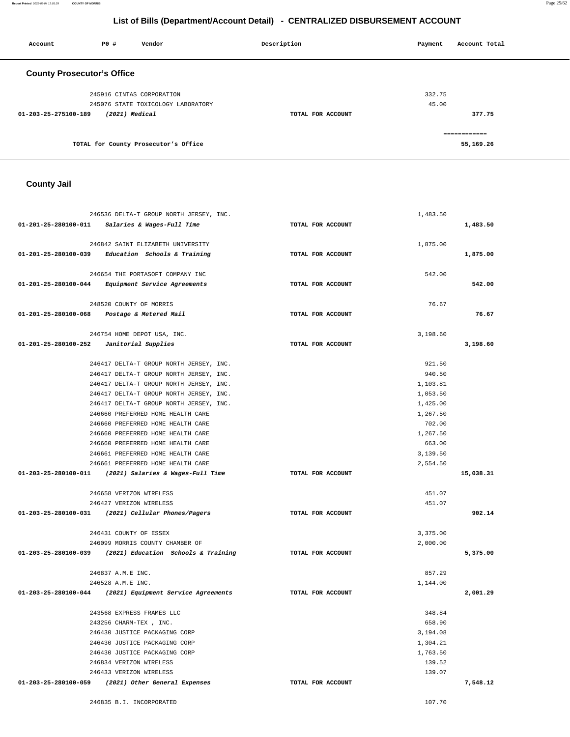246835 B.I. INCORPORATED 107.70

| <b>County Jail</b>                                                                 |                   |                      |           |
|------------------------------------------------------------------------------------|-------------------|----------------------|-----------|
|                                                                                    |                   |                      |           |
|                                                                                    |                   |                      |           |
| 246536 DELTA-T GROUP NORTH JERSEY, INC.                                            |                   | 1,483.50             |           |
| 01-201-25-280100-011<br>Salaries & Wages-Full Time                                 | TOTAL FOR ACCOUNT |                      | 1,483.50  |
| 246842 SAINT ELIZABETH UNIVERSITY                                                  |                   | 1,875.00             |           |
| 01-201-25-280100-039<br>Education Schools & Training                               | TOTAL FOR ACCOUNT |                      | 1,875.00  |
| 246654 THE PORTASOFT COMPANY INC                                                   |                   | 542.00               |           |
| 01-201-25-280100-044<br>Equipment Service Agreements                               | TOTAL FOR ACCOUNT |                      | 542.00    |
|                                                                                    |                   |                      |           |
| 248520 COUNTY OF MORRIS                                                            |                   | 76.67                |           |
| 01-201-25-280100-068<br>Postage & Metered Mail                                     | TOTAL FOR ACCOUNT |                      | 76.67     |
| 246754 HOME DEPOT USA, INC.                                                        |                   | 3,198.60             |           |
| 01-201-25-280100-252<br>Janitorial Supplies                                        | TOTAL FOR ACCOUNT |                      | 3,198.60  |
|                                                                                    |                   |                      |           |
| 246417 DELTA-T GROUP NORTH JERSEY, INC.                                            |                   | 921.50               |           |
| 246417 DELTA-T GROUP NORTH JERSEY, INC.                                            |                   | 940.50               |           |
| 246417 DELTA-T GROUP NORTH JERSEY, INC.<br>246417 DELTA-T GROUP NORTH JERSEY, INC. |                   | 1,103.81<br>1,053.50 |           |
| 246417 DELTA-T GROUP NORTH JERSEY, INC.                                            |                   | 1,425.00             |           |
| 246660 PREFERRED HOME HEALTH CARE                                                  |                   | 1,267.50             |           |
| 246660 PREFERRED HOME HEALTH CARE                                                  |                   | 702.00               |           |
| 246660 PREFERRED HOME HEALTH CARE                                                  |                   | 1,267.50             |           |
| 246660 PREFERRED HOME HEALTH CARE                                                  |                   | 663.00               |           |
| 246661 PREFERRED HOME HEALTH CARE                                                  |                   | 3,139.50             |           |
| 246661 PREFERRED HOME HEALTH CARE                                                  |                   | 2,554.50             |           |
| (2021) Salaries & Wages-Full Time<br>01-203-25-280100-011                          | TOTAL FOR ACCOUNT |                      | 15,038.31 |
|                                                                                    |                   |                      |           |
| 246658 VERIZON WIRELESS<br>246427 VERIZON WIRELESS                                 |                   | 451.07<br>451.07     |           |
| 01-203-25-280100-031 (2021) Cellular Phones/Pagers                                 | TOTAL FOR ACCOUNT |                      | 902.14    |
|                                                                                    |                   |                      |           |
| 246431 COUNTY OF ESSEX                                                             |                   | 3,375.00             |           |
| 246099 MORRIS COUNTY CHAMBER OF                                                    |                   | 2,000.00             |           |
| 01-203-25-280100-039<br>(2021) Education Schools & Training                        | TOTAL FOR ACCOUNT |                      | 5,375.00  |
| 246837 A.M.E INC.                                                                  |                   | 857.29               |           |
| 246528 A.M.E INC.                                                                  |                   | 1,144.00             |           |
| 01-203-25-280100-044 (2021) Equipment Service Agreements                           | TOTAL FOR ACCOUNT |                      | 2,001.29  |
|                                                                                    |                   |                      |           |
| 243568 EXPRESS FRAMES LLC                                                          |                   | 348.84               |           |
| 243256 CHARM-TEX , INC.<br>246430 JUSTICE PACKAGING CORP                           |                   | 658.90               |           |
| 246430 JUSTICE PACKAGING CORP                                                      |                   | 3,194.08<br>1,304.21 |           |
| 246430 JUSTICE PACKAGING CORP                                                      |                   | 1,763.50             |           |
| 246834 VERIZON WIRELESS                                                            |                   | 139.52               |           |
| 246433 VERIZON WIRELESS                                                            |                   | 139.07               |           |
| 01-203-25-280100-059<br>(2021) Other General Expenses                              | TOTAL FOR ACCOUNT |                      | 7,548.12  |

| Account                           | PO#                       | Vendor                               | Description       | Account Total<br>Payment |  |
|-----------------------------------|---------------------------|--------------------------------------|-------------------|--------------------------|--|
| <b>County Prosecutor's Office</b> |                           |                                      |                   |                          |  |
|                                   | 245916 CINTAS CORPORATION |                                      |                   | 332.75                   |  |
|                                   |                           | 245076 STATE TOXICOLOGY LABORATORY   |                   | 45.00                    |  |
| 01-203-25-275100-189              | (2021) Medical            |                                      | TOTAL FOR ACCOUNT | 377.75                   |  |
|                                   |                           |                                      |                   | ============             |  |
|                                   |                           | TOTAL for County Prosecutor's Office |                   | 55,169.26                |  |

**Report Printed** 2022-02-04 12:01:29 **COUNTY OF MORRIS** Page 25/62

# **List of Bills (Department/Account Detail) - CENTRALIZED DISBURSEMENT ACCOUNT**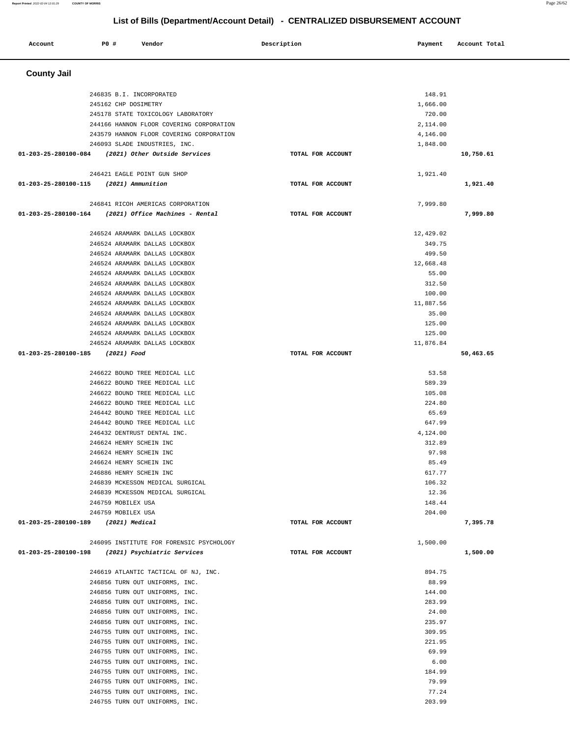| Account                             | P0 #                                               | Vendor                                                                              | Description       | Payment         | Account Total |
|-------------------------------------|----------------------------------------------------|-------------------------------------------------------------------------------------|-------------------|-----------------|---------------|
|                                     |                                                    |                                                                                     |                   |                 |               |
| <b>County Jail</b>                  |                                                    |                                                                                     |                   |                 |               |
|                                     |                                                    |                                                                                     |                   |                 |               |
|                                     | 246835 B.I. INCORPORATED                           |                                                                                     |                   | 148.91          |               |
|                                     | 245162 CHP DOSIMETRY                               |                                                                                     |                   | 1,666.00        |               |
|                                     |                                                    | 245178 STATE TOXICOLOGY LABORATORY                                                  |                   | 720.00          |               |
|                                     |                                                    | 244166 HANNON FLOOR COVERING CORPORATION                                            |                   | 2,114.00        |               |
|                                     |                                                    | 243579 HANNON FLOOR COVERING CORPORATION                                            |                   | 4,146.00        |               |
|                                     |                                                    | 246093 SLADE INDUSTRIES, INC.<br>01-203-25-280100-084 (2021) Other Outside Services | TOTAL FOR ACCOUNT | 1,848.00        | 10,750.61     |
|                                     |                                                    |                                                                                     |                   |                 |               |
|                                     |                                                    | 246421 EAGLE POINT GUN SHOP                                                         |                   | 1,921.40        |               |
| 01-203-25-280100-115                | (2021) Ammunition                                  |                                                                                     | TOTAL FOR ACCOUNT |                 | 1,921.40      |
|                                     |                                                    | 246841 RICOH AMERICAS CORPORATION                                                   |                   | 7,999.80        |               |
| 01-203-25-280100-164                |                                                    | (2021) Office Machines - Rental                                                     | TOTAL FOR ACCOUNT |                 | 7,999.80      |
|                                     |                                                    |                                                                                     |                   |                 |               |
|                                     |                                                    | 246524 ARAMARK DALLAS LOCKBOX                                                       |                   | 12,429.02       |               |
|                                     |                                                    | 246524 ARAMARK DALLAS LOCKBOX                                                       |                   | 349.75          |               |
|                                     |                                                    | 246524 ARAMARK DALLAS LOCKBOX                                                       |                   | 499.50          |               |
|                                     |                                                    | 246524 ARAMARK DALLAS LOCKBOX                                                       |                   | 12,668.48       |               |
|                                     |                                                    | 246524 ARAMARK DALLAS LOCKBOX                                                       |                   | 55.00           |               |
|                                     |                                                    | 246524 ARAMARK DALLAS LOCKBOX                                                       |                   | 312.50          |               |
|                                     |                                                    | 246524 ARAMARK DALLAS LOCKBOX                                                       |                   | 100.00          |               |
|                                     |                                                    | 246524 ARAMARK DALLAS LOCKBOX                                                       |                   | 11,887.56       |               |
|                                     |                                                    | 246524 ARAMARK DALLAS LOCKBOX                                                       |                   | 35.00           |               |
|                                     |                                                    | 246524 ARAMARK DALLAS LOCKBOX                                                       |                   | 125.00          |               |
|                                     |                                                    | 246524 ARAMARK DALLAS LOCKBOX                                                       |                   | 125.00          |               |
| 01-203-25-280100-185                | (2021) Food                                        | 246524 ARAMARK DALLAS LOCKBOX                                                       | TOTAL FOR ACCOUNT | 11,876.84       | 50,463.65     |
|                                     |                                                    |                                                                                     |                   |                 |               |
|                                     |                                                    | 246622 BOUND TREE MEDICAL LLC                                                       |                   | 53.58           |               |
|                                     |                                                    | 246622 BOUND TREE MEDICAL LLC                                                       |                   | 589.39          |               |
|                                     |                                                    | 246622 BOUND TREE MEDICAL LLC                                                       |                   | 105.08          |               |
|                                     |                                                    | 246622 BOUND TREE MEDICAL LLC                                                       |                   | 224.80          |               |
|                                     |                                                    | 246442 BOUND TREE MEDICAL LLC                                                       |                   | 65.69           |               |
|                                     |                                                    | 246442 BOUND TREE MEDICAL LLC                                                       |                   | 647.99          |               |
|                                     |                                                    | 246432 DENTRUST DENTAL INC.                                                         |                   | 4,124.00        |               |
|                                     | 246624 HENRY SCHEIN INC<br>246624 HENRY SCHEIN INC |                                                                                     |                   | 312.89<br>97.98 |               |
|                                     | 246624 HENRY SCHEIN INC                            |                                                                                     |                   | 85.49           |               |
|                                     | 246886 HENRY SCHEIN INC                            |                                                                                     |                   | 617.77          |               |
|                                     |                                                    | 246839 MCKESSON MEDICAL SURGICAL                                                    |                   | 106.32          |               |
|                                     |                                                    | 246839 MCKESSON MEDICAL SURGICAL                                                    |                   | 12.36           |               |
|                                     | 246759 MOBILEX USA                                 |                                                                                     |                   | 148.44          |               |
|                                     | 246759 MOBILEX USA                                 |                                                                                     |                   | 204.00          |               |
| 01-203-25-280100-189 (2021) Medical |                                                    |                                                                                     | TOTAL FOR ACCOUNT |                 | 7,395.78      |
|                                     |                                                    |                                                                                     |                   |                 |               |
|                                     |                                                    | 246095 INSTITUTE FOR FORENSIC PSYCHOLOGY                                            |                   | 1,500.00        |               |
| 01-203-25-280100-198                |                                                    | (2021) Psychiatric Services                                                         | TOTAL FOR ACCOUNT |                 | 1,500.00      |
|                                     |                                                    | 246619 ATLANTIC TACTICAL OF NJ, INC.                                                |                   | 894.75          |               |
|                                     |                                                    | 246856 TURN OUT UNIFORMS, INC.                                                      |                   | 88.99           |               |
|                                     |                                                    | 246856 TURN OUT UNIFORMS, INC.                                                      |                   | 144.00          |               |
|                                     |                                                    | 246856 TURN OUT UNIFORMS, INC.                                                      |                   | 283.99          |               |
|                                     |                                                    | 246856 TURN OUT UNIFORMS, INC.                                                      |                   | 24.00           |               |
|                                     |                                                    | 246856 TURN OUT UNIFORMS, INC.                                                      |                   | 235.97          |               |
|                                     |                                                    | 246755 TURN OUT UNIFORMS, INC.                                                      |                   | 309.95          |               |
|                                     |                                                    | 246755 TURN OUT UNIFORMS, INC.                                                      |                   | 221.95          |               |
|                                     |                                                    | 246755 TURN OUT UNIFORMS, INC.                                                      |                   | 69.99           |               |
|                                     |                                                    | 246755 TURN OUT UNIFORMS, INC.                                                      |                   | 6.00            |               |
|                                     |                                                    | 246755 TURN OUT UNIFORMS, INC.                                                      |                   | 184.99          |               |

246755 TURN OUT UNIFORMS, INC.<br>246755 TURN OUT UNIFORMS, INC.  $77.24$ 

246755 TURN OUT UNIFORMS, INC. 203.99

246755 TURN OUT UNIFORMS, INC.

# **List of Bills (Department/Account Detail) - CENTRALIZED DISBURSEMENT ACCOUNT**

**Report Printed** 2022-02-04 12:01:29 **COUNTY OF MORRIS** Page 26/62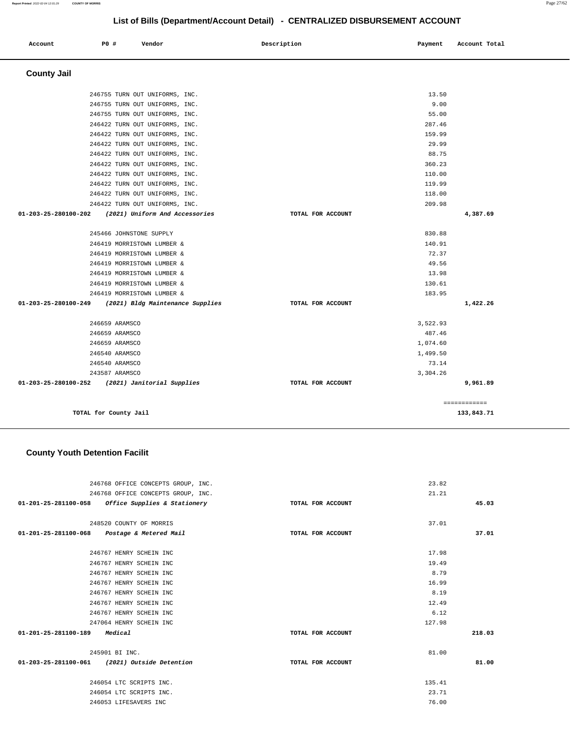| Account              | P0 #                    | Vendor                                          | Description       | Payment  | Account Total |
|----------------------|-------------------------|-------------------------------------------------|-------------------|----------|---------------|
|                      |                         |                                                 |                   |          |               |
| <b>County Jail</b>   |                         |                                                 |                   |          |               |
|                      |                         | 246755 TURN OUT UNIFORMS, INC.                  |                   | 13.50    |               |
|                      |                         | 246755 TURN OUT UNIFORMS, INC.                  |                   | 9.00     |               |
|                      |                         | 246755 TURN OUT UNIFORMS, INC.                  |                   | 55.00    |               |
|                      |                         | 246422 TURN OUT UNIFORMS, INC.                  |                   | 287.46   |               |
|                      |                         | 246422 TURN OUT UNIFORMS, INC.                  |                   | 159.99   |               |
|                      |                         | 246422 TURN OUT UNIFORMS, INC.                  |                   | 29.99    |               |
|                      |                         | 246422 TURN OUT UNIFORMS, INC.                  |                   | 88.75    |               |
|                      |                         | 246422 TURN OUT UNIFORMS, INC.                  |                   | 360.23   |               |
|                      |                         | 246422 TURN OUT UNIFORMS, INC.                  |                   | 110.00   |               |
|                      |                         | 246422 TURN OUT UNIFORMS, INC.                  |                   | 119.99   |               |
|                      |                         | 246422 TURN OUT UNIFORMS, INC.                  |                   | 118.00   |               |
|                      |                         | 246422 TURN OUT UNIFORMS, INC.                  |                   | 209.98   |               |
| 01-203-25-280100-202 |                         | (2021) Uniform And Accessories                  | TOTAL FOR ACCOUNT |          | 4,387.69      |
|                      | 245466 JOHNSTONE SUPPLY |                                                 |                   | 830.88   |               |
|                      |                         | 246419 MORRISTOWN LUMBER &                      |                   | 140.91   |               |
|                      |                         | 246419 MORRISTOWN LUMBER &                      |                   | 72.37    |               |
|                      |                         | 246419 MORRISTOWN LUMBER &                      |                   | 49.56    |               |
|                      |                         | 246419 MORRISTOWN LUMBER &                      |                   | 13.98    |               |
|                      |                         | 246419 MORRISTOWN LUMBER &                      |                   | 130.61   |               |
|                      |                         | 246419 MORRISTOWN LUMBER &                      |                   | 183.95   |               |
| 01-203-25-280100-249 |                         | (2021) Bldg Maintenance Supplies                | TOTAL FOR ACCOUNT |          | 1,422.26      |
|                      | 246659 ARAMSCO          |                                                 |                   | 3,522.93 |               |
|                      | 246659 ARAMSCO          |                                                 |                   | 487.46   |               |
|                      | 246659 ARAMSCO          |                                                 |                   | 1,074.60 |               |
|                      | 246540 ARAMSCO          |                                                 |                   | 1,499.50 |               |
|                      | 246540 ARAMSCO          |                                                 |                   | 73.14    |               |
|                      | 243587 ARAMSCO          |                                                 |                   | 3,304.26 |               |
|                      |                         | 01-203-25-280100-252 (2021) Janitorial Supplies | TOTAL FOR ACCOUNT |          | 9,961.89      |
|                      |                         |                                                 |                   |          | ============  |
|                      | TOTAL for County Jail   |                                                 |                   |          | 133,843.71    |

# **County Youth Detention Facilit**

| 246768 OFFICE CONCEPTS GROUP, INC.                |                   | 23.82  |        |
|---------------------------------------------------|-------------------|--------|--------|
| 246768 OFFICE CONCEPTS GROUP, INC.                |                   | 21.21  |        |
| 01-201-25-281100-058 Office Supplies & Stationery | TOTAL FOR ACCOUNT |        | 45.03  |
|                                                   |                   |        |        |
| 248520 COUNTY OF MORRIS                           |                   | 37.01  |        |
| 01-201-25-281100-068 Postage & Metered Mail       | TOTAL FOR ACCOUNT |        | 37.01  |
|                                                   |                   |        |        |
| 246767 HENRY SCHEIN INC                           |                   | 17.98  |        |
| 246767 HENRY SCHEIN INC                           |                   | 19.49  |        |
| 246767 HENRY SCHEIN INC                           |                   | 8.79   |        |
| 246767 HENRY SCHEIN INC                           |                   | 16.99  |        |
| 246767 HENRY SCHEIN INC                           |                   | 8.19   |        |
| 246767 HENRY SCHEIN INC                           |                   | 12.49  |        |
| 246767 HENRY SCHEIN INC                           |                   | 6.12   |        |
| 247064 HENRY SCHEIN INC                           |                   | 127.98 |        |
| 01-201-25-281100-189 Medical                      | TOTAL FOR ACCOUNT |        | 218.03 |
| 245901 BI INC.                                    |                   | 81.00  |        |
| 01-203-25-281100-061 (2021) Outside Detention     | TOTAL FOR ACCOUNT |        | 81.00  |
|                                                   |                   |        |        |
| 246054 LTC SCRIPTS INC.                           |                   | 135.41 |        |
| 246054 LTC SCRIPTS INC.                           |                   | 23.71  |        |
| 246053 LIFESAVERS INC                             |                   | 76.00  |        |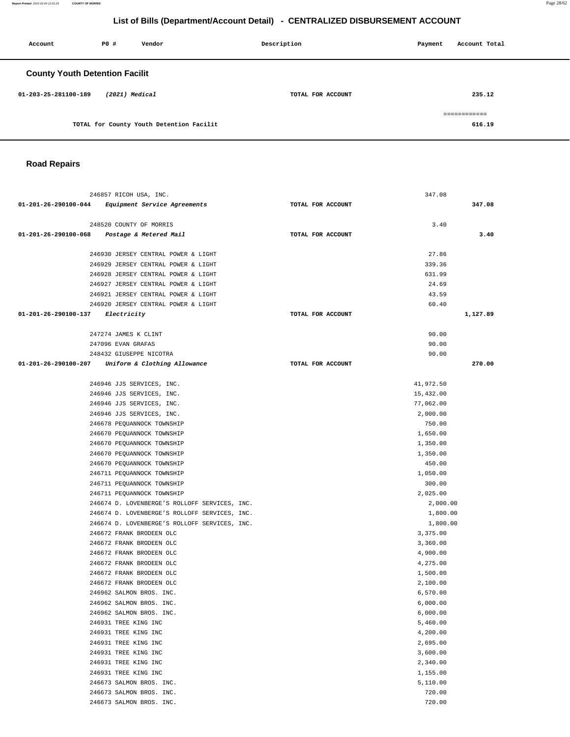**Report Printed** 2022-02-04 12:01:29 **COUNTY OF MORRIS** Page 28/62

# **List of Bills (Department/Account Detail) - CENTRALIZED DISBURSEMENT ACCOUNT**

| Account                               | PO#            | Vendor                                   | Description       | Payment | Account Total          |
|---------------------------------------|----------------|------------------------------------------|-------------------|---------|------------------------|
| <b>County Youth Detention Facilit</b> |                |                                          |                   |         |                        |
| 01-203-25-281100-189                  | (2021) Medical |                                          | TOTAL FOR ACCOUNT |         | 235.12                 |
|                                       |                | TOTAL for County Youth Detention Facilit |                   |         | ============<br>616.19 |

# **Road Repairs**

|                      | 246857 RICOH USA, INC.                            |                   | 347.08    |
|----------------------|---------------------------------------------------|-------------------|-----------|
|                      | 01-201-26-290100-044 Equipment Service Agreements | TOTAL FOR ACCOUNT | 347.08    |
|                      |                                                   |                   |           |
|                      | 248520 COUNTY OF MORRIS                           |                   | 3.40      |
| 01-201-26-290100-068 | Postage & Metered Mail                            | TOTAL FOR ACCOUNT | 3.40      |
|                      | 246930 JERSEY CENTRAL POWER & LIGHT               |                   | 27.86     |
|                      | 246929 JERSEY CENTRAL POWER & LIGHT               |                   | 339.36    |
|                      | 246928 JERSEY CENTRAL POWER & LIGHT               |                   | 631.99    |
|                      | 246927 JERSEY CENTRAL POWER & LIGHT               |                   | 24.69     |
|                      | 246921 JERSEY CENTRAL POWER & LIGHT               |                   | 43.59     |
|                      | 246920 JERSEY CENTRAL POWER & LIGHT               |                   | 60.40     |
| 01-201-26-290100-137 | Electricity                                       | TOTAL FOR ACCOUNT | 1,127.89  |
|                      |                                                   |                   |           |
|                      | 247274 JAMES K CLINT                              |                   | 90.00     |
|                      | 247096 EVAN GRAFAS                                |                   | 90.00     |
|                      | 248432 GIUSEPPE NICOTRA                           |                   | 90.00     |
|                      | 01-201-26-290100-207 Uniform & Clothing Allowance | TOTAL FOR ACCOUNT | 270.00    |
|                      |                                                   |                   |           |
|                      | 246946 JJS SERVICES, INC.                         |                   | 41,972.50 |
|                      | 246946 JJS SERVICES, INC.                         |                   | 15,432.00 |
|                      | 246946 JJS SERVICES, INC.                         |                   | 77,062.00 |
|                      | 246946 JJS SERVICES, INC.                         |                   | 2,000.00  |
|                      | 246678 PEQUANNOCK TOWNSHIP                        |                   | 750.00    |
|                      | 246670 PEQUANNOCK TOWNSHIP                        |                   | 1,650.00  |
|                      | 246670 PEQUANNOCK TOWNSHIP                        |                   | 1,350.00  |
|                      | 246670 PEQUANNOCK TOWNSHIP                        |                   | 1,350.00  |
|                      | 246670 PEQUANNOCK TOWNSHIP                        |                   | 450.00    |
|                      | 246711 PEQUANNOCK TOWNSHIP                        |                   | 1,050.00  |
|                      | 246711 PEQUANNOCK TOWNSHIP                        |                   | 300.00    |
|                      | 246711 PEQUANNOCK TOWNSHIP                        |                   | 2,025.00  |
|                      | 246674 D. LOVENBERGE'S ROLLOFF SERVICES, INC.     |                   | 2,000.00  |
|                      | 246674 D. LOVENBERGE'S ROLLOFF SERVICES, INC.     |                   | 1,800.00  |
|                      | 246674 D. LOVENBERGE'S ROLLOFF SERVICES, INC.     |                   | 1,800.00  |
|                      | 246672 FRANK BRODEEN OLC                          |                   | 3,375.00  |
|                      | 246672 FRANK BRODEEN OLC                          |                   | 3,360.00  |
|                      | 246672 FRANK BRODEEN OLC                          |                   | 4,900.00  |
|                      | 246672 FRANK BRODEEN OLC                          |                   | 4,275.00  |
|                      | 246672 FRANK BRODEEN OLC                          |                   | 1,500.00  |
|                      | 246672 FRANK BRODEEN OLC                          |                   | 2,100.00  |
|                      | 246962 SALMON BROS. INC.                          |                   | 6,570.00  |
|                      | 246962 SALMON BROS. INC.                          |                   | 6,000.00  |
|                      | 246962 SALMON BROS. INC.                          |                   | 6,000.00  |
|                      | 246931 TREE KING INC                              |                   | 5,460.00  |
|                      | 246931 TREE KING INC                              |                   | 4,200.00  |
|                      | 246931 TREE KING INC                              |                   | 2,695.00  |
|                      | 246931 TREE KING INC                              |                   | 3,600.00  |
|                      | 246931 TREE KING INC                              |                   | 2,340.00  |
|                      | 246931 TREE KING INC                              |                   | 1,155.00  |
|                      | 246673 SALMON BROS. INC.                          |                   | 5,110.00  |
|                      | 246673 SALMON BROS. INC.                          |                   | 720.00    |
|                      | 246673 SALMON BROS. INC.                          |                   | 720.00    |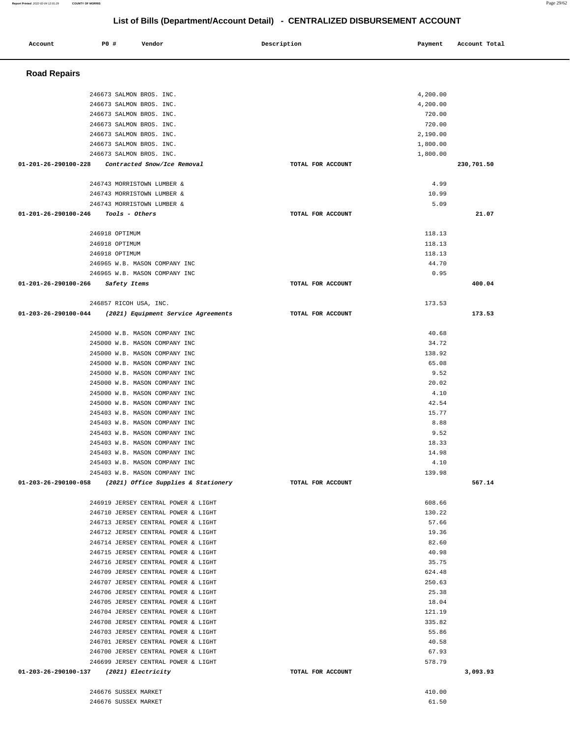| Account                                 | <b>PO #</b>                      | Vendor                                                                     | Description       | Payment          | Account Total |
|-----------------------------------------|----------------------------------|----------------------------------------------------------------------------|-------------------|------------------|---------------|
|                                         |                                  |                                                                            |                   |                  |               |
| <b>Road Repairs</b>                     |                                  |                                                                            |                   |                  |               |
|                                         | 246673 SALMON BROS. INC.         |                                                                            |                   | 4,200.00         |               |
|                                         | 246673 SALMON BROS. INC.         |                                                                            |                   | 4,200.00         |               |
|                                         | 246673 SALMON BROS. INC.         |                                                                            |                   | 720.00           |               |
|                                         | 246673 SALMON BROS. INC.         |                                                                            |                   | 720.00           |               |
|                                         | 246673 SALMON BROS. INC.         |                                                                            |                   | 2,190.00         |               |
|                                         | 246673 SALMON BROS. INC.         |                                                                            |                   | 1,800.00         |               |
|                                         | 246673 SALMON BROS. INC.         |                                                                            |                   | 1,800.00         |               |
| $01 - 201 - 26 - 290100 - 228$          |                                  | Contracted Snow/Ice Removal                                                | TOTAL FOR ACCOUNT |                  | 230,701.50    |
|                                         |                                  | 246743 MORRISTOWN LUMBER &                                                 |                   | 4.99             |               |
|                                         |                                  | 246743 MORRISTOWN LUMBER &                                                 |                   | 10.99            |               |
|                                         |                                  | 246743 MORRISTOWN LUMBER &                                                 |                   | 5.09             |               |
| 01-201-26-290100-246                    | Tools - Others                   |                                                                            | TOTAL FOR ACCOUNT |                  | 21.07         |
|                                         |                                  |                                                                            |                   |                  |               |
|                                         | 246918 OPTIMUM<br>246918 OPTIMUM |                                                                            |                   | 118.13<br>118.13 |               |
|                                         | 246918 OPTIMUM                   |                                                                            |                   | 118.13           |               |
|                                         |                                  | 246965 W.B. MASON COMPANY INC                                              |                   | 44.70            |               |
|                                         |                                  | 246965 W.B. MASON COMPANY INC                                              |                   | 0.95             |               |
| 01-201-26-290100-266                    | Safety Items                     |                                                                            | TOTAL FOR ACCOUNT |                  | 400.04        |
|                                         |                                  |                                                                            |                   |                  |               |
| 01-203-26-290100-044                    | 246857 RICOH USA, INC.           | (2021) Equipment Service Agreements                                        | TOTAL FOR ACCOUNT | 173.53           | 173.53        |
|                                         |                                  |                                                                            |                   |                  |               |
|                                         |                                  | 245000 W.B. MASON COMPANY INC                                              |                   | 40.68            |               |
|                                         |                                  | 245000 W.B. MASON COMPANY INC                                              |                   | 34.72            |               |
|                                         |                                  | 245000 W.B. MASON COMPANY INC                                              |                   | 138.92           |               |
|                                         |                                  | 245000 W.B. MASON COMPANY INC                                              |                   | 65.08            |               |
|                                         |                                  | 245000 W.B. MASON COMPANY INC<br>245000 W.B. MASON COMPANY INC             |                   | 9.52<br>20.02    |               |
|                                         |                                  | 245000 W.B. MASON COMPANY INC                                              |                   | 4.10             |               |
|                                         |                                  | 245000 W.B. MASON COMPANY INC                                              |                   | 42.54            |               |
|                                         |                                  | 245403 W.B. MASON COMPANY INC                                              |                   | 15.77            |               |
|                                         |                                  | 245403 W.B. MASON COMPANY INC                                              |                   | 8.88             |               |
|                                         |                                  | 245403 W.B. MASON COMPANY INC                                              |                   | 9.52             |               |
|                                         |                                  | 245403 W.B. MASON COMPANY INC                                              |                   | 18.33            |               |
|                                         |                                  | 245403 W.B. MASON COMPANY INC                                              |                   | 14.98            |               |
|                                         |                                  | 245403 W.B. MASON COMPANY INC                                              |                   | 4.10             |               |
|                                         |                                  | 245403 W.B. MASON COMPANY INC                                              |                   | 139.98           |               |
| 01-203-26-290100-058                    |                                  | (2021) Office Supplies & Stationery                                        | TOTAL FOR ACCOUNT |                  | 567.14        |
|                                         |                                  | 246919 JERSEY CENTRAL POWER & LIGHT                                        |                   | 608.66           |               |
|                                         |                                  | 246710 JERSEY CENTRAL POWER & LIGHT                                        |                   | 130.22           |               |
|                                         |                                  | 246713 JERSEY CENTRAL POWER & LIGHT                                        |                   | 57.66            |               |
|                                         |                                  | 246712 JERSEY CENTRAL POWER & LIGHT                                        |                   | 19.36            |               |
|                                         |                                  | 246714 JERSEY CENTRAL POWER & LIGHT                                        |                   | 82.60            |               |
|                                         |                                  | 246715 JERSEY CENTRAL POWER & LIGHT                                        |                   | 40.98            |               |
|                                         |                                  | 246716 JERSEY CENTRAL POWER & LIGHT                                        |                   | 35.75            |               |
|                                         |                                  | 246709 JERSEY CENTRAL POWER & LIGHT                                        |                   | 624.48           |               |
|                                         |                                  | 246707 JERSEY CENTRAL POWER & LIGHT                                        |                   | 250.63<br>25.38  |               |
|                                         |                                  | 246706 JERSEY CENTRAL POWER & LIGHT<br>246705 JERSEY CENTRAL POWER & LIGHT |                   | 18.04            |               |
|                                         |                                  | 246704 JERSEY CENTRAL POWER & LIGHT                                        |                   | 121.19           |               |
|                                         |                                  | 246708 JERSEY CENTRAL POWER & LIGHT                                        |                   | 335.82           |               |
|                                         |                                  | 246703 JERSEY CENTRAL POWER & LIGHT                                        |                   | 55.86            |               |
|                                         |                                  | 246701 JERSEY CENTRAL POWER & LIGHT                                        |                   | 40.58            |               |
|                                         |                                  | 246700 JERSEY CENTRAL POWER & LIGHT                                        |                   | 67.93            |               |
|                                         |                                  | 246699 JERSEY CENTRAL POWER & LIGHT                                        |                   | 578.79           |               |
| 01-203-26-290100-137 (2021) Electricity |                                  |                                                                            | TOTAL FOR ACCOUNT |                  | 3,093.93      |
|                                         | 246676 SUSSEX MARKET             |                                                                            |                   | 410.00           |               |
|                                         | 246676 SUSSEX MARKET             |                                                                            |                   | 61.50            |               |
|                                         |                                  |                                                                            |                   |                  |               |

**Report Printed** 2022-02-04 12:01:29 **COUNTY OF MORRIS** Page 29/62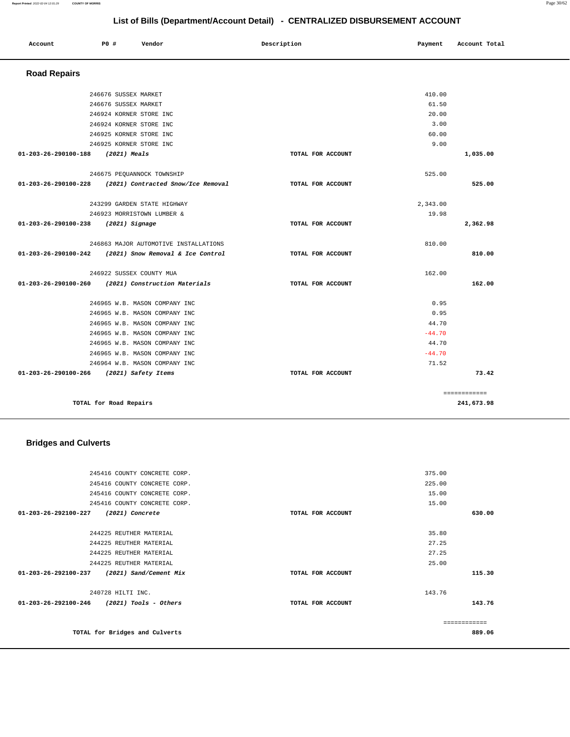#### **Report Printed** 2022-02-04 12:01:29 **COUNTY OF MORRIS** Page 30/62

**List of Bills (Department/Account Detail) - CENTRALIZED DISBURSEMENT ACCOUNT**

| Account              | P0 #                       | Vendor                                | Description       | Payment  | Account Total |
|----------------------|----------------------------|---------------------------------------|-------------------|----------|---------------|
| <b>Road Repairs</b>  |                            |                                       |                   |          |               |
|                      | 246676 SUSSEX MARKET       |                                       |                   | 410.00   |               |
|                      | 246676 SUSSEX MARKET       |                                       |                   | 61.50    |               |
|                      | 246924 KORNER STORE INC    |                                       |                   | 20.00    |               |
|                      | 246924 KORNER STORE INC    |                                       |                   | 3.00     |               |
|                      | 246925 KORNER STORE INC    |                                       |                   | 60.00    |               |
|                      | 246925 KORNER STORE INC    |                                       |                   | 9.00     |               |
| 01-203-26-290100-188 | $(2021)$ Meals             |                                       | TOTAL FOR ACCOUNT |          | 1,035.00      |
|                      | 246675 PEQUANNOCK TOWNSHIP |                                       |                   | 525.00   |               |
| 01-203-26-290100-228 |                            | (2021) Contracted Snow/Ice Removal    | TOTAL FOR ACCOUNT |          | 525.00        |
|                      |                            | 243299 GARDEN STATE HIGHWAY           |                   | 2,343.00 |               |
|                      | 246923 MORRISTOWN LUMBER & |                                       |                   | 19.98    |               |
| 01-203-26-290100-238 | (2021) Signage             |                                       | TOTAL FOR ACCOUNT |          | 2,362.98      |
|                      |                            | 246863 MAJOR AUTOMOTIVE INSTALLATIONS |                   | 810.00   |               |
| 01-203-26-290100-242 |                            | (2021) Snow Removal & Ice Control     | TOTAL FOR ACCOUNT |          | 810.00        |
|                      | 246922 SUSSEX COUNTY MUA   |                                       |                   | 162.00   |               |
| 01-203-26-290100-260 |                            | (2021) Construction Materials         | TOTAL FOR ACCOUNT |          | 162.00        |
|                      |                            | 246965 W.B. MASON COMPANY INC         |                   | 0.95     |               |
|                      |                            | 246965 W.B. MASON COMPANY INC         |                   | 0.95     |               |
|                      |                            | 246965 W.B. MASON COMPANY INC         |                   | 44.70    |               |
|                      |                            | 246965 W.B. MASON COMPANY INC         |                   | $-44.70$ |               |
|                      |                            | 246965 W.B. MASON COMPANY INC         |                   | 44.70    |               |
|                      |                            | 246965 W.B. MASON COMPANY INC         |                   | $-44.70$ |               |
|                      |                            | 246964 W.B. MASON COMPANY INC         |                   | 71.52    |               |
| 01-203-26-290100-266 | (2021) Safety Items        |                                       | TOTAL FOR ACCOUNT |          | 73.42         |
|                      |                            |                                       |                   |          | ============  |
|                      | TOTAL for Road Repairs     |                                       |                   |          | 241,673.98    |

## **Bridges and Culverts**

|                                | 245416 COUNTY CONCRETE CORP.   |                   | 375.00        |        |
|--------------------------------|--------------------------------|-------------------|---------------|--------|
|                                | 245416 COUNTY CONCRETE CORP.   |                   | 225.00        |        |
|                                | 245416 COUNTY CONCRETE CORP.   |                   | 15.00         |        |
|                                | 245416 COUNTY CONCRETE CORP.   |                   | 15.00         |        |
| $01 - 203 - 26 - 292100 - 227$ | (2021) Concrete                | TOTAL FOR ACCOUNT |               | 630.00 |
|                                |                                |                   |               |        |
|                                | 244225 REUTHER MATERIAL        |                   | 35.80         |        |
|                                | 244225 REUTHER MATERIAL        |                   | 27.25         |        |
|                                | 244225 REUTHER MATERIAL        |                   | 27.25         |        |
|                                | 244225 REUTHER MATERIAL        |                   | 25.00         |        |
| 01-203-26-292100-237           | (2021) Sand/Cement Mix         | TOTAL FOR ACCOUNT |               | 115.30 |
|                                | 240728 HILTI INC.              |                   | 143.76        |        |
| $01 - 203 - 26 - 292100 - 246$ | (2021) Tools - Others          | TOTAL FOR ACCOUNT |               | 143.76 |
|                                |                                |                   |               |        |
|                                |                                |                   | ------------- |        |
|                                | TOTAL for Bridges and Culverts |                   |               | 889.06 |
|                                |                                |                   |               |        |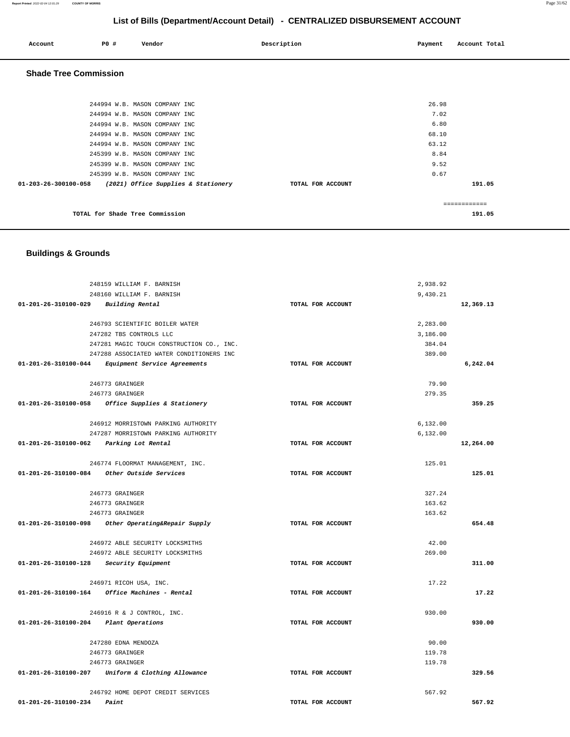#### **Report Printed** 2022-02-04 12:01:29 **COUNTY OF MORRIS** Page 31/62

0.67

**191.05**

# **List of Bills (Department/Account Detail) - CENTRALIZED DISBURSEMENT ACCOUNT**

| Account                      | P0 # | Vendor                        | Description | Payment | Account Total |
|------------------------------|------|-------------------------------|-------------|---------|---------------|
| <b>Shade Tree Commission</b> |      |                               |             |         |               |
|                              |      | 244994 W.B. MASON COMPANY INC |             | 26.98   |               |
|                              |      | 244994 W.B. MASON COMPANY INC |             | 7.02    |               |
|                              |      | 244994 W.B. MASON COMPANY INC |             | 6.80    |               |
|                              |      | 244994 W.B. MASON COMPANY INC |             | 68.10   |               |
|                              |      | 244994 W.B. MASON COMPANY INC |             | 63.12   |               |
|                              |      | 245399 W.B. MASON COMPANY INC |             | 8.84    |               |
|                              |      | 245399 W.B. MASON COMPANY INC |             | 9.52    |               |

| TOTAL for Shade Tree Commission | 191.05 |
|---------------------------------|--------|

#### **Buildings & Grounds**

245399 W.B. MASON COMPANY INC

**01-203-26-300100-058 (2021) Office Supplies & Stationery TOTAL FOR ACCOUNT** 

| 248159 WILLIAM F. BARNISH                          |                   | 2,938.92 |           |
|----------------------------------------------------|-------------------|----------|-----------|
| 248160 WILLIAM F. BARNISH                          |                   | 9,430.21 |           |
| 01-201-26-310100-029 Building Rental               | TOTAL FOR ACCOUNT |          | 12,369.13 |
| 246793 SCIENTIFIC BOILER WATER                     |                   | 2,283.00 |           |
| 247282 TBS CONTROLS LLC                            |                   | 3,186.00 |           |
| 247281 MAGIC TOUCH CONSTRUCTION CO., INC.          |                   | 384.04   |           |
| 247288 ASSOCIATED WATER CONDITIONERS INC           |                   | 389.00   |           |
| 01-201-26-310100-044 Equipment Service Agreements  | TOTAL FOR ACCOUNT |          | 6,242.04  |
| 246773 GRAINGER                                    |                   | 79.90    |           |
| 246773 GRAINGER                                    |                   | 279.35   |           |
| 01-201-26-310100-058 Office Supplies & Stationery  | TOTAL FOR ACCOUNT |          | 359.25    |
| 246912 MORRISTOWN PARKING AUTHORITY                |                   | 6,132.00 |           |
| 247287 MORRISTOWN PARKING AUTHORITY                |                   | 6,132.00 |           |
| 01-201-26-310100-062 Parking Lot Rental            | TOTAL FOR ACCOUNT |          | 12,264.00 |
| 246774 FLOORMAT MANAGEMENT, INC.                   |                   | 125.01   |           |
| $01-201-26-310100-084$ Other Outside Services      | TOTAL FOR ACCOUNT |          | 125.01    |
| 246773 GRAINGER                                    |                   | 327.24   |           |
| 246773 GRAINGER                                    |                   | 163.62   |           |
| 246773 GRAINGER                                    |                   | 163.62   |           |
| 01-201-26-310100-098 Other Operating&Repair Supply | TOTAL FOR ACCOUNT |          | 654.48    |
| 246972 ABLE SECURITY LOCKSMITHS                    |                   | 42.00    |           |
| 246972 ABLE SECURITY LOCKSMITHS                    |                   | 269.00   |           |
| $01-201-26-310100-128$ Security Equipment          | TOTAL FOR ACCOUNT |          | 311.00    |
| 246971 RICOH USA, INC.                             |                   | 17.22    |           |
| 01-201-26-310100-164 Office Machines - Rental      | TOTAL FOR ACCOUNT |          | 17.22     |
| 246916 R & J CONTROL, INC.                         |                   | 930.00   |           |
| 01-201-26-310100-204 Plant Operations              | TOTAL FOR ACCOUNT |          | 930.00    |
| 247280 EDNA MENDOZA                                |                   | 90.00    |           |
| 246773 GRAINGER                                    |                   | 119.78   |           |
| 246773 GRAINGER                                    |                   | 119.78   |           |
| 01-201-26-310100-207 Uniform & Clothing Allowance  | TOTAL FOR ACCOUNT |          | 329.56    |
| 246792 HOME DEPOT CREDIT SERVICES                  |                   | 567.92   |           |
| 01-201-26-310100-234<br>Paint                      | TOTAL FOR ACCOUNT |          | 567.92    |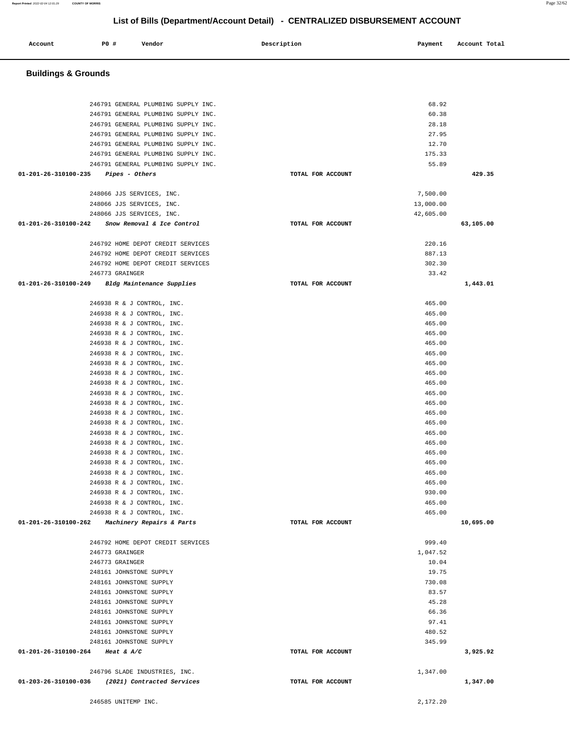| Account | P0 # | Vendor | Description | Payment | Account Total |
|---------|------|--------|-------------|---------|---------------|
|         |      |        |             |         |               |

## **Buildings & Grounds**

| 246791 GENERAL PLUMBING SUPPLY INC.                                    |                   | 68.92            |           |
|------------------------------------------------------------------------|-------------------|------------------|-----------|
| 246791 GENERAL PLUMBING SUPPLY INC.                                    |                   | 60.38            |           |
| 246791 GENERAL PLUMBING SUPPLY INC.                                    |                   | 28.18            |           |
| 246791 GENERAL PLUMBING SUPPLY INC.                                    |                   | 27.95            |           |
| 246791 GENERAL PLUMBING SUPPLY INC.                                    |                   | 12.70            |           |
| 246791 GENERAL PLUMBING SUPPLY INC.                                    |                   | 175.33           |           |
| 246791 GENERAL PLUMBING SUPPLY INC.                                    |                   | 55.89            |           |
| $01-201-26-310100-235$ Pipes - Others                                  | TOTAL FOR ACCOUNT |                  | 429.35    |
|                                                                        |                   |                  |           |
| 248066 JJS SERVICES, INC.                                              |                   | 7,500.00         |           |
| 248066 JJS SERVICES, INC.                                              |                   | 13,000.00        |           |
| 248066 JJS SERVICES, INC.                                              |                   | 42,605.00        |           |
| 01-201-26-310100-242 Snow Removal & Ice Control                        | TOTAL FOR ACCOUNT |                  | 63,105.00 |
|                                                                        |                   |                  |           |
| 246792 HOME DEPOT CREDIT SERVICES                                      |                   | 220.16<br>887.13 |           |
| 246792 HOME DEPOT CREDIT SERVICES<br>246792 HOME DEPOT CREDIT SERVICES |                   | 302.30           |           |
| 246773 GRAINGER                                                        |                   | 33.42            |           |
|                                                                        | TOTAL FOR ACCOUNT |                  | 1,443.01  |
| 01-201-26-310100-249 Bldg Maintenance Supplies                         |                   |                  |           |
| 246938 R & J CONTROL, INC.                                             |                   | 465.00           |           |
| 246938 R & J CONTROL, INC.                                             |                   | 465.00           |           |
| 246938 R & J CONTROL, INC.                                             |                   | 465.00           |           |
| 246938 R & J CONTROL, INC.                                             |                   | 465.00           |           |
| 246938 R & J CONTROL, INC.                                             |                   | 465.00           |           |
| 246938 R & J CONTROL, INC.                                             |                   | 465.00           |           |
| 246938 R & J CONTROL, INC.                                             |                   | 465.00           |           |
| 246938 R & J CONTROL, INC.                                             |                   | 465.00           |           |
| 246938 R & J CONTROL, INC.                                             |                   | 465.00           |           |
| 246938 R & J CONTROL, INC.                                             |                   | 465.00           |           |
| 246938 R & J CONTROL, INC.                                             |                   | 465.00           |           |
| 246938 R & J CONTROL, INC.                                             |                   | 465.00           |           |
| 246938 R & J CONTROL, INC.                                             |                   | 465.00           |           |
| 246938 R & J CONTROL, INC.                                             |                   | 465.00           |           |
| 246938 R & J CONTROL, INC.                                             |                   | 465.00           |           |
| 246938 R & J CONTROL, INC.                                             |                   | 465.00           |           |
| 246938 R & J CONTROL, INC.                                             |                   | 465.00           |           |
| 246938 R & J CONTROL, INC.                                             |                   | 465.00           |           |
| 246938 R & J CONTROL, INC.                                             |                   | 465.00           |           |
| 246938 R & J CONTROL, INC.                                             |                   | 930.00           |           |
| 246938 R & J CONTROL, INC.                                             |                   | 465.00           |           |
| 246938 R & J CONTROL, INC.                                             |                   | 465.00           |           |
| 01-201-26-310100-262 Machinery Repairs & Parts                         | TOTAL FOR ACCOUNT |                  | 10,695.00 |
|                                                                        |                   |                  |           |
| 246792 HOME DEPOT CREDIT SERVICES                                      |                   | 999.40           |           |
| 246773 GRAINGER                                                        |                   | 1,047.52         |           |
| 246773 GRAINGER                                                        |                   | 10.04            |           |
| 248161 JOHNSTONE SUPPLY                                                |                   | 19.75            |           |
| 248161 JOHNSTONE SUPPLY                                                |                   | 730.08           |           |
| 248161 JOHNSTONE SUPPLY                                                |                   | 83.57            |           |
| 248161 JOHNSTONE SUPPLY                                                |                   | 45.28            |           |
| 248161 JOHNSTONE SUPPLY                                                |                   | 66.36            |           |
| 248161 JOHNSTONE SUPPLY                                                |                   | 97.41            |           |
| 248161 JOHNSTONE SUPPLY                                                |                   | 480.52           |           |
| 248161 JOHNSTONE SUPPLY                                                |                   | 345.99           |           |
| 01-201-26-310100-264 Heat & A/C                                        | TOTAL FOR ACCOUNT |                  | 3,925.92  |
| 246796 SLADE INDUSTRIES, INC.                                          |                   | 1,347.00         |           |
| 01-203-26-310100-036 (2021) Contracted Services                        | TOTAL FOR ACCOUNT |                  | 1,347.00  |
|                                                                        |                   |                  |           |
| 246585 UNITEMP INC.                                                    |                   | 2,172.20         |           |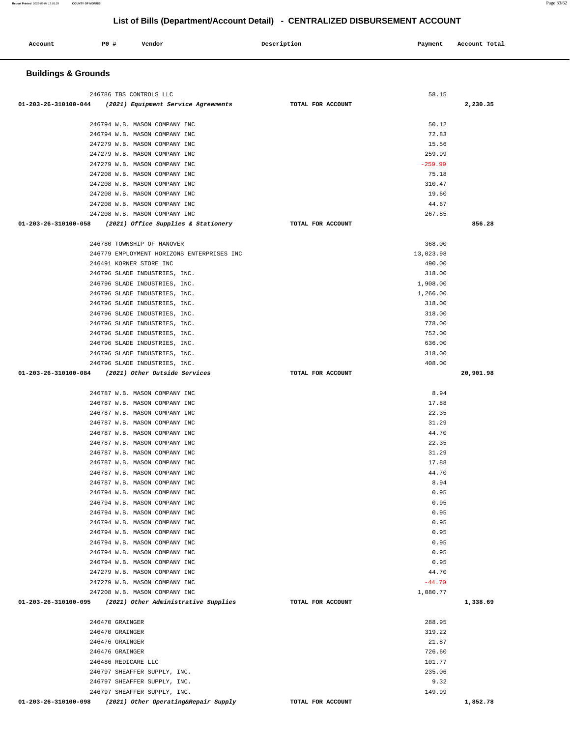| Account<br>. | <b>PO #</b> | Vendor | Description | Payment | Account Total |
|--------------|-------------|--------|-------------|---------|---------------|
|              |             |        |             |         |               |

#### **Buildings & Grounds**

| 246786 TBS CONTROLS LLC                                        | 58.15              |           |
|----------------------------------------------------------------|--------------------|-----------|
| $01-203-26-310100-044$ (2021) Equipment Service Agreements     | TOTAL FOR ACCOUNT  | 2,230.35  |
|                                                                |                    |           |
| 246794 W.B. MASON COMPANY INC                                  | 50.12              |           |
| 246794 W.B. MASON COMPANY INC                                  | 72.83              |           |
| 247279 W.B. MASON COMPANY INC                                  | 15.56              |           |
| 247279 W.B. MASON COMPANY INC                                  | 259.99             |           |
| 247279 W.B. MASON COMPANY INC                                  | $-259.99$          |           |
| 247208 W.B. MASON COMPANY INC<br>247208 W.B. MASON COMPANY INC | 75.18<br>310.47    |           |
| 247208 W.B. MASON COMPANY INC                                  | 19.60              |           |
| 247208 W.B. MASON COMPANY INC                                  | 44.67              |           |
| 247208 W.B. MASON COMPANY INC                                  | 267.85             |           |
| 01-203-26-310100-058 (2021) Office Supplies & Stationery       | TOTAL FOR ACCOUNT  | 856.28    |
|                                                                |                    |           |
| 246780 TOWNSHIP OF HANOVER                                     | 368.00             |           |
| 246779 EMPLOYMENT HORIZONS ENTERPRISES INC                     | 13,023.98          |           |
| 246491 KORNER STORE INC                                        | 490.00             |           |
| 246796 SLADE INDUSTRIES, INC.<br>246796 SLADE INDUSTRIES, INC. | 318.00<br>1,908.00 |           |
| 246796 SLADE INDUSTRIES, INC.                                  | 1,266.00           |           |
| 246796 SLADE INDUSTRIES, INC.                                  | 318.00             |           |
| 246796 SLADE INDUSTRIES, INC.                                  | 318.00             |           |
| 246796 SLADE INDUSTRIES, INC.                                  | 778.00             |           |
| 246796 SLADE INDUSTRIES, INC.                                  | 752.00             |           |
| 246796 SLADE INDUSTRIES, INC.                                  | 636.00             |           |
| 246796 SLADE INDUSTRIES, INC.                                  | 318.00             |           |
| 246796 SLADE INDUSTRIES, INC.                                  | 408.00             |           |
| 01-203-26-310100-084 (2021) Other Outside Services             | TOTAL FOR ACCOUNT  | 20,901.98 |
|                                                                |                    |           |
| 246787 W.B. MASON COMPANY INC                                  | 8.94               |           |
| 246787 W.B. MASON COMPANY INC                                  | 17.88              |           |
| 246787 W.B. MASON COMPANY INC                                  | 22.35              |           |
|                                                                |                    |           |
| 246787 W.B. MASON COMPANY INC                                  | 31.29              |           |
| 246787 W.B. MASON COMPANY INC                                  | 44.70              |           |
| 246787 W.B. MASON COMPANY INC                                  | 22.35              |           |
| 246787 W.B. MASON COMPANY INC                                  | 31.29              |           |
| 246787 W.B. MASON COMPANY INC                                  | 17.88              |           |
| 246787 W.B. MASON COMPANY INC                                  | 44.70              |           |
| 246787 W.B. MASON COMPANY INC<br>246794 W.B. MASON COMPANY INC | 8.94<br>0.95       |           |
|                                                                |                    |           |
| 246794 W.B. MASON COMPANY INC<br>246794 W.B. MASON COMPANY INC | 0.95<br>0.95       |           |
| 246794 W.B. MASON COMPANY INC                                  | 0.95               |           |
| 246794 W.B. MASON COMPANY INC                                  | 0.95               |           |
| 246794 W.B. MASON COMPANY INC                                  | 0.95               |           |
| 246794 W.B. MASON COMPANY INC                                  | 0.95               |           |
| 246794 W.B. MASON COMPANY INC                                  | 0.95               |           |
| 247279 W.B. MASON COMPANY INC                                  | 44.70              |           |
| 247279 W.B. MASON COMPANY INC                                  | $-44.70$           |           |
| 247208 W.B. MASON COMPANY INC                                  | 1,080.77           |           |
| $01-203-26-310100-095$ (2021) Other Administrative Supplies    | TOTAL FOR ACCOUNT  | 1,338.69  |
| 246470 GRAINGER                                                | 288.95             |           |
| 246470 GRAINGER                                                | 319.22             |           |
| 246476 GRAINGER                                                | 21.87              |           |
| 246476 GRAINGER                                                | 726.60             |           |
| 246486 REDICARE LLC                                            | 101.77             |           |
| 246797 SHEAFFER SUPPLY, INC.                                   | 235.06             |           |
| 246797 SHEAFFER SUPPLY, INC.                                   | 9.32               |           |
| 246797 SHEAFFER SUPPLY, INC.                                   | 149.99             |           |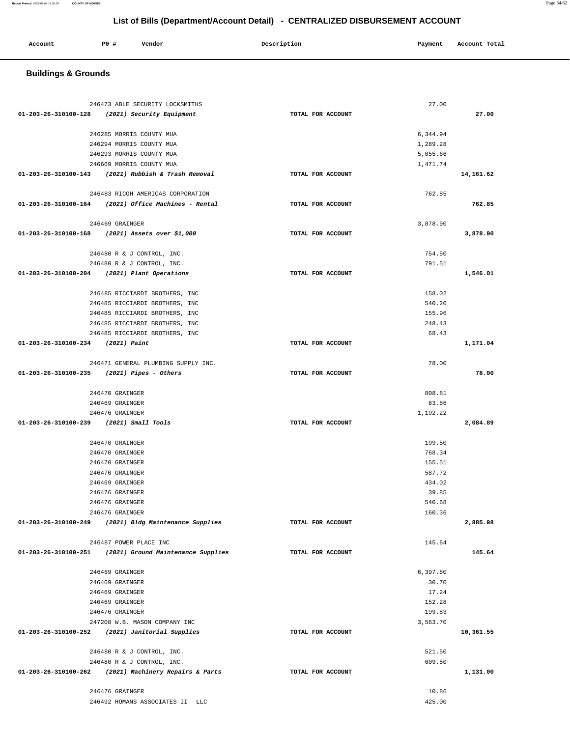## **Buildings & Grounds**

|                                                           |                   | 27.00    |           |
|-----------------------------------------------------------|-------------------|----------|-----------|
| 01-203-26-310100-128 (2021) Security Equipment            | TOTAL FOR ACCOUNT |          | 27.00     |
|                                                           |                   |          |           |
| 246285 MORRIS COUNTY MUA                                  |                   | 6,344.94 |           |
| 246294 MORRIS COUNTY MUA                                  |                   | 1,289.28 |           |
| 246293 MORRIS COUNTY MUA                                  |                   | 5,055.66 |           |
| 246669 MORRIS COUNTY MUA                                  |                   | 1,471.74 |           |
| 01-203-26-310100-143 (2021) Rubbish & Trash Removal       | TOTAL FOR ACCOUNT |          | 14,161.62 |
|                                                           |                   |          |           |
| 246483 RICOH AMERICAS CORPORATION                         |                   | 762.85   |           |
| $01-203-26-310100-164$ (2021) Office Machines - Rental    | TOTAL FOR ACCOUNT |          | 762.85    |
|                                                           |                   |          |           |
|                                                           |                   |          |           |
| 246469 GRAINGER                                           |                   | 3,878.90 |           |
| 01-203-26-310100-168 (2021) Assets over \$1,000           | TOTAL FOR ACCOUNT |          | 3,878.90  |
|                                                           |                   |          |           |
| 246480 R & J CONTROL, INC.                                |                   | 754.50   |           |
| 246480 R & J CONTROL, INC.                                |                   | 791.51   |           |
| 01-203-26-310100-204 (2021) Plant Operations              | TOTAL FOR ACCOUNT |          | 1,546.01  |
|                                                           |                   |          |           |
| 246485 RICCIARDI BROTHERS, INC                            |                   | 158.02   |           |
| 246485 RICCIARDI BROTHERS, INC                            |                   | 540.20   |           |
| 246485 RICCIARDI BROTHERS, INC                            |                   | 155.96   |           |
| 246485 RICCIARDI BROTHERS, INC                            |                   | 248.43   |           |
| 246485 RICCIARDI BROTHERS, INC                            |                   | 68.43    |           |
| 01-203-26-310100-234 (2021) Paint                         | TOTAL FOR ACCOUNT |          | 1,171.04  |
|                                                           |                   |          |           |
| 246471 GENERAL PLUMBING SUPPLY INC.                       |                   | 78.00    |           |
| $01-203-26-310100-235$ (2021) Pipes - Others              | TOTAL FOR ACCOUNT |          | 78.00     |
|                                                           |                   |          |           |
| 246470 GRAINGER                                           |                   | 808.81   |           |
|                                                           |                   |          |           |
| 246469 GRAINGER                                           |                   | 83.86    |           |
| 246476 GRAINGER                                           |                   | 1,192.22 |           |
| 01-203-26-310100-239 (2021) Small Tools                   | TOTAL FOR ACCOUNT |          | 2,084.89  |
|                                                           |                   |          |           |
| 246470 GRAINGER                                           |                   | 199.50   |           |
| 246470 GRAINGER                                           |                   | 768.34   |           |
| 246470 GRAINGER                                           |                   | 155.51   |           |
| 246470 GRAINGER                                           |                   | 587.72   |           |
| 246469 GRAINGER                                           |                   | 434.02   |           |
| 246476 GRAINGER                                           |                   | 39.85    |           |
| 246476 GRAINGER                                           |                   | 540.68   |           |
| 246476 GRAINGER                                           |                   |          |           |
|                                                           |                   | 160.36   |           |
| 01-203-26-310100-249<br>(2021) Bldg Maintenance Supplies  | TOTAL FOR ACCOUNT |          | 2,885.98  |
|                                                           |                   |          |           |
| 246487 POWER PLACE INC                                    |                   | 145.64   |           |
| 01-203-26-310100-251 (2021) Ground Maintenance Supplies   | TOTAL FOR ACCOUNT |          | 145.64    |
|                                                           |                   |          |           |
| 246469 GRAINGER                                           |                   |          |           |
| 246469 GRAINGER                                           |                   | 6,397.80 |           |
|                                                           |                   | 30.70    |           |
| 246469 GRAINGER                                           |                   | 17.24    |           |
| 246469 GRAINGER                                           |                   | 152.28   |           |
| 246476 GRAINGER                                           |                   | 199.83   |           |
| 247208 W.B. MASON COMPANY INC                             |                   | 3,563.70 |           |
| $01 - 203 - 26 - 310100 - 252$ (2021) Janitorial Supplies | TOTAL FOR ACCOUNT |          | 10,361.55 |
|                                                           |                   |          |           |
| 246480 R & J CONTROL, INC.                                |                   | 521.50   |           |
| 246480 R & J CONTROL, INC.                                |                   | 609.50   |           |
| 01-203-26-310100-262 (2021) Machinery Repairs & Parts     | TOTAL FOR ACCOUNT |          | 1,131.00  |
|                                                           |                   |          |           |
| 246476 GRAINGER                                           |                   | 10.86    |           |

**Report Printed** 2022-02-04 12:01:29 **COUNTY OF MORRIS** Page 34/62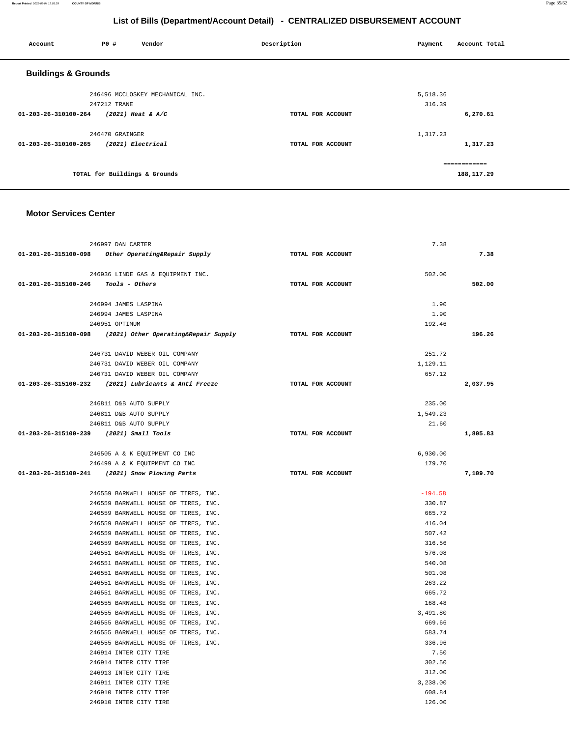#### **Report Printed** 2022-02-04 12:01:29 **COUNTY OF MORRIS** Page 35/62

# **List of Bills (Department/Account Detail) - CENTRALIZED DISBURSEMENT ACCOUNT**

| Account                        | P0 #                          | Vendor                           | Description       | Payment  | Account Total |
|--------------------------------|-------------------------------|----------------------------------|-------------------|----------|---------------|
| <b>Buildings &amp; Grounds</b> |                               |                                  |                   |          |               |
|                                |                               | 246496 MCCLOSKEY MECHANICAL INC. |                   | 5,518.36 |               |
|                                | 247212 TRANE                  |                                  |                   | 316.39   |               |
| 01-203-26-310100-264           | $(2021)$ Heat & A/C           |                                  | TOTAL FOR ACCOUNT |          | 6,270.61      |
|                                | 246470 GRAINGER               |                                  |                   | 1,317.23 |               |
| 01-203-26-310100-265           | (2021) Electrical             |                                  | TOTAL FOR ACCOUNT |          | 1,317.23      |
|                                |                               |                                  |                   |          | ============  |
|                                | TOTAL for Buildings & Grounds |                                  |                   |          | 188,117.29    |

#### **Motor Services Center**

|                                         | 246997 DAN CARTER                                            |                   | 7.38           |          |
|-----------------------------------------|--------------------------------------------------------------|-------------------|----------------|----------|
|                                         | 01-201-26-315100-098 Other Operating&Repair Supply           | TOTAL FOR ACCOUNT |                | 7.38     |
|                                         |                                                              |                   |                |          |
|                                         | 246936 LINDE GAS & EQUIPMENT INC.                            |                   | 502.00         |          |
| 01-201-26-315100-246  Tools - Others    |                                                              | TOTAL FOR ACCOUNT |                | 502.00   |
|                                         | 246994 JAMES LASPINA                                         |                   | 1.90           |          |
|                                         | 246994 JAMES LASPINA                                         |                   | 1.90           |          |
|                                         | 246951 OPTIMUM                                               |                   | 192.46         |          |
|                                         | $01-203-26-315100-098$ (2021) Other Operating& Repair Supply | TOTAL FOR ACCOUNT |                | 196.26   |
|                                         | 246731 DAVID WEBER OIL COMPANY                               |                   | 251.72         |          |
|                                         | 246731 DAVID WEBER OIL COMPANY                               |                   | 1,129.11       |          |
|                                         | 246731 DAVID WEBER OIL COMPANY                               |                   | 657.12         |          |
|                                         | 01-203-26-315100-232 (2021) Lubricants & Anti Freeze         | TOTAL FOR ACCOUNT |                | 2,037.95 |
|                                         |                                                              |                   |                |          |
|                                         | 246811 D&B AUTO SUPPLY                                       |                   | 235.00         |          |
|                                         | 246811 D&B AUTO SUPPLY                                       |                   | 1,549.23       |          |
|                                         | 246811 D&B AUTO SUPPLY                                       |                   | 21.60          |          |
| 01-203-26-315100-239 (2021) Small Tools |                                                              | TOTAL FOR ACCOUNT |                | 1,805.83 |
|                                         | 246505 A & K EQUIPMENT CO INC                                |                   | 6,930.00       |          |
|                                         | 246499 A & K EQUIPMENT CO INC                                |                   | 179.70         |          |
|                                         | 01-203-26-315100-241 (2021) Snow Plowing Parts               | TOTAL FOR ACCOUNT |                | 7,109.70 |
|                                         |                                                              |                   |                |          |
|                                         | 246559 BARNWELL HOUSE OF TIRES, INC.                         |                   | $-194.58$      |          |
|                                         | 246559 BARNWELL HOUSE OF TIRES, INC.                         |                   | 330.87         |          |
|                                         | 246559 BARNWELL HOUSE OF TIRES, INC.                         |                   | 665.72         |          |
|                                         | 246559 BARNWELL HOUSE OF TIRES, INC.                         |                   | 416.04         |          |
|                                         | 246559 BARNWELL HOUSE OF TIRES, INC.                         |                   | 507.42         |          |
|                                         | 246559 BARNWELL HOUSE OF TIRES, INC.                         |                   | 316.56         |          |
|                                         | 246551 BARNWELL HOUSE OF TIRES, INC.                         |                   | 576.08         |          |
|                                         | 246551 BARNWELL HOUSE OF TIRES, INC.                         |                   | 540.08         |          |
|                                         | 246551 BARNWELL HOUSE OF TIRES, INC.                         |                   | 501.08         |          |
|                                         | 246551 BARNWELL HOUSE OF TIRES, INC.                         |                   | 263.22         |          |
|                                         | 246551 BARNWELL HOUSE OF TIRES, INC.                         |                   | 665.72         |          |
|                                         | 246555 BARNWELL HOUSE OF TIRES, INC.                         |                   | 168.48         |          |
|                                         | 246555 BARNWELL HOUSE OF TIRES, INC.                         |                   | 3,491.80       |          |
|                                         | 246555 BARNWELL HOUSE OF TIRES, INC.                         |                   | 669.66         |          |
|                                         | 246555 BARNWELL HOUSE OF TIRES, INC.                         |                   | 583.74         |          |
|                                         | 246555 BARNWELL HOUSE OF TIRES, INC.                         |                   | 336.96         |          |
|                                         | 246914 INTER CITY TIRE                                       |                   | 7.50<br>302.50 |          |
|                                         | 246914 INTER CITY TIRE<br>246913 INTER CITY TIRE             |                   | 312.00         |          |
|                                         | 246911 INTER CITY TIRE                                       |                   | 3,238.00       |          |
|                                         | 246910 INTER CITY TIRE                                       |                   | 608.84         |          |
|                                         | 246910 INTER CITY TIRE                                       |                   | 126.00         |          |
|                                         |                                                              |                   |                |          |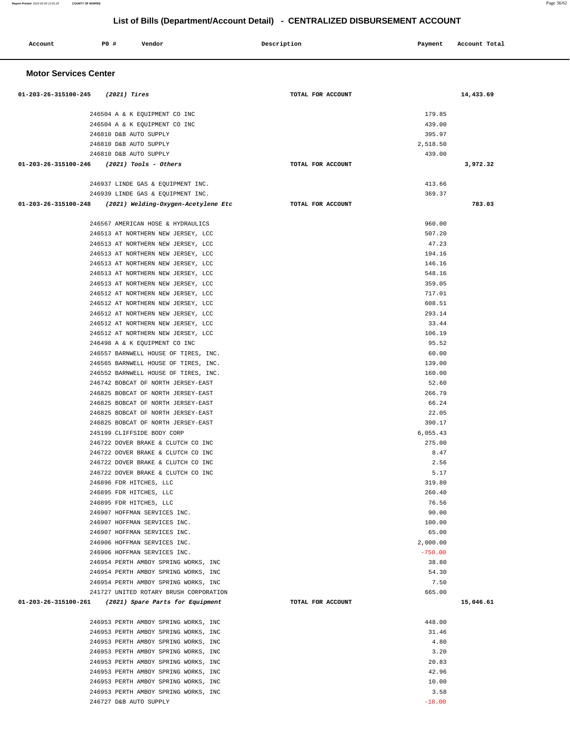| Account                      | P0 #                   | Vendor                                                                       | Description       | Payment           | Account Total |
|------------------------------|------------------------|------------------------------------------------------------------------------|-------------------|-------------------|---------------|
| <b>Motor Services Center</b> |                        |                                                                              |                   |                   |               |
| 01-203-26-315100-245         | (2021) Tires           |                                                                              | TOTAL FOR ACCOUNT |                   | 14,433.69     |
|                              |                        | 246504 A & K EQUIPMENT CO INC                                                |                   | 179.85            |               |
|                              |                        | 246504 A & K EQUIPMENT CO INC                                                |                   | 439.00            |               |
|                              |                        | 246810 D&B AUTO SUPPLY                                                       |                   | 395.97            |               |
|                              | 246810 D&B AUTO SUPPLY |                                                                              |                   | 2,518.50          |               |
|                              |                        | 246810 D&B AUTO SUPPLY                                                       |                   | 439.00            |               |
| 01-203-26-315100-246         |                        | (2021) Tools - Others                                                        | TOTAL FOR ACCOUNT |                   | 3,972.32      |
|                              |                        | 246937 LINDE GAS & EQUIPMENT INC.                                            |                   | 413.66            |               |
|                              |                        | 246939 LINDE GAS & EQUIPMENT INC.                                            |                   | 369.37            |               |
| 01-203-26-315100-248         |                        | (2021) Welding-Oxygen-Acetylene Etc                                          | TOTAL FOR ACCOUNT |                   | 783.03        |
|                              |                        | 246567 AMERICAN HOSE & HYDRAULICS                                            |                   | 960.00            |               |
|                              |                        | 246513 AT NORTHERN NEW JERSEY, LCC                                           |                   | 507.20            |               |
|                              |                        | 246513 AT NORTHERN NEW JERSEY, LCC                                           |                   | 47.23             |               |
|                              |                        | 246513 AT NORTHERN NEW JERSEY, LCC                                           |                   | 194.16            |               |
|                              |                        | 246513 AT NORTHERN NEW JERSEY, LCC                                           |                   | 146.16            |               |
|                              |                        | 246513 AT NORTHERN NEW JERSEY, LCC                                           |                   | 548.16            |               |
|                              |                        | 246513 AT NORTHERN NEW JERSEY, LCC                                           |                   | 359.05            |               |
|                              |                        | 246512 AT NORTHERN NEW JERSEY, LCC                                           |                   | 717.01            |               |
|                              |                        | 246512 AT NORTHERN NEW JERSEY, LCC                                           |                   | 608.51            |               |
|                              |                        | 246512 AT NORTHERN NEW JERSEY, LCC                                           |                   | 293.14            |               |
|                              |                        | 246512 AT NORTHERN NEW JERSEY, LCC                                           |                   | 33.44             |               |
|                              |                        | 246512 AT NORTHERN NEW JERSEY, LCC                                           |                   | 106.19            |               |
|                              |                        | 246498 A & K EQUIPMENT CO INC                                                |                   | 95.52             |               |
|                              |                        | 246557 BARNWELL HOUSE OF TIRES, INC.                                         |                   | 60.00             |               |
|                              |                        | 246565 BARNWELL HOUSE OF TIRES, INC.<br>246552 BARNWELL HOUSE OF TIRES, INC. |                   | 139.00<br>160.00  |               |
|                              |                        | 246742 BOBCAT OF NORTH JERSEY-EAST                                           |                   | 52.60             |               |
|                              |                        | 246825 BOBCAT OF NORTH JERSEY-EAST                                           |                   | 266.79            |               |
|                              |                        | 246825 BOBCAT OF NORTH JERSEY-EAST                                           |                   | 66.24             |               |
|                              |                        | 246825 BOBCAT OF NORTH JERSEY-EAST                                           |                   | 22.05             |               |
|                              |                        | 246825 BOBCAT OF NORTH JERSEY-EAST                                           |                   | 390.17            |               |
|                              |                        | 245199 CLIFFSIDE BODY CORP                                                   |                   | 6,055.43          |               |
|                              |                        | 246722 DOVER BRAKE & CLUTCH CO INC                                           |                   | 275.00            |               |
|                              |                        | 246722 DOVER BRAKE & CLUTCH CO INC                                           |                   | 8.47              |               |
|                              |                        | 246722 DOVER BRAKE & CLUTCH CO INC                                           |                   | 2.56              |               |
|                              |                        | 246722 DOVER BRAKE & CLUTCH CO INC                                           |                   | 5.17              |               |
|                              |                        | 246896 FDR HITCHES, LLC                                                      |                   | 319.80            |               |
|                              |                        | 246895 FDR HITCHES, LLC                                                      |                   | 260.40            |               |
|                              |                        | 246895 FDR HITCHES, LLC                                                      |                   | 76.56             |               |
|                              |                        | 246907 HOFFMAN SERVICES INC.                                                 |                   | 90.00             |               |
|                              |                        | 246907 HOFFMAN SERVICES INC.<br>246907 HOFFMAN SERVICES INC.                 |                   | 100.00            |               |
|                              |                        | 246906 HOFFMAN SERVICES INC.                                                 |                   | 65.00<br>2,000.00 |               |
|                              |                        | 246906 HOFFMAN SERVICES INC.                                                 |                   | $-750.00$         |               |
|                              |                        | 246954 PERTH AMBOY SPRING WORKS, INC                                         |                   | 38.80             |               |
|                              |                        | 246954 PERTH AMBOY SPRING WORKS, INC                                         |                   | 54.30             |               |
|                              |                        | 246954 PERTH AMBOY SPRING WORKS, INC                                         |                   | 7.50              |               |
|                              |                        | 241727 UNITED ROTARY BRUSH CORPORATION                                       |                   | 665.00            |               |
|                              |                        | 01-203-26-315100-261 (2021) Spare Parts for Equipment                        | TOTAL FOR ACCOUNT |                   | 15,046.61     |
|                              |                        | 246953 PERTH AMBOY SPRING WORKS, INC                                         |                   | 448.00            |               |
|                              |                        | 246953 PERTH AMBOY SPRING WORKS, INC                                         |                   | 31.46             |               |
|                              |                        | 246953 PERTH AMBOY SPRING WORKS, INC                                         |                   | 4.80              |               |
|                              |                        | 246953 PERTH AMBOY SPRING WORKS, INC                                         |                   | 3.20              |               |
|                              |                        | 246953 PERTH AMBOY SPRING WORKS, INC                                         |                   | 20.83             |               |
|                              |                        | 246953 PERTH AMBOY SPRING WORKS, INC                                         |                   | 42.96             |               |
|                              |                        | 246953 PERTH AMBOY SPRING WORKS, INC                                         |                   | 10.00             |               |
|                              |                        | 246953 PERTH AMBOY SPRING WORKS, INC                                         |                   | 3.58              |               |
|                              |                        | 246727 D&B AUTO SUPPLY                                                       |                   | $-18.00$          |               |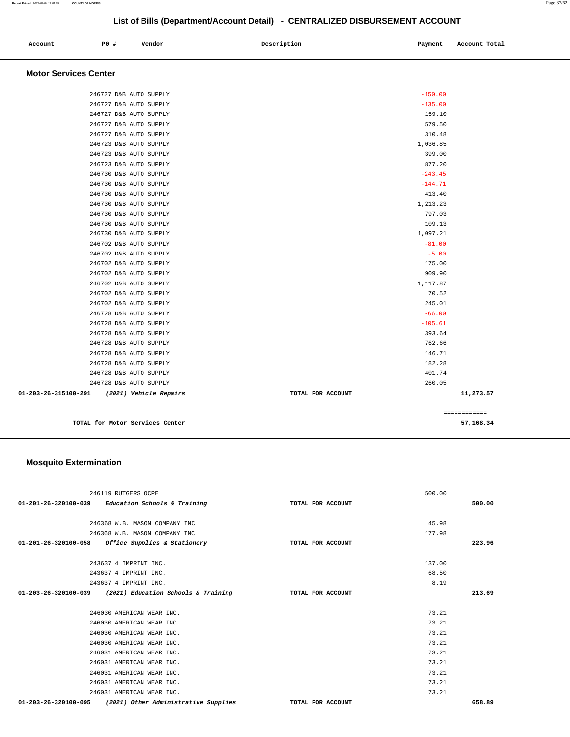| Account<br>. | P0 # | Vendor | Description | Payment | Account Total |
|--------------|------|--------|-------------|---------|---------------|
|              |      |        |             |         |               |

#### **Motor Services Center**

| 246702 D&B AUTO SUPPLY<br>246702 D&B AUTO SUPPLY<br>246702 D&B AUTO SUPPLY<br>246728 D&B AUTO SUPPLY<br>246728 D&B AUTO SUPPLY<br>246728 D&B AUTO SUPPLY<br>246728 D&B AUTO SUPPLY<br>246728 D&B AUTO SUPPLY<br>246728 D&B AUTO SUPPLY<br>246728 D&B AUTO SUPPLY<br>246728 D&B AUTO SUPPLY<br>(2021) Vehicle Repairs | 70.52<br>245.01<br>$-66.00$<br>$-105.61$<br>393.64<br>762.66<br>146.71<br>182.28<br>401.74<br>260.05<br>TOTAL FOR ACCOUNT | 11,273.57 |
|----------------------------------------------------------------------------------------------------------------------------------------------------------------------------------------------------------------------------------------------------------------------------------------------------------------------|---------------------------------------------------------------------------------------------------------------------------|-----------|
|                                                                                                                                                                                                                                                                                                                      |                                                                                                                           |           |
|                                                                                                                                                                                                                                                                                                                      |                                                                                                                           |           |
|                                                                                                                                                                                                                                                                                                                      |                                                                                                                           |           |
|                                                                                                                                                                                                                                                                                                                      |                                                                                                                           |           |
|                                                                                                                                                                                                                                                                                                                      |                                                                                                                           |           |
|                                                                                                                                                                                                                                                                                                                      |                                                                                                                           |           |
|                                                                                                                                                                                                                                                                                                                      |                                                                                                                           |           |
|                                                                                                                                                                                                                                                                                                                      |                                                                                                                           |           |
|                                                                                                                                                                                                                                                                                                                      |                                                                                                                           |           |
|                                                                                                                                                                                                                                                                                                                      |                                                                                                                           |           |
|                                                                                                                                                                                                                                                                                                                      |                                                                                                                           |           |
|                                                                                                                                                                                                                                                                                                                      | 1,117.87                                                                                                                  |           |
| 246702 D&B AUTO SUPPLY                                                                                                                                                                                                                                                                                               | 909.90                                                                                                                    |           |
| 246702 D&B AUTO SUPPLY                                                                                                                                                                                                                                                                                               | 175.00                                                                                                                    |           |
| 246702 D&B AUTO SUPPLY                                                                                                                                                                                                                                                                                               | $-5.00$                                                                                                                   |           |
| 246702 D&B AUTO SUPPLY                                                                                                                                                                                                                                                                                               | $-81.00$                                                                                                                  |           |
| 246730 D&B AUTO SUPPLY                                                                                                                                                                                                                                                                                               | 1,097.21                                                                                                                  |           |
| 246730 D&B AUTO SUPPLY                                                                                                                                                                                                                                                                                               | 109.13                                                                                                                    |           |
| 246730 D&B AUTO SUPPLY                                                                                                                                                                                                                                                                                               | 797.03                                                                                                                    |           |
| 246730 D&B AUTO SUPPLY                                                                                                                                                                                                                                                                                               | 1,213.23                                                                                                                  |           |
| 246730 D&B AUTO SUPPLY                                                                                                                                                                                                                                                                                               | 413.40                                                                                                                    |           |
| 246730 D&B AUTO SUPPLY                                                                                                                                                                                                                                                                                               | $-144.71$                                                                                                                 |           |
| 246730 D&B AUTO SUPPLY                                                                                                                                                                                                                                                                                               | $-243.45$                                                                                                                 |           |
| 246723 D&B AUTO SUPPLY                                                                                                                                                                                                                                                                                               | 877.20                                                                                                                    |           |
| 246723 D&B AUTO SUPPLY                                                                                                                                                                                                                                                                                               | 399.00                                                                                                                    |           |
| 246723 D&B AUTO SUPPLY                                                                                                                                                                                                                                                                                               | 1,036.85                                                                                                                  |           |
| 246727 D&B AUTO SUPPLY                                                                                                                                                                                                                                                                                               | 310.48                                                                                                                    |           |
| 246727 D&B AUTO SUPPLY                                                                                                                                                                                                                                                                                               | 579.50                                                                                                                    |           |
| 246727 D&B AUTO SUPPLY                                                                                                                                                                                                                                                                                               | 159.10                                                                                                                    |           |
| 246727 D&B AUTO SUPPLY                                                                                                                                                                                                                                                                                               | $-135.00$                                                                                                                 |           |
| 246727 D&B AUTO SUPPLY                                                                                                                                                                                                                                                                                               | $-150.00$                                                                                                                 |           |
|                                                                                                                                                                                                                                                                                                                      |                                                                                                                           |           |

**TOTAL for Motor Services Center 57,168.34**

## **Mosquito Extermination**

| 246119 RUTGERS OCPE                                          |                   | 500.00 |
|--------------------------------------------------------------|-------------------|--------|
| $01-201-26-320100-039$ Education Schools & Training          | TOTAL FOR ACCOUNT | 500.00 |
|                                                              |                   |        |
| 246368 W.B. MASON COMPANY INC                                |                   | 45.98  |
| 246368 W.B. MASON COMPANY INC                                |                   | 177.98 |
| 01-201-26-320100-058 Office Supplies & Stationery            | TOTAL FOR ACCOUNT | 223.96 |
|                                                              |                   |        |
| 243637 4 IMPRINT INC.                                        |                   | 137.00 |
| 243637 4 IMPRINT INC.                                        |                   | 68.50  |
| 243637 4 IMPRINT INC.                                        |                   | 8.19   |
| 01-203-26-320100-039 (2021) Education Schools & Training     | TOTAL FOR ACCOUNT | 213.69 |
|                                                              |                   |        |
| 246030 AMERICAN WEAR INC.                                    |                   | 73.21  |
| 246030 AMERICAN WEAR INC.                                    |                   | 73.21  |
| 246030 AMERICAN WEAR INC.                                    |                   | 73.21  |
| 246030 AMERICAN WEAR INC.                                    |                   | 73.21  |
| 246031 AMERICAN WEAR INC.                                    |                   | 73.21  |
| 246031 AMERICAN WEAR INC.                                    |                   | 73.21  |
| 246031 AMERICAN WEAR INC.                                    |                   | 73.21  |
| 246031 AMERICAN WEAR INC.                                    |                   | 73.21  |
| 246031 AMERICAN WEAR INC.                                    |                   | 73.21  |
| (2021) Other Administrative Supplies<br>01-203-26-320100-095 | TOTAL FOR ACCOUNT | 658.89 |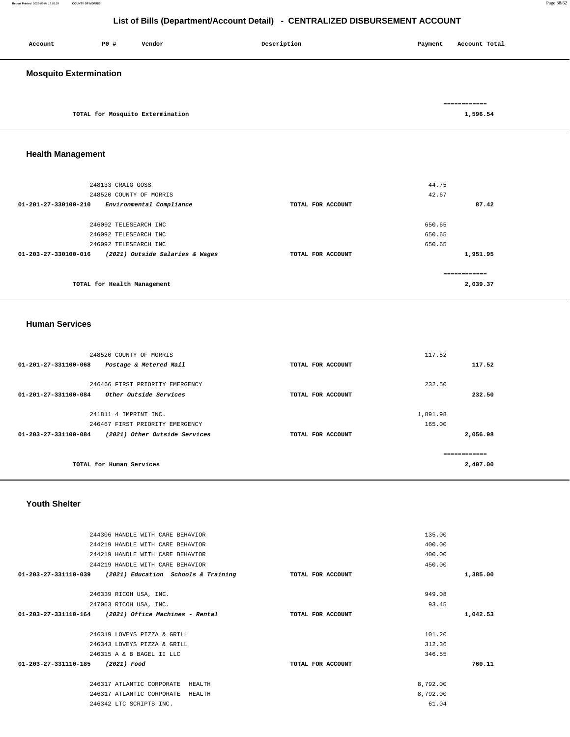| Account                       | P0 # | Vendor                           | Description | Payment | Account Total            |
|-------------------------------|------|----------------------------------|-------------|---------|--------------------------|
| <b>Mosquito Extermination</b> |      |                                  |             |         |                          |
|                               |      | TOTAL for Mosquito Extermination |             |         | ============<br>1,596.54 |

# **Health Management**

| 248133 CRAIG GOSS                                       |                   | 44.75    |
|---------------------------------------------------------|-------------------|----------|
| 248520 COUNTY OF MORRIS                                 |                   | 42.67    |
| $01 - 201 - 27 - 330100 - 210$                          | TOTAL FOR ACCOUNT | 87.42    |
| Environmental Compliance                                |                   |          |
|                                                         |                   |          |
| 246092 TELESEARCH INC                                   |                   | 650.65   |
| 246092 TELESEARCH INC                                   |                   | 650.65   |
| 246092 TELESEARCH INC                                   |                   | 650.65   |
| (2021) Outside Salaries & Wages<br>01-203-27-330100-016 | TOTAL FOR ACCOUNT | 1,951.95 |
|                                                         |                   |          |
| TOTAL for Health Management                             |                   | 2,039.37 |

## **Human Services**

| 248520 COUNTY OF MORRIS                                  |                   | 117.52   |
|----------------------------------------------------------|-------------------|----------|
| $01 - 201 - 27 - 331100 - 068$<br>Postage & Metered Mail | TOTAL FOR ACCOUNT | 117.52   |
| 246466 FIRST PRIORITY EMERGENCY                          |                   | 232.50   |
| Other Outside Services<br>01-201-27-331100-084           | TOTAL FOR ACCOUNT | 232.50   |
| 241811 4 IMPRINT INC.                                    |                   | 1,891.98 |
| 246467 FIRST PRIORITY EMERGENCY                          |                   | 165.00   |
| (2021) Other Outside Services<br>01-203-27-331100-084    | TOTAL FOR ACCOUNT | 2,056.98 |
|                                                          |                   |          |
| TOTAL for Human Services                                 |                   | 2,407.00 |

#### **Youth Shelter**

| 135.00                                                               | 244306 HANDLE WITH CARE BEHAVIOR    |                      |
|----------------------------------------------------------------------|-------------------------------------|----------------------|
| 400.00                                                               | 244219 HANDLE WITH CARE BEHAVIOR    |                      |
| 400.00                                                               | 244219 HANDLE WITH CARE BEHAVIOR    |                      |
| 450.00                                                               | 244219 HANDLE WITH CARE BEHAVIOR    |                      |
| 1,385.00<br>(2021) Education Schools & Training<br>TOTAL FOR ACCOUNT |                                     | 01-203-27-331110-039 |
|                                                                      |                                     |                      |
| 949.08                                                               | 246339 RICOH USA, INC.              |                      |
| 93.45                                                                | 247063 RICOH USA, INC.              |                      |
| (2021) Office Machines - Rental<br>1,042.53<br>TOTAL FOR ACCOUNT     | 01-203-27-331110-164                |                      |
|                                                                      |                                     |                      |
| 101.20                                                               | 246319 LOVEYS PIZZA & GRILL         |                      |
| 312.36                                                               | 246343 LOVEYS PIZZA & GRILL         |                      |
| 346.55                                                               | 246315 A & B BAGEL II LLC           |                      |
| 760.11<br>TOTAL FOR ACCOUNT                                          | 01-203-27-331110-185<br>(2021) Food |                      |
|                                                                      |                                     |                      |
| 8,792.00<br>HEALTH                                                   | 246317 ATLANTIC CORPORATE           |                      |
| 8,792.00<br>HEALTH                                                   | 246317 ATLANTIC CORPORATE           |                      |
| 61.04                                                                | 246342 LTC SCRIPTS INC.             |                      |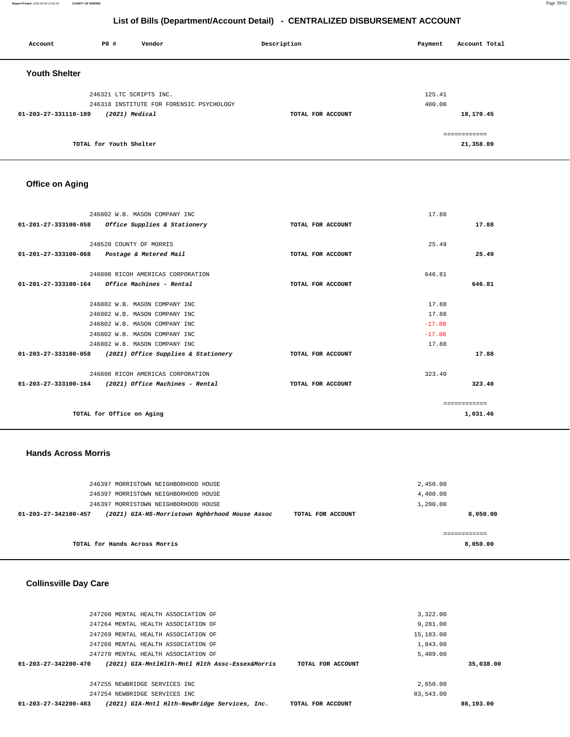| Account              | P0#                     | Vendor                                   | Description       | Payment | Account Total |
|----------------------|-------------------------|------------------------------------------|-------------------|---------|---------------|
| <b>Youth Shelter</b> |                         |                                          |                   |         |               |
|                      | 246321 LTC SCRIPTS INC. |                                          |                   | 125.41  |               |
|                      |                         | 246318 INSTITUTE FOR FORENSIC PSYCHOLOGY |                   | 400.00  |               |
| 01-203-27-331110-189 | (2021) Medical          |                                          | TOTAL FOR ACCOUNT |         | 18,170.45     |
|                      |                         |                                          |                   |         | ============  |
|                      | TOTAL for Youth Shelter |                                          |                   |         | 21,358.09     |

# **Office on Aging**

|                                | 246802 W.B. MASON COMPANY INC                            |                   | 17.88    |               |
|--------------------------------|----------------------------------------------------------|-------------------|----------|---------------|
| 01-201-27-333100-058           | Office Supplies & Stationery                             | TOTAL FOR ACCOUNT |          | 17.88         |
|                                |                                                          |                   |          |               |
|                                | 248520 COUNTY OF MORRIS                                  |                   | 25.49    |               |
| 01-201-27-333100-068           | Postage & Metered Mail                                   | TOTAL FOR ACCOUNT |          | 25.49         |
|                                |                                                          |                   |          |               |
|                                | 246808 RICOH AMERICAS CORPORATION                        |                   | 646.81   |               |
| $01 - 201 - 27 - 333100 - 164$ | Office Machines - Rental                                 | TOTAL FOR ACCOUNT |          | 646.81        |
|                                |                                                          |                   |          |               |
|                                | 246802 W.B. MASON COMPANY INC                            |                   | 17.88    |               |
|                                | 246802 W.B. MASON COMPANY INC                            |                   | 17.88    |               |
|                                | 246802 W.B. MASON COMPANY INC                            |                   | $-17.88$ |               |
|                                | 246802 W.B. MASON COMPANY INC                            |                   | $-17.88$ |               |
|                                | 246802 W.B. MASON COMPANY INC                            |                   | 17.88    |               |
|                                | 01-203-27-333100-058 (2021) Office Supplies & Stationery | TOTAL FOR ACCOUNT |          | 17.88         |
|                                | 246808 RICOH AMERICAS CORPORATION                        |                   | 323.40   |               |
| 01-203-27-333100-164           | (2021) Office Machines - Rental                          | TOTAL FOR ACCOUNT |          | 323.40        |
|                                |                                                          |                   |          | ------------- |
|                                | TOTAL for Office on Aging                                |                   |          | 1,031.46      |

### **Hands Across Morris**

| TOTAL for Hands Across Morris                                                               | 8,050.00 |
|---------------------------------------------------------------------------------------------|----------|
|                                                                                             |          |
| (2021) GIA-HS-Morristown Nghbrhood House Assoc<br>01-203-27-342100-457<br>TOTAL FOR ACCOUNT | 8,050.00 |
| 246397 MORRISTOWN NEIGHBORHOOD HOUSE                                                        | 1,200.00 |
| 246397 MORRISTOWN NEIGHBORHOOD HOUSE                                                        | 4,400.00 |
| 246397 MORRISTOWN NEIGHBORHOOD HOUSE                                                        | 2,450.00 |
|                                                                                             |          |

# **Collinsville Day Care**

| 247260 MENTAL HEALTH ASSOCIATION OF                                                                    | 3,322.00  |           |
|--------------------------------------------------------------------------------------------------------|-----------|-----------|
| 247264 MENTAL HEALTH ASSOCIATION OF                                                                    | 9,281.00  |           |
| 247269 MENTAL HEALTH ASSOCIATION OF                                                                    | 15,183.00 |           |
| 247268 MENTAL HEALTH ASSOCIATION OF                                                                    | 1,843.00  |           |
| 247270 MENTAL HEALTH ASSOCIATION OF                                                                    | 5.409.00  |           |
| $01 - 203 - 27 - 342200 - 470$<br>(2021) GIA-MntlHlth-Mntl Hlth Assc-Essex&Morris<br>TOTAL FOR ACCOUNT |           | 35,038.00 |
|                                                                                                        |           |           |
| 247255 NEWBRIDGE SERVICES INC                                                                          | 2,650.00  |           |
| 247254 NEWBRIDGE SERVICES INC.                                                                         | 83,543.00 |           |
| (2021) GIA-Mntl Hlth-NewBridge Services, Inc.<br>$01 - 203 - 27 - 342200 - 483$<br>TOTAL FOR ACCOUNT   |           | 86,193.00 |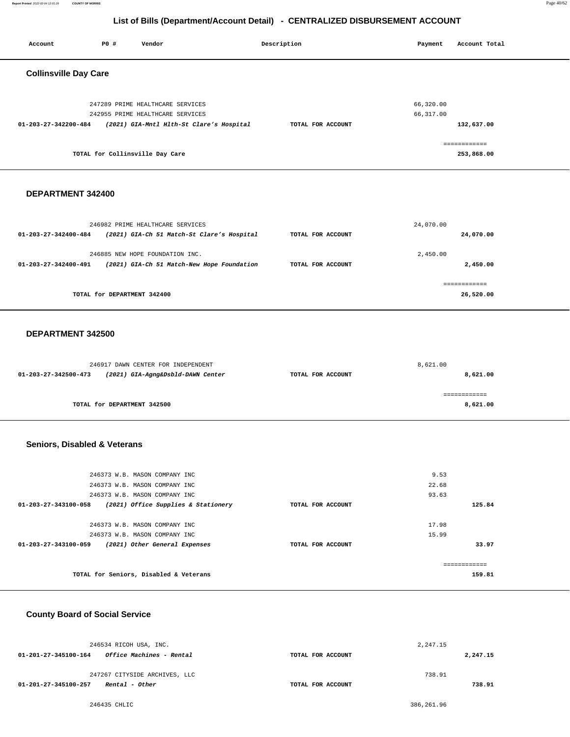**Report Printed** 2022-02-04 12:01:29 **COUNTY OF MORRIS** Page 40/62

# **List of Bills (Department/Account Detail) - CENTRALIZED DISBURSEMENT ACCOUNT**

| Account                      | P0 # | Vendor                                                                                                           | Description       | Payment                | Account Total              |
|------------------------------|------|------------------------------------------------------------------------------------------------------------------|-------------------|------------------------|----------------------------|
| <b>Collinsville Day Care</b> |      |                                                                                                                  |                   |                        |                            |
| 01-203-27-342200-484         |      | 247289 PRIME HEALTHCARE SERVICES<br>242955 PRIME HEALTHCARE SERVICES<br>(2021) GIA-Mntl Hlth-St Clare's Hospital | TOTAL FOR ACCOUNT | 66,320.00<br>66,317.00 | 132,637.00                 |
|                              |      | TOTAL for Collinsville Day Care                                                                                  |                   |                        | ============<br>253,868.00 |
|                              |      |                                                                                                                  |                   |                        |                            |

#### **DEPARTMENT 342400**

|                                | 246982 PRIME HEALTHCARE SERVICES                                              |                   | 24,070.00            |
|--------------------------------|-------------------------------------------------------------------------------|-------------------|----------------------|
| $01 - 203 - 27 - 342400 - 484$ | (2021) GIA-Ch 51 Match-St Clare's Hospital                                    | TOTAL FOR ACCOUNT | 24,070.00            |
| 01-203-27-342400-491           | 246885 NEW HOPE FOUNDATION INC.<br>(2021) GIA-Ch 51 Match-New Hope Foundation | TOTAL FOR ACCOUNT | 2,450.00<br>2,450.00 |
|                                |                                                                               |                   |                      |
|                                |                                                                               |                   | ============         |
|                                | TOTAL for DEPARTMENT 342400                                                   |                   | 26,520.00            |

#### **DEPARTMENT 342500**

|                      | 246917 DAWN CENTER FOR INDEPENDENT |                   | 8,621.00 |
|----------------------|------------------------------------|-------------------|----------|
| 01-203-27-342500-473 | (2021) GIA-Agng&Dsbld-DAWN Center  | TOTAL FOR ACCOUNT | 8,621.00 |
|                      |                                    |                   |          |
|                      |                                    |                   |          |
|                      | TOTAL for DEPARTMENT 342500        |                   | 8,621.00 |
|                      |                                    |                   |          |

#### **Seniors, Disabled & Veterans**

| 246373 W.B. MASON COMPANY INC<br>246373 W.B. MASON COMPANY INC                               |                   | 9.53<br>22.68   |
|----------------------------------------------------------------------------------------------|-------------------|-----------------|
| 246373 W.B. MASON COMPANY INC<br>01-203-27-343100-058<br>(2021) Office Supplies & Stationery | TOTAL FOR ACCOUNT | 93.63<br>125.84 |
| 246373 W.B. MASON COMPANY INC<br>246373 W.B. MASON COMPANY INC                               |                   | 17.98<br>15.99  |
| 01-203-27-343100-059<br>(2021) Other General Expenses                                        | TOTAL FOR ACCOUNT | 33.97           |
| TOTAL for Seniors, Disabled & Veterans                                                       |                   | 159.81          |

## **County Board of Social Service**

| 246534 RICOH USA, INC.                                                  |                   | 2,247.15 |          |  |
|-------------------------------------------------------------------------|-------------------|----------|----------|--|
| <i><b>Office Machines - Rental</b></i><br>01-201-27-345100-164          | TOTAL FOR ACCOUNT |          | 2,247.15 |  |
| 247267 CITYSIDE ARCHIVES, LLC<br>01-201-27-345100-257<br>Rental - Other | TOTAL FOR ACCOUNT | 738.91   | 738.91   |  |

246435 CHLIC 386,261.96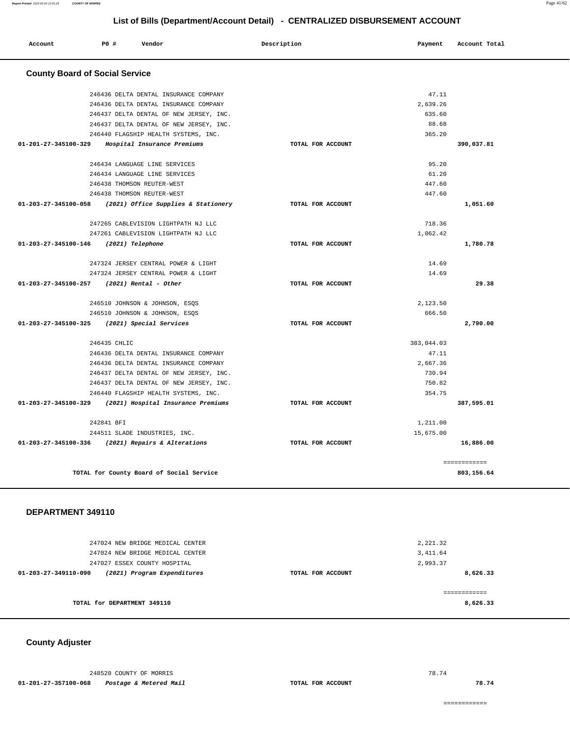| Account | P0 # | Vendor<br>. | Description | Payment | Account Total |
|---------|------|-------------|-------------|---------|---------------|
|         |      |             |             |         |               |

## **County Board of Social Service**

| 246436 DELTA DENTAL INSURANCE COMPANY                    |                   | 47.11      |                            |
|----------------------------------------------------------|-------------------|------------|----------------------------|
| 246436 DELTA DENTAL INSURANCE COMPANY                    |                   | 2.639.26   |                            |
| 246437 DELTA DENTAL OF NEW JERSEY, INC.                  |                   | 635.60     |                            |
| 246437 DELTA DENTAL OF NEW JERSEY, INC.                  |                   | 88.68      |                            |
| 246440 FLAGSHIP HEALTH SYSTEMS, INC.                     |                   | 365.20     |                            |
| 01-201-27-345100-329 Hospital Insurance Premiums         | TOTAL FOR ACCOUNT |            | 390,037.81                 |
| 246434 LANGUAGE LINE SERVICES                            |                   | 95.20      |                            |
| 246434 LANGUAGE LINE SERVICES                            |                   | 61.20      |                            |
| 246438 THOMSON REUTER-WEST                               |                   | 447.60     |                            |
| 246438 THOMSON REUTER-WEST                               |                   | 447.60     |                            |
| 01-203-27-345100-058 (2021) Office Supplies & Stationery | TOTAL FOR ACCOUNT |            | 1,051.60                   |
| 247265 CABLEVISION LIGHTPATH NJ LLC                      |                   | 718.36     |                            |
| 247261 CABLEVISION LIGHTPATH NJ LLC                      |                   | 1,062.42   |                            |
| 01-203-27-345100-146 (2021) Telephone                    | TOTAL FOR ACCOUNT |            | 1,780.78                   |
|                                                          |                   |            |                            |
| 247324 JERSEY CENTRAL POWER & LIGHT                      |                   | 14.69      |                            |
| 247324 JERSEY CENTRAL POWER & LIGHT                      |                   | 14.69      |                            |
| $01-203-27-345100-257$ (2021) Rental - Other             | TOTAL FOR ACCOUNT |            | 29.38                      |
| 246510 JOHNSON & JOHNSON, ESQS                           |                   | 2,123.50   |                            |
| 246510 JOHNSON & JOHNSON, ESOS                           |                   | 666.50     |                            |
| 01-203-27-345100-325 (2021) Special Services             | TOTAL FOR ACCOUNT |            | 2,790.00                   |
| 246435 CHLIC                                             |                   | 383,044.03 |                            |
| 246436 DELTA DENTAL INSURANCE COMPANY                    |                   | 47.11      |                            |
| 246436 DELTA DENTAL INSURANCE COMPANY                    |                   | 2.667.36   |                            |
| 246437 DELTA DENTAL OF NEW JERSEY, INC.                  |                   | 730.94     |                            |
| 246437 DELTA DENTAL OF NEW JERSEY, INC.                  |                   | 750.82     |                            |
| 246440 FLAGSHIP HEALTH SYSTEMS, INC.                     |                   | 354.75     |                            |
| 01-203-27-345100-329 (2021) Hospital Insurance Premiums  | TOTAL FOR ACCOUNT |            | 387,595.01                 |
| 242841 BFI                                               |                   | 1,211.00   |                            |
| 244511 SLADE INDUSTRIES, INC.                            |                   | 15,675.00  |                            |
| 01-203-27-345100-336 (2021) Repairs & Alterations        | TOTAL FOR ACCOUNT |            | 16,886.00                  |
|                                                          |                   |            |                            |
| TOTAL for County Board of Social Service                 |                   |            | ============<br>803,156.64 |
|                                                          |                   |            |                            |

#### **DEPARTMENT 349110**

| 247024 NEW BRIDGE MEDICAL CENTER<br>247024 NEW BRIDGE MEDICAL CENTER                |                   | 2,221.32<br>3,411.64 |
|-------------------------------------------------------------------------------------|-------------------|----------------------|
| 247027 ESSEX COUNTY HOSPITAL<br>(2021) Program Expenditures<br>01-203-27-349110-090 | TOTAL FOR ACCOUNT | 2,993.37<br>8,626.33 |
|                                                                                     |                   |                      |
| TOTAL for DEPARTMENT 349110                                                         |                   | 8,626.33             |

## **County Adjuster**

248520 COUNTY OF MORRIS **01-201-27-357100-068 Postage & Metered Mail TOTAL FOR ACCOUNT** 

============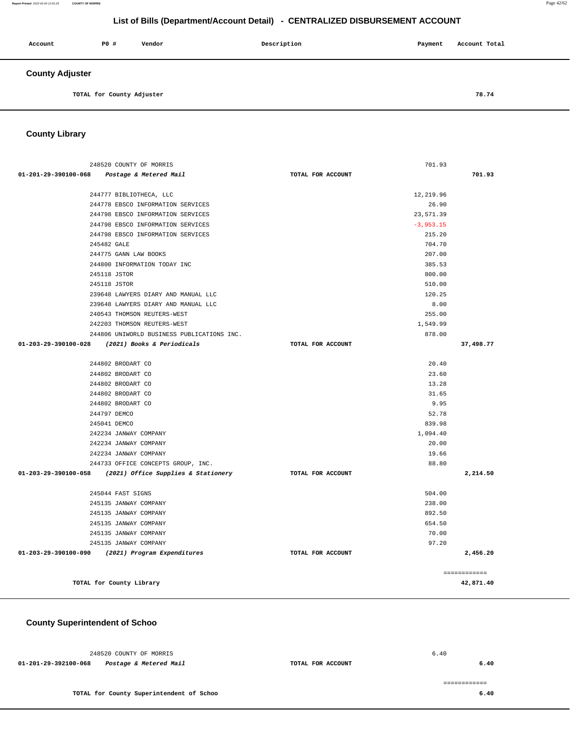**6.40**

**6.40** 

# **List of Bills (Department/Account Detail) - CENTRALIZED DISBURSEMENT ACCOUNT**

| Account                | P0 #                      | Vendor | Description | Payment | Account Total |  |
|------------------------|---------------------------|--------|-------------|---------|---------------|--|
| <b>County Adjuster</b> |                           |        |             |         |               |  |
|                        | TOTAL for County Adjuster |        |             |         | 78.74         |  |

**County Library** 

| 248520 COUNTY OF MORRIS                                  |                   | 701.93      |              |
|----------------------------------------------------------|-------------------|-------------|--------------|
| 01-201-29-390100-068 Postage & Metered Mail              | TOTAL FOR ACCOUNT |             | 701.93       |
| 244777 BIBLIOTHECA, LLC                                  |                   | 12,219.96   |              |
| 244778 EBSCO INFORMATION SERVICES                        |                   | 26.90       |              |
| 244798 EBSCO INFORMATION SERVICES                        |                   | 23,571.39   |              |
| 244798 EBSCO INFORMATION SERVICES                        |                   | $-3,953.15$ |              |
| 244798 EBSCO INFORMATION SERVICES                        |                   | 215.20      |              |
| 245482 GALE                                              |                   | 704.70      |              |
| 244775 GANN LAW BOOKS                                    |                   | 207.00      |              |
| 244800 INFORMATION TODAY INC                             |                   | 385.53      |              |
| 245118 JSTOR                                             |                   | 800.00      |              |
| 245118 JSTOR                                             |                   | 510.00      |              |
| 239648 LAWYERS DIARY AND MANUAL LLC                      |                   | 120.25      |              |
| 239648 LAWYERS DIARY AND MANUAL LLC                      |                   | 8.00        |              |
| 240543 THOMSON REUTERS-WEST                              |                   | 255.00      |              |
| 242203 THOMSON REUTERS-WEST                              |                   | 1,549.99    |              |
| 244806 UNIWORLD BUSINESS PUBLICATIONS INC.               |                   | 878.00      |              |
| 01-203-29-390100-028 (2021) Books & Periodicals          | TOTAL FOR ACCOUNT |             | 37,498.77    |
| 244802 BRODART CO                                        |                   | 20.40       |              |
| 244802 BRODART CO                                        |                   | 23.60       |              |
| 244802 BRODART CO                                        |                   | 13.28       |              |
| 244802 BRODART CO                                        |                   | 31.65       |              |
| 244802 BRODART CO                                        |                   | 9.95        |              |
| 244797 DEMCO                                             |                   | 52.78       |              |
| 245041 DEMCO                                             |                   | 839.98      |              |
| 242234 JANWAY COMPANY                                    |                   | 1,094.40    |              |
| 242234 JANWAY COMPANY                                    |                   | 20.00       |              |
| 242234 JANWAY COMPANY                                    |                   | 19.66       |              |
| 244733 OFFICE CONCEPTS GROUP, INC.                       |                   | 88.80       |              |
| 01-203-29-390100-058 (2021) Office Supplies & Stationery | TOTAL FOR ACCOUNT |             | 2,214.50     |
| 245044 FAST SIGNS                                        |                   | 504.00      |              |
| 245135 JANWAY COMPANY                                    |                   | 238.00      |              |
| 245135 JANWAY COMPANY                                    |                   | 892.50      |              |
| 245135 JANWAY COMPANY                                    |                   | 654.50      |              |
| 245135 JANWAY COMPANY                                    |                   | 70.00       |              |
| 245135 JANWAY COMPANY                                    |                   | 97.20       |              |
| 01-203-29-390100-090 (2021) Program Expenditures         | TOTAL FOR ACCOUNT |             | 2,456.20     |
|                                                          |                   |             | ============ |
| TOTAL for County Library                                 |                   |             | 42,871.40    |

 **County Superintendent of Schoo**

 248520 COUNTY OF MORRIS **01-201-29-392100-068 Postage & Metered Mail TOTAL FOR ACCOUNT**  6.40 **TOTAL for County Superintendent of Schoo**  ============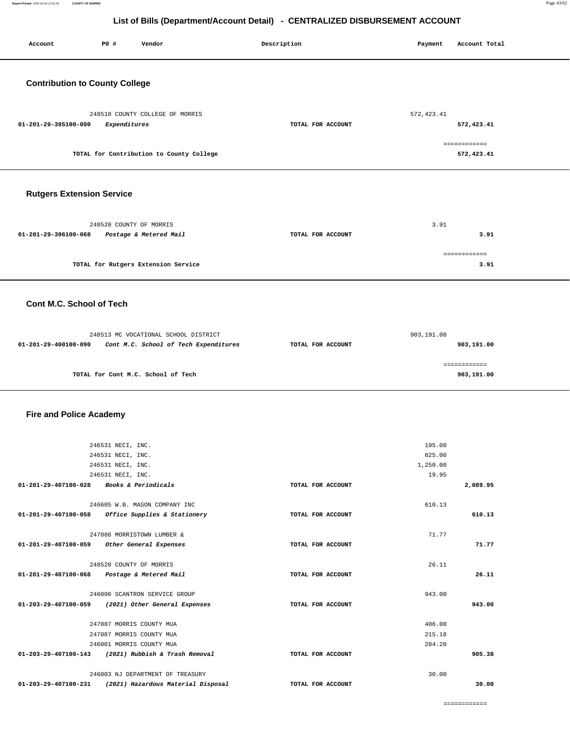| Account                                     | P0 #                                                                             | Vendor                                                                                      | Description       | Payment                               | Account Total              |  |
|---------------------------------------------|----------------------------------------------------------------------------------|---------------------------------------------------------------------------------------------|-------------------|---------------------------------------|----------------------------|--|
| <b>Contribution to County College</b>       |                                                                                  |                                                                                             |                   |                                       |                            |  |
| 01-201-29-395100-090                        | Expenditures                                                                     | 248510 COUNTY COLLEGE OF MORRIS                                                             | TOTAL FOR ACCOUNT | 572, 423.41                           | 572,423.41                 |  |
|                                             |                                                                                  | TOTAL for Contribution to County College                                                    |                   |                                       | ============<br>572,423.41 |  |
| <b>Rutgers Extension Service</b>            |                                                                                  |                                                                                             |                   |                                       |                            |  |
| 01-201-29-396100-068                        | 248520 COUNTY OF MORRIS                                                          | Postage & Metered Mail                                                                      | TOTAL FOR ACCOUNT | 3.91                                  | 3.91                       |  |
|                                             |                                                                                  | TOTAL for Rutgers Extension Service                                                         |                   |                                       | ============<br>3.91       |  |
| <b>Cont M.C. School of Tech</b>             |                                                                                  |                                                                                             |                   |                                       |                            |  |
| 01-201-29-400100-090                        |                                                                                  | 248513 MC VOCATIONAL SCHOOL DISTRICT<br>Cont M.C. School of Tech Expenditures               | TOTAL FOR ACCOUNT | 903,191.00                            | 903,191.00                 |  |
|                                             |                                                                                  | TOTAL for Cont M.C. School of Tech                                                          |                   |                                       | ============<br>903,191.00 |  |
| <b>Fire and Police Academy</b>              |                                                                                  |                                                                                             |                   |                                       |                            |  |
|                                             | 246531 NECI, INC.<br>246531 NECI, INC.<br>246531 NECI, INC.<br>246531 NECI, INC. |                                                                                             |                   | 195.00<br>625.00<br>1,250.00<br>19.95 |                            |  |
| 01-201-29-407100-028                        |                                                                                  | <i>Books &amp; Periodicals</i>                                                              | TOTAL FOR ACCOUNT |                                       | 2,089.95                   |  |
|                                             |                                                                                  | 246605 W.B. MASON COMPANY INC<br>01-201-29-407100-058 Office Supplies & Stationery          | TOTAL FOR ACCOUNT | 610.13                                | 610.13                     |  |
| 01-201-29-407100-059 Other General Expenses |                                                                                  | 247086 MORRISTOWN LUMBER &                                                                  | TOTAL FOR ACCOUNT | 71.77                                 | 71.77                      |  |
| 01-201-29-407100-068 Postage & Metered Mail | 248520 COUNTY OF MORRIS                                                          |                                                                                             | TOTAL FOR ACCOUNT | 26.11                                 | 26.11                      |  |
|                                             |                                                                                  | 246006 SCANTRON SERVICE GROUP<br>01-203-29-407100-059 (2021) Other General Expenses         | TOTAL FOR ACCOUNT | 943.00                                | 943.00                     |  |
|                                             | 247087 MORRIS COUNTY MUA<br>247087 MORRIS COUNTY MUA<br>246001 MORRIS COUNTY MUA |                                                                                             |                   | 406.00<br>215.18<br>284.20            |                            |  |
|                                             |                                                                                  | 01-203-29-407100-143 (2021) Rubbish & Trash Removal                                         | TOTAL FOR ACCOUNT |                                       | 905.38                     |  |
|                                             |                                                                                  | 246003 NJ DEPARTMENT OF TREASURY<br>01-203-29-407100-231 (2021) Hazardous Material Disposal | TOTAL FOR ACCOUNT | 30.00                                 | 30.00                      |  |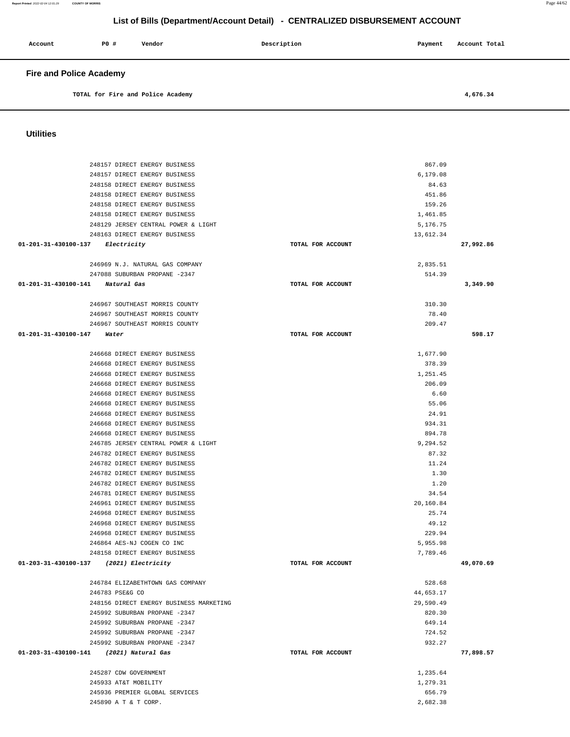| Account                        | <b>PO #</b> | Vendor                            | Description | Payment | Account Total |  |
|--------------------------------|-------------|-----------------------------------|-------------|---------|---------------|--|
| <b>Fire and Police Academy</b> |             |                                   |             |         |               |  |
|                                |             | TOTAL for Fire and Police Academy |             |         | 4,676.34      |  |

**Utilities** 

| 248157 DIRECT ENERGY BUSINESS           |                   | 867.09    |           |
|-----------------------------------------|-------------------|-----------|-----------|
| 248157 DIRECT ENERGY BUSINESS           |                   | 6,179.08  |           |
| 248158 DIRECT ENERGY BUSINESS           |                   | 84.63     |           |
| 248158 DIRECT ENERGY BUSINESS           |                   | 451.86    |           |
| 248158 DIRECT ENERGY BUSINESS           |                   | 159.26    |           |
| 248158 DIRECT ENERGY BUSINESS           |                   | 1,461.85  |           |
| 248129 JERSEY CENTRAL POWER & LIGHT     |                   | 5,176.75  |           |
| 248163 DIRECT ENERGY BUSINESS           |                   | 13,612.34 |           |
| 01-201-31-430100-137 Electricity        | TOTAL FOR ACCOUNT |           | 27,992.86 |
|                                         |                   |           |           |
| 246969 N.J. NATURAL GAS COMPANY         |                   | 2,835.51  |           |
| 247088 SUBURBAN PROPANE -2347           |                   | 514.39    |           |
| 01-201-31-430100-141 Natural Gas        | TOTAL FOR ACCOUNT |           | 3,349.90  |
|                                         |                   |           |           |
| 246967 SOUTHEAST MORRIS COUNTY          |                   | 310.30    |           |
| 246967 SOUTHEAST MORRIS COUNTY          |                   | 78.40     |           |
| 246967 SOUTHEAST MORRIS COUNTY          |                   | 209.47    |           |
| 01-201-31-430100-147<br>Water           | TOTAL FOR ACCOUNT |           | 598.17    |
|                                         |                   |           |           |
| 246668 DIRECT ENERGY BUSINESS           |                   | 1,677.90  |           |
| 246668 DIRECT ENERGY BUSINESS           |                   | 378.39    |           |
| 246668 DIRECT ENERGY BUSINESS           |                   | 1,251.45  |           |
| 246668 DIRECT ENERGY BUSINESS           |                   | 206.09    |           |
| 246668 DIRECT ENERGY BUSINESS           |                   | 6.60      |           |
| 246668 DIRECT ENERGY BUSINESS           |                   | 55.06     |           |
| 246668 DIRECT ENERGY BUSINESS           |                   | 24.91     |           |
| 246668 DIRECT ENERGY BUSINESS           |                   | 934.31    |           |
| 246668 DIRECT ENERGY BUSINESS           |                   | 894.78    |           |
| 246785 JERSEY CENTRAL POWER & LIGHT     |                   | 9,294.52  |           |
| 246782 DIRECT ENERGY BUSINESS           |                   | 87.32     |           |
| 246782 DIRECT ENERGY BUSINESS           |                   | 11.24     |           |
| 246782 DIRECT ENERGY BUSINESS           |                   | 1.30      |           |
| 246782 DIRECT ENERGY BUSINESS           |                   | 1.20      |           |
| 246781 DIRECT ENERGY BUSINESS           |                   | 34.54     |           |
| 246961 DIRECT ENERGY BUSINESS           |                   | 20,160.84 |           |
| 246968 DIRECT ENERGY BUSINESS           |                   | 25.74     |           |
| 246968 DIRECT ENERGY BUSINESS           |                   | 49.12     |           |
| 246968 DIRECT ENERGY BUSINESS           |                   | 229.94    |           |
| 246864 AES-NJ COGEN CO INC              |                   | 5,955.98  |           |
| 248158 DIRECT ENERGY BUSINESS           |                   | 7.789.46  |           |
| 01-203-31-430100-137 (2021) Electricity | TOTAL FOR ACCOUNT |           | 49,070.69 |
|                                         |                   |           |           |
| 246784 ELIZABETHTOWN GAS COMPANY        |                   | 528.68    |           |
| 246783 PSE&G CO                         |                   | 44,653.17 |           |
| 248156 DIRECT ENERGY BUSINESS MARKETING |                   | 29,590.49 |           |
| 245992 SUBURBAN PROPANE -2347           |                   | 820.30    |           |
| 245992 SUBURBAN PROPANE -2347           |                   | 649.14    |           |
| 245992 SUBURBAN PROPANE -2347           |                   | 724.52    |           |
| 245992 SUBURBAN PROPANE -2347           |                   | 932.27    |           |
| 01-203-31-430100-141 (2021) Natural Gas | TOTAL FOR ACCOUNT |           | 77,898.57 |
|                                         |                   |           |           |
| 245287 CDW GOVERNMENT                   |                   | 1,235.64  |           |
| 245933 AT&T MOBILITY                    |                   | 1,279.31  |           |
| 245936 PREMIER GLOBAL SERVICES          |                   | 656.79    |           |
| 245890 A T & T CORP.                    |                   | 2,682.38  |           |

**Report Printed** 2022-02-04 12:01:29 **COUNTY OF MORRIS** Page 44/62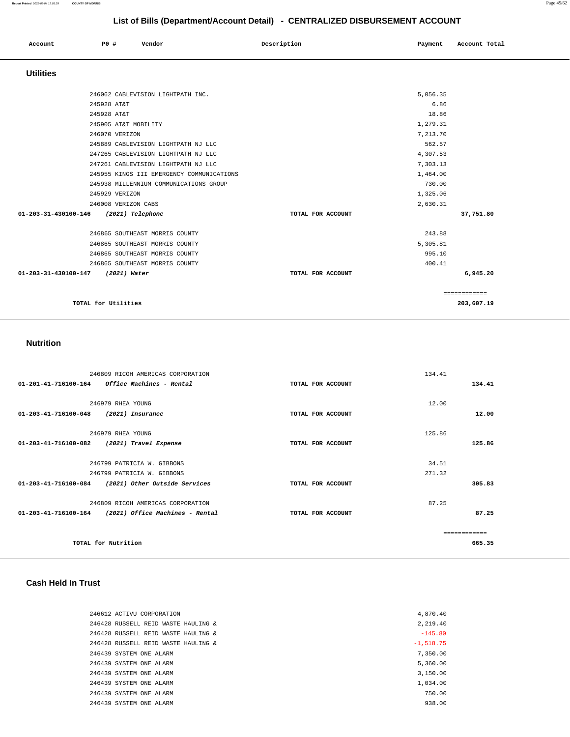| Account              | P0 #                 | Vendor                                    | Description       | Payment  | Account Total |
|----------------------|----------------------|-------------------------------------------|-------------------|----------|---------------|
| <b>Utilities</b>     |                      |                                           |                   |          |               |
|                      |                      | 246062 CABLEVISION LIGHTPATH INC.         |                   | 5,056.35 |               |
|                      | 245928 AT&T          |                                           |                   | 6.86     |               |
|                      | 245928 AT&T          |                                           |                   | 18.86    |               |
|                      | 245905 AT&T MOBILITY |                                           |                   | 1,279.31 |               |
|                      | 246070 VERIZON       |                                           |                   | 7,213.70 |               |
|                      |                      | 245889 CABLEVISION LIGHTPATH NJ LLC       |                   | 562.57   |               |
|                      |                      | 247265 CABLEVISION LIGHTPATH NJ LLC       |                   | 4,307.53 |               |
|                      |                      | 247261 CABLEVISION LIGHTPATH NJ LLC       |                   | 7,303.13 |               |
|                      |                      | 245955 KINGS III EMERGENCY COMMUNICATIONS |                   | 1,464.00 |               |
|                      |                      | 245938 MILLENNIUM COMMUNICATIONS GROUP    |                   | 730.00   |               |
|                      | 245929 VERIZON       |                                           |                   | 1,325.06 |               |
|                      | 246008 VERIZON CABS  |                                           |                   | 2,630.31 |               |
| 01-203-31-430100-146 |                      | (2021) Telephone                          | TOTAL FOR ACCOUNT |          | 37,751.80     |
|                      |                      | 246865 SOUTHEAST MORRIS COUNTY            |                   | 243.88   |               |
|                      |                      | 246865 SOUTHEAST MORRIS COUNTY            |                   | 5,305.81 |               |
|                      |                      | 246865 SOUTHEAST MORRIS COUNTY            |                   | 995.10   |               |
|                      |                      | 246865 SOUTHEAST MORRIS COUNTY            |                   | 400.41   |               |
| 01-203-31-430100-147 | (2021) Water         |                                           | TOTAL FOR ACCOUNT |          | 6,945.20      |
|                      |                      |                                           |                   |          | ============  |
|                      | TOTAL for Utilities  |                                           |                   |          | 203,607.19    |

## **Nutrition**

| 246809 RICOH AMERICAS CORPORATION                                 |                   | 134.41 |              |
|-------------------------------------------------------------------|-------------------|--------|--------------|
| $01 - 201 - 41 - 716100 - 164$<br>Office Machines - Rental        | TOTAL FOR ACCOUNT |        | 134.41       |
|                                                                   |                   |        |              |
| 246979 RHEA YOUNG                                                 |                   | 12.00  |              |
| 01-203-41-716100-048<br>(2021) Insurance                          | TOTAL FOR ACCOUNT |        | 12.00        |
|                                                                   |                   |        |              |
| 246979 RHEA YOUNG                                                 |                   | 125.86 |              |
| 01-203-41-716100-082<br>(2021) Travel Expense                     | TOTAL FOR ACCOUNT |        | 125.86       |
|                                                                   |                   |        |              |
| 246799 PATRICIA W. GIBBONS                                        |                   | 34.51  |              |
| 246799 PATRICIA W. GIBBONS                                        |                   | 271.32 |              |
| 01-203-41-716100-084<br>(2021) Other Outside Services             | TOTAL FOR ACCOUNT |        | 305.83       |
| 246809 RICOH AMERICAS CORPORATION                                 |                   | 87.25  |              |
| (2021) Office Machines - Rental<br>$01 - 203 - 41 - 716100 - 164$ | TOTAL FOR ACCOUNT |        | 87.25        |
|                                                                   |                   |        | ------------ |
| TOTAL for Nutrition                                               |                   |        | 665.35       |
|                                                                   |                   |        |              |

#### **Cash Held In Trust**

| 2,219.40<br>246428 RUSSELL REID WASTE HAULING &<br>$-145.80$<br>246428 RUSSELL REID WASTE HAULING &<br>246428 RUSSELL REID WASTE HAULING &<br>$-1.518.75$<br>7.350.00<br>246439 SYSTEM ONE ALARM<br>5,360.00<br>246439 SYSTEM ONE ALARM<br>3,150.00<br>246439 SYSTEM ONE ALARM<br>1,034.00<br>246439 SYSTEM ONE ALARM<br>750.00<br>246439 SYSTEM ONE ALARM<br>938.00<br>246439 SYSTEM ONE ALARM | 246612 ACTIVU CORPORATION | 4,870.40 |
|-------------------------------------------------------------------------------------------------------------------------------------------------------------------------------------------------------------------------------------------------------------------------------------------------------------------------------------------------------------------------------------------------|---------------------------|----------|
|                                                                                                                                                                                                                                                                                                                                                                                                 |                           |          |
|                                                                                                                                                                                                                                                                                                                                                                                                 |                           |          |
|                                                                                                                                                                                                                                                                                                                                                                                                 |                           |          |
|                                                                                                                                                                                                                                                                                                                                                                                                 |                           |          |
|                                                                                                                                                                                                                                                                                                                                                                                                 |                           |          |
|                                                                                                                                                                                                                                                                                                                                                                                                 |                           |          |
|                                                                                                                                                                                                                                                                                                                                                                                                 |                           |          |
|                                                                                                                                                                                                                                                                                                                                                                                                 |                           |          |
|                                                                                                                                                                                                                                                                                                                                                                                                 |                           |          |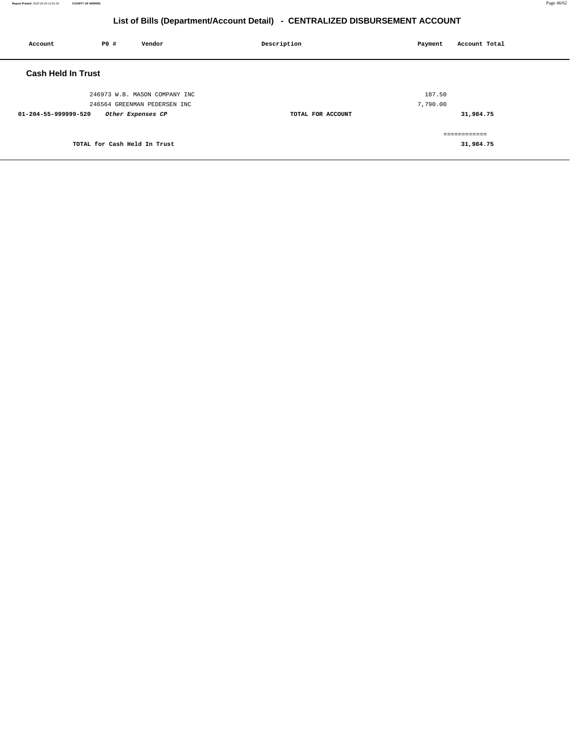| Account                   | P0 #                         | Vendor                                                        | Description       | Payment            | Account Total              |
|---------------------------|------------------------------|---------------------------------------------------------------|-------------------|--------------------|----------------------------|
| <b>Cash Held In Trust</b> |                              |                                                               |                   |                    |                            |
|                           |                              | 246973 W.B. MASON COMPANY INC<br>246564 GREENMAN PEDERSEN INC |                   | 187.50<br>7,790.00 |                            |
| 01-204-55-999999-520      |                              | Other Expenses CP                                             | TOTAL FOR ACCOUNT |                    | 31,984.75                  |
|                           | TOTAL for Cash Held In Trust |                                                               |                   |                    | -------------<br>31,984.75 |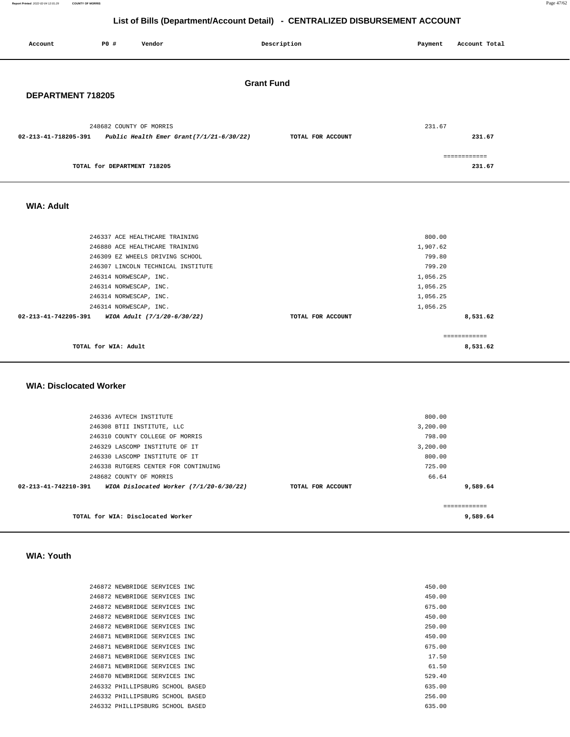**Report Printed** 2022-02-04 12:01:29 **COUNTY OF MORRIS** Page 47/62

# **List of Bills (Department/Account Detail) - CENTRALIZED DISBURSEMENT ACCOUNT**

| Account                                                | <b>PO #</b>                                                                                                                  | Vendor                                                                                                                                                                                                               | Description       | Payment                                                                                | Account Total                        |  |  |
|--------------------------------------------------------|------------------------------------------------------------------------------------------------------------------------------|----------------------------------------------------------------------------------------------------------------------------------------------------------------------------------------------------------------------|-------------------|----------------------------------------------------------------------------------------|--------------------------------------|--|--|
|                                                        | <b>Grant Fund</b><br>DEPARTMENT 718205                                                                                       |                                                                                                                                                                                                                      |                   |                                                                                        |                                      |  |  |
| 02-213-41-718205-391                                   | 248682 COUNTY OF MORRIS                                                                                                      | Public Health Emer Grant $(7/1/21-6/30/22)$                                                                                                                                                                          | TOTAL FOR ACCOUNT | 231.67                                                                                 | 231.67                               |  |  |
|                                                        | TOTAL for DEPARTMENT 718205                                                                                                  |                                                                                                                                                                                                                      |                   |                                                                                        | ============<br>231.67               |  |  |
| <b>WIA: Adult</b>                                      |                                                                                                                              |                                                                                                                                                                                                                      |                   |                                                                                        |                                      |  |  |
| 02-213-41-742205-391<br><b>WIA: Disclocated Worker</b> | 246314 NORWESCAP, INC.<br>246314 NORWESCAP, INC.<br>246314 NORWESCAP, INC.<br>246314 NORWESCAP, INC.<br>TOTAL for WIA: Adult | 246337 ACE HEALTHCARE TRAINING<br>246880 ACE HEALTHCARE TRAINING<br>246309 EZ WHEELS DRIVING SCHOOL<br>246307 LINCOLN TECHNICAL INSTITUTE<br>WIOA Adult (7/1/20-6/30/22)                                             | TOTAL FOR ACCOUNT | 800.00<br>1,907.62<br>799.80<br>799.20<br>1,056.25<br>1,056.25<br>1,056.25<br>1,056.25 | 8,531.62<br>============<br>8,531.62 |  |  |
| 02-213-41-742210-391                                   | 246336 AVTECH INSTITUTE<br>248682 COUNTY OF MORRIS                                                                           | 246308 BTII INSTITUTE, LLC<br>246310 COUNTY COLLEGE OF MORRIS<br>246329 LASCOMP INSTITUTE OF IT<br>246330 LASCOMP INSTITUTE OF IT<br>246338 RUTGERS CENTER FOR CONTINUING<br>WIOA Dislocated Worker (7/1/20-6/30/22) | TOTAL FOR ACCOUNT | 800.00<br>3,200.00<br>798.00<br>3,200.00<br>800.00<br>725.00<br>66.64                  | 9,589.64                             |  |  |
|                                                        |                                                                                                                              | TOTAL for WIA: Disclocated Worker                                                                                                                                                                                    |                   |                                                                                        | ============<br>9,589.64             |  |  |

## **WIA: Youth**

| 246872 NEWBRIDGE SERVICES INC    |  | 450.00 |
|----------------------------------|--|--------|
| 246872 NEWBRIDGE SERVICES INC    |  | 450.00 |
| 246872 NEWBRIDGE SERVICES INC    |  | 675.00 |
| 246872 NEWBRIDGE SERVICES INC    |  | 450.00 |
| 246872 NEWBRIDGE SERVICES INC    |  | 250.00 |
| 246871 NEWBRIDGE SERVICES INC    |  | 450.00 |
| 246871 NEWBRIDGE SERVICES INC    |  | 675.00 |
| 246871 NEWBRIDGE SERVICES INC    |  | 17.50  |
| 246871 NEWBRIDGE SERVICES INC    |  | 61.50  |
| 246870 NEWBRIDGE SERVICES INC    |  | 529.40 |
| 246332 PHILLIPSBURG SCHOOL BASED |  | 635.00 |
| 246332 PHILLIPSBURG SCHOOL BASED |  | 256.00 |
| 246332 PHILLIPSBURG SCHOOL BASED |  | 635.00 |
|                                  |  |        |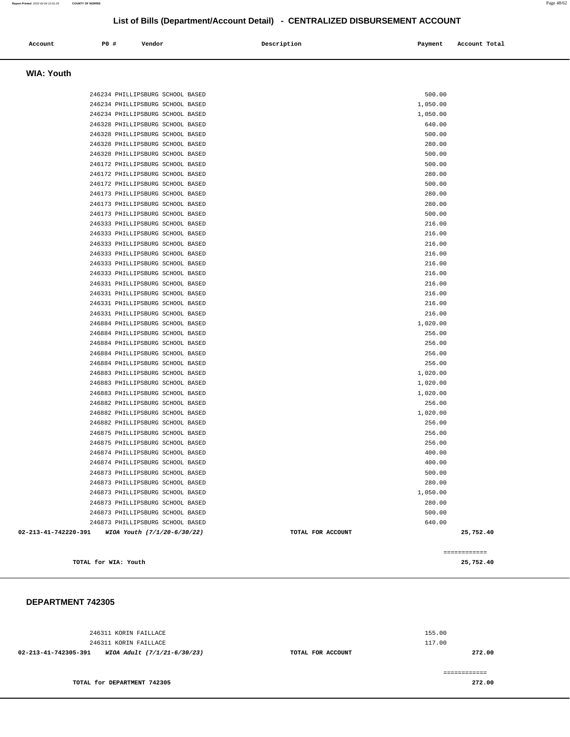============

# **List of Bills (Department/Account Detail) - CENTRALIZED DISBURSEMENT ACCOUNT**

| Account | P0 # | Vendor | Description | Payment | Account Total |
|---------|------|--------|-------------|---------|---------------|
|         |      |        |             |         |               |

# **WIA: Youth**

| 246234 PHILLIPSBURG SCHOOL BASED                    | 500.00            |           |
|-----------------------------------------------------|-------------------|-----------|
| 246234 PHILLIPSBURG SCHOOL BASED                    | 1,050.00          |           |
| 246234 PHILLIPSBURG SCHOOL BASED                    | 1,050.00          |           |
| 246328 PHILLIPSBURG SCHOOL BASED                    | 640.00            |           |
| 246328 PHILLIPSBURG SCHOOL BASED                    | 500.00            |           |
| 246328 PHILLIPSBURG SCHOOL BASED                    | 280.00            |           |
| 246328 PHILLIPSBURG SCHOOL BASED                    | 500.00            |           |
| 246172 PHILLIPSBURG SCHOOL BASED                    | 500.00            |           |
| 246172 PHILLIPSBURG SCHOOL BASED                    | 280.00            |           |
| 246172 PHILLIPSBURG SCHOOL BASED                    | 500.00            |           |
| 246173 PHILLIPSBURG SCHOOL BASED                    | 280.00            |           |
| 246173 PHILLIPSBURG SCHOOL BASED                    | 280.00            |           |
| 246173 PHILLIPSBURG SCHOOL BASED                    | 500.00            |           |
| 246333 PHILLIPSBURG SCHOOL BASED                    | 216.00            |           |
| 246333 PHILLIPSBURG SCHOOL BASED                    | 216.00            |           |
| 246333 PHILLIPSBURG SCHOOL BASED                    | 216.00            |           |
| 246333 PHILLIPSBURG SCHOOL BASED                    | 216.00            |           |
| 246333 PHILLIPSBURG SCHOOL BASED                    | 216.00            |           |
| 246333 PHILLIPSBURG SCHOOL BASED                    | 216.00            |           |
| 246331 PHILLIPSBURG SCHOOL BASED                    | 216.00            |           |
| 246331 PHILLIPSBURG SCHOOL BASED                    | 216.00            |           |
| 246331 PHILLIPSBURG SCHOOL BASED                    | 216.00            |           |
| 246331 PHILLIPSBURG SCHOOL BASED                    | 216.00            |           |
| 246884 PHILLIPSBURG SCHOOL BASED                    | 1,020.00          |           |
| 246884 PHILLIPSBURG SCHOOL BASED                    | 256.00            |           |
| 246884 PHILLIPSBURG SCHOOL BASED                    | 256.00            |           |
| 246884 PHILLIPSBURG SCHOOL BASED                    | 256.00            |           |
| 246884 PHILLIPSBURG SCHOOL BASED                    | 256.00            |           |
| 246883 PHILLIPSBURG SCHOOL BASED                    | 1,020.00          |           |
| 246883 PHILLIPSBURG SCHOOL BASED                    | 1,020.00          |           |
| 246883 PHILLIPSBURG SCHOOL BASED                    | 1,020.00          |           |
| 246882 PHILLIPSBURG SCHOOL BASED                    | 256.00            |           |
| 246882 PHILLIPSBURG SCHOOL BASED                    | 1,020.00          |           |
| 246882 PHILLIPSBURG SCHOOL BASED                    | 256.00            |           |
| 246875 PHILLIPSBURG SCHOOL BASED                    | 256.00            |           |
| 246875 PHILLIPSBURG SCHOOL BASED                    | 256.00            |           |
| 246874 PHILLIPSBURG SCHOOL BASED                    | 400.00            |           |
| 246874 PHILLIPSBURG SCHOOL BASED                    | 400.00            |           |
| 246873 PHILLIPSBURG SCHOOL BASED                    | 500.00            |           |
| 246873 PHILLIPSBURG SCHOOL BASED                    | 280.00            |           |
| 246873 PHILLIPSBURG SCHOOL BASED                    | 1,050.00          |           |
| 246873 PHILLIPSBURG SCHOOL BASED                    | 280.00            |           |
| 246873 PHILLIPSBURG SCHOOL BASED                    | 500.00            |           |
| 246873 PHILLIPSBURG SCHOOL BASED                    | 640.00            |           |
| 02-213-41-742220-391<br>WIOA Youth (7/1/20-6/30/22) | TOTAL FOR ACCOUNT | 25,752.40 |

**TOTAL for WIA: Youth 25,752.40**

| 246311 KORIN FAILLACE                               |                   | 155.00 |
|-----------------------------------------------------|-------------------|--------|
| 246311 KORIN FAILLACE                               |                   | 117.00 |
| 02-213-41-742305-391<br>WIOA Adult (7/1/21-6/30/23) | TOTAL FOR ACCOUNT | 272.00 |
|                                                     |                   |        |
|                                                     |                   |        |
| TOTAL for DEPARTMENT 742305                         |                   | 272.00 |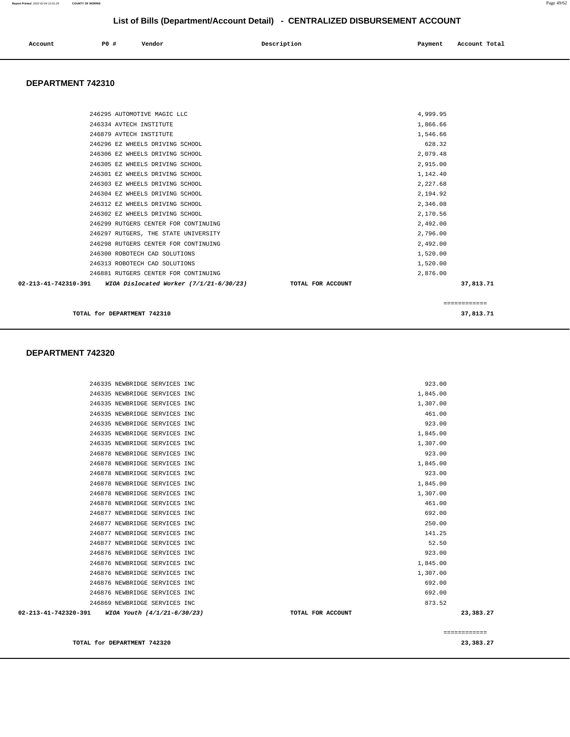| 246335 NEWBRIDGE SERVICES INC                       |                   | 923.00       |
|-----------------------------------------------------|-------------------|--------------|
| 246335 NEWBRIDGE SERVICES INC                       |                   | 1,845.00     |
| 246335 NEWBRIDGE SERVICES INC                       |                   | 1,307.00     |
| 246335 NEWBRIDGE SERVICES INC                       |                   | 461.00       |
| 246335 NEWBRIDGE SERVICES INC                       |                   | 923.00       |
| 246335 NEWBRIDGE SERVICES INC                       |                   | 1,845.00     |
| 246335 NEWBRIDGE SERVICES INC                       |                   | 1,307.00     |
| 246878 NEWBRIDGE SERVICES INC                       |                   | 923.00       |
| 246878 NEWBRIDGE SERVICES INC                       |                   | 1,845.00     |
| 246878 NEWBRIDGE SERVICES INC                       |                   | 923.00       |
| 246878 NEWBRIDGE SERVICES INC                       |                   | 1,845.00     |
| 246878 NEWBRIDGE SERVICES INC                       |                   | 1,307.00     |
| 246878 NEWBRIDGE SERVICES INC                       |                   | 461.00       |
| 246877 NEWBRIDGE SERVICES INC                       |                   | 692.00       |
| 246877 NEWBRIDGE SERVICES INC                       |                   | 250.00       |
| 246877 NEWBRIDGE SERVICES INC                       |                   | 141.25       |
| 246877 NEWBRIDGE SERVICES INC                       |                   | 52.50        |
| 246876 NEWBRIDGE SERVICES INC                       |                   | 923.00       |
| 246876 NEWBRIDGE SERVICES INC                       |                   | 1,845.00     |
| 246876 NEWBRIDGE SERVICES INC                       |                   | 1,307.00     |
| 246876 NEWBRIDGE SERVICES INC                       |                   | 692.00       |
| 246876 NEWBRIDGE SERVICES INC                       |                   | 692.00       |
| 246869 NEWBRIDGE SERVICES INC                       |                   | 873.52       |
| 02-213-41-742320-391<br>WIOA Youth (4/1/21-6/30/23) | TOTAL FOR ACCOUNT | 23,383.27    |
|                                                     |                   | ============ |
| TOTAL for DEPARTMENT 742320                         |                   | 23,383.27    |

### **DEPARTMENT 742320**

| TOTAL for DEPARTMENT 742310                                     |                   | 37,813.71 |  |
|-----------------------------------------------------------------|-------------------|-----------|--|
|                                                                 |                   |           |  |
| 02-213-41-742310-391<br>WIOA Dislocated Worker (7/1/21-6/30/23) | TOTAL FOR ACCOUNT | 37,813.71 |  |
| 246881 RUTGERS CENTER FOR CONTINUING                            |                   | 2,876.00  |  |
| 246313 ROBOTECH CAD SOLUTIONS                                   |                   | 1,520.00  |  |
| 246300 ROBOTECH CAD SOLUTIONS                                   |                   | 1,520.00  |  |
| 246298 RUTGERS CENTER FOR CONTINUING                            |                   | 2,492.00  |  |
| 246297 RUTGERS, THE STATE UNIVERSITY                            |                   | 2,796.00  |  |
| 246299 RUTGERS CENTER FOR CONTINUING                            |                   | 2,492.00  |  |
| 246302 EZ WHEELS DRIVING SCHOOL                                 |                   | 2,170.56  |  |
| 246312 EZ WHEELS DRIVING SCHOOL                                 |                   | 2,346.08  |  |
| 246304 EZ WHEELS DRIVING SCHOOL                                 |                   | 2,194.92  |  |
| 246303 EZ WHEELS DRIVING SCHOOL                                 |                   | 2,227.68  |  |
| 246301 EZ WHEELS DRIVING SCHOOL                                 |                   | 1,142.40  |  |
| 246305 EZ WHEELS DRIVING SCHOOL                                 |                   | 2,915.00  |  |
| 246306 EZ WHEELS DRIVING SCHOOL                                 |                   | 2,079.48  |  |
| 246296 EZ WHEELS DRIVING SCHOOL                                 |                   | 628.32    |  |
| 246879 AVTECH INSTITUTE                                         |                   | 1,546.66  |  |

246295 AUTOMOTIVE MAGIC LLC 4,999.95 246334 AVTECH INSTITUTE 1,866.66

# **DEPARTMENT 742310**

 **Account** 20 **P P**  $\uparrow$  **Payment** Payment Account Total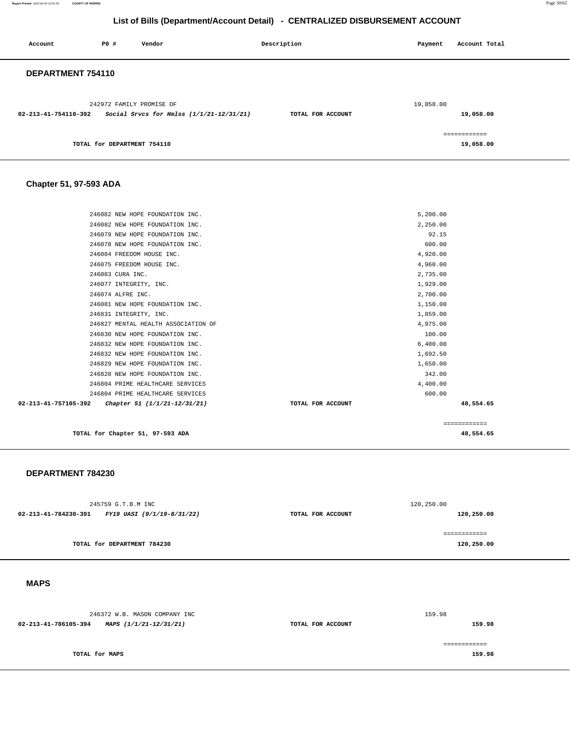**Report Printed** 2022-02-04 12:01:29 **COUNTY OF MORRIS** Page 50/62

# **List of Bills (Department/Account Detail) - CENTRALIZED DISBURSEMENT ACCOUNT**

| Account              | <b>PO #</b>                 | Vendor                                                               | Description       | Payment   | Account Total             |
|----------------------|-----------------------------|----------------------------------------------------------------------|-------------------|-----------|---------------------------|
| DEPARTMENT 754110    |                             |                                                                      |                   |           |                           |
| 02-213-41-754110-392 |                             | 242972 FAMILY PROMISE OF<br>Social Srvcs for Hmlss (1/1/21-12/31/21) | TOTAL FOR ACCOUNT | 19,058.00 | 19,058.00                 |
|                      | TOTAL for DEPARTMENT 754110 |                                                                      |                   |           | ============<br>19,058.00 |

# **Chapter 51, 97-593 ADA**

|                                                      |                   | ============ |
|------------------------------------------------------|-------------------|--------------|
| 02-213-41-757105-392<br>Chapter 51 (1/1/21-12/31/21) | TOTAL FOR ACCOUNT | 48,554.65    |
| 246804 PRIME HEALTHCARE SERVICES                     | 600.00            |              |
| 246804 PRIME HEALTHCARE SERVICES                     | 4,400.00          |              |
| 246828 NEW HOPE FOUNDATION INC.                      | 342.00            |              |
| 246829 NEW HOPE FOUNDATION INC.                      | 1,650.00          |              |
| 246832 NEW HOPE FOUNDATION INC.                      | 1,692.50          |              |
| 246832 NEW HOPE FOUNDATION INC.                      | 6,400.00          |              |
| 246830 NEW HOPE FOUNDATION INC.                      | 100.00            |              |
| 246827 MENTAL HEALTH ASSOCIATION OF                  | 4,975.00          |              |
| 246831 INTEGRITY, INC.                               | 1,859.00          |              |
| 246081 NEW HOPE FOUNDATION INC.                      | 1,150.00          |              |
| 246074 ALFRE INC.                                    | 2,700.00          |              |
| 246077 INTEGRITY, INC.                               | 1,929.00          |              |
| 246083 CURA INC.                                     | 2,735.00          |              |
| 246075 FREEDOM HOUSE INC.                            | 4,960.00          |              |
| 246084 FREEDOM HOUSE INC.                            | 4,920.00          |              |
| 246078 NEW HOPE FOUNDATION INC.                      | 600.00            |              |
| 246079 NEW HOPE FOUNDATION INC.                      | 92.15             |              |
| 246082 NEW HOPE FOUNDATION INC.                      | 2,250.00          |              |
| 246082 NEW HOPE FOUNDATION INC.                      | 5,200.00          |              |

**TOTAL for Chapter 51, 97-593 ADA 48,554.65**

#### **DEPARTMENT 784230**

|                      | 245759 G.T.B.M INC          |                   | 120,250.00   |
|----------------------|-----------------------------|-------------------|--------------|
| 02-213-41-784230-391 | FY19 UASI (9/1/19-8/31/22)  | TOTAL FOR ACCOUNT | 120,250.00   |
|                      |                             |                   |              |
|                      |                             |                   | ============ |
|                      | TOTAL for DEPARTMENT 784230 |                   | 120,250.00   |
|                      |                             |                   |              |

 **MAPS** 

|                      | 246372 W.B. MASON COMPANY INC |                   | 159.98 |
|----------------------|-------------------------------|-------------------|--------|
| 02-213-41-786105-394 | MAPS (1/1/21-12/31/21)        | TOTAL FOR ACCOUNT | 159.98 |
|                      |                               |                   |        |
|                      |                               |                   |        |
| TOTAL for MAPS       |                               |                   | 159.98 |
|                      |                               |                   |        |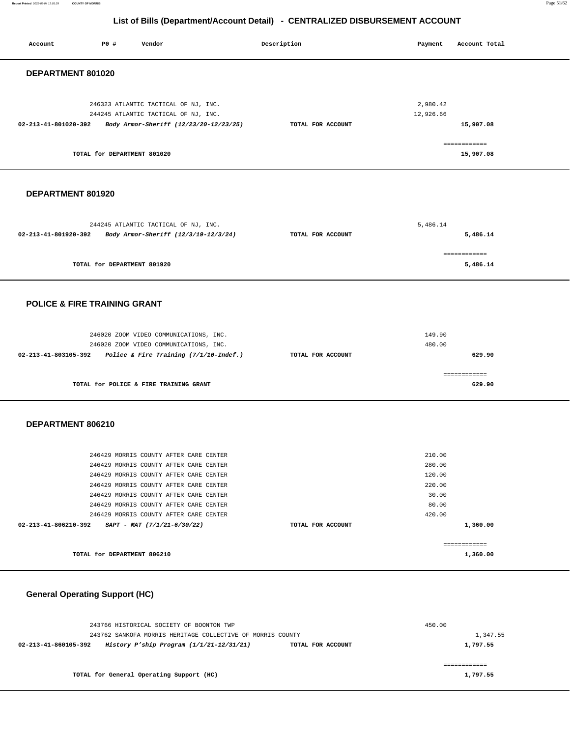**Report Printed** 2022-02-04 12:01:29 **COUNTY OF MORRIS** Page 51/62

# **List of Bills (Department/Account Detail) - CENTRALIZED DISBURSEMENT ACCOUNT**

| <b>PO #</b><br>Vendor<br>Account                                                                                                                                                                                                                                                                   | Description                            | Payment                                                          | Account Total             |
|----------------------------------------------------------------------------------------------------------------------------------------------------------------------------------------------------------------------------------------------------------------------------------------------------|----------------------------------------|------------------------------------------------------------------|---------------------------|
| DEPARTMENT 801020                                                                                                                                                                                                                                                                                  |                                        |                                                                  |                           |
| 246323 ATLANTIC TACTICAL OF NJ, INC.<br>244245 ATLANTIC TACTICAL OF NJ, INC.<br>02-213-41-801020-392                                                                                                                                                                                               | Body Armor-Sheriff (12/23/20-12/23/25) | 2,980.42<br>12,926.66<br>TOTAL FOR ACCOUNT                       | 15,907.08<br>============ |
| TOTAL for DEPARTMENT 801020                                                                                                                                                                                                                                                                        |                                        |                                                                  | 15,907.08                 |
| DEPARTMENT 801920                                                                                                                                                                                                                                                                                  |                                        |                                                                  |                           |
| 244245 ATLANTIC TACTICAL OF NJ, INC.<br>02-213-41-801920-392<br>Body Armor-Sheriff (12/3/19-12/3/24)                                                                                                                                                                                               |                                        | 5,486.14<br>TOTAL FOR ACCOUNT                                    | 5,486.14                  |
| TOTAL for DEPARTMENT 801920                                                                                                                                                                                                                                                                        |                                        |                                                                  | ------------<br>5,486.14  |
| <b>POLICE &amp; FIRE TRAINING GRANT</b>                                                                                                                                                                                                                                                            |                                        |                                                                  |                           |
| 246020 ZOOM VIDEO COMMUNICATIONS, INC.<br>246020 ZOOM VIDEO COMMUNICATIONS, INC.<br>02-213-41-803105-392                                                                                                                                                                                           | Police & Fire Training (7/1/10-Indef.) | 149.90<br>480.00<br>TOTAL FOR ACCOUNT                            | 629.90                    |
| TOTAL for POLICE & FIRE TRAINING GRANT                                                                                                                                                                                                                                                             |                                        |                                                                  | ============<br>629.90    |
| DEPARTMENT 806210                                                                                                                                                                                                                                                                                  |                                        |                                                                  |                           |
| 246429 MORRIS COUNTY AFTER CARE CENTER<br>246429 MORRIS COUNTY AFTER CARE CENTER<br>246429 MORRIS COUNTY AFTER CARE CENTER<br>246429 MORRIS COUNTY AFTER CARE CENTER<br>246429 MORRIS COUNTY AFTER CARE CENTER<br>246429 MORRIS COUNTY AFTER CARE CENTER<br>246429 MORRIS COUNTY AFTER CARE CENTER |                                        | 210.00<br>280.00<br>120.00<br>220.00<br>30.00<br>80.00<br>420.00 |                           |
| 02-213-41-806210-392<br>SAPT - MAT (7/1/21-6/30/22)                                                                                                                                                                                                                                                |                                        | TOTAL FOR ACCOUNT                                                | 1,360.00<br>------------  |
| TOTAL for DEPARTMENT 806210                                                                                                                                                                                                                                                                        |                                        |                                                                  | 1,360.00                  |

# **General Operating Support (HC)**

| 243766 HISTORICAL SOCIETY OF BOONTON TWP                           |                   | 450.00   |
|--------------------------------------------------------------------|-------------------|----------|
| 243762 SANKOFA MORRIS HERITAGE COLLECTIVE OF MORRIS COUNTY         |                   | 1,347.55 |
| History P'ship Program $(1/1/21-12/31/21)$<br>02-213-41-860105-392 | TOTAL FOR ACCOUNT | 1,797.55 |
|                                                                    |                   |          |
|                                                                    |                   |          |
| TOTAL for General Operating Support (HC)                           |                   | 1,797.55 |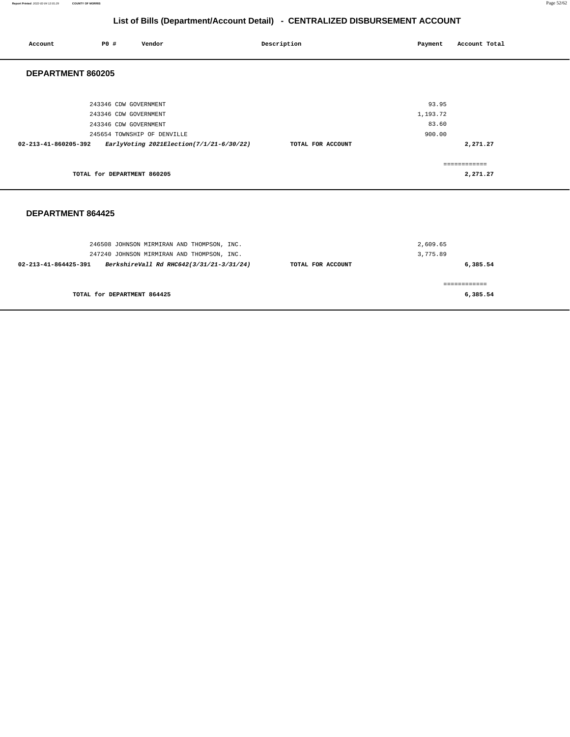**Report Printed** 2022-02-04 12:01:29 **COUNTY OF MORRIS** Page 52/62

# **List of Bills (Department/Account Detail) - CENTRALIZED DISBURSEMENT ACCOUNT**

| Account              | P0 #                                                                    | Vendor                                     | Description       | Payment                              | Account Total                        |
|----------------------|-------------------------------------------------------------------------|--------------------------------------------|-------------------|--------------------------------------|--------------------------------------|
| DEPARTMENT 860205    |                                                                         |                                            |                   |                                      |                                      |
| 02-213-41-860205-392 | 243346 CDW GOVERNMENT<br>243346 CDW GOVERNMENT<br>243346 CDW GOVERNMENT | 245654 TOWNSHIP OF DENVILLE                |                   | 93.95<br>1,193.72<br>83.60<br>900.00 |                                      |
|                      | TOTAL for DEPARTMENT 860205                                             | EarlyVoting 2021Election(7/1/21-6/30/22)   | TOTAL FOR ACCOUNT |                                      | 2,271.27<br>============<br>2,271.27 |
| DEPARTMENT 864425    |                                                                         |                                            |                   |                                      |                                      |
|                      |                                                                         | 246508 JOHNSON MIRMIRAN AND THOMPSON, INC. |                   | 2,609.65                             |                                      |

| TOTAL for DEPARTMENT 864425                                      |                   | 6,385.54 |
|------------------------------------------------------------------|-------------------|----------|
|                                                                  |                   |          |
| BerkshireVall Rd RHC642(3/31/21-3/31/24)<br>02-213-41-864425-391 | TOTAL FOR ACCOUNT | 6,385.54 |
| 247240 JOHNSON MIRMIRAN AND THOMPSON, INC.                       |                   | 3,775.89 |
| a roboo oomabon mingirinta hab inom bon, inc.                    |                   | -------  |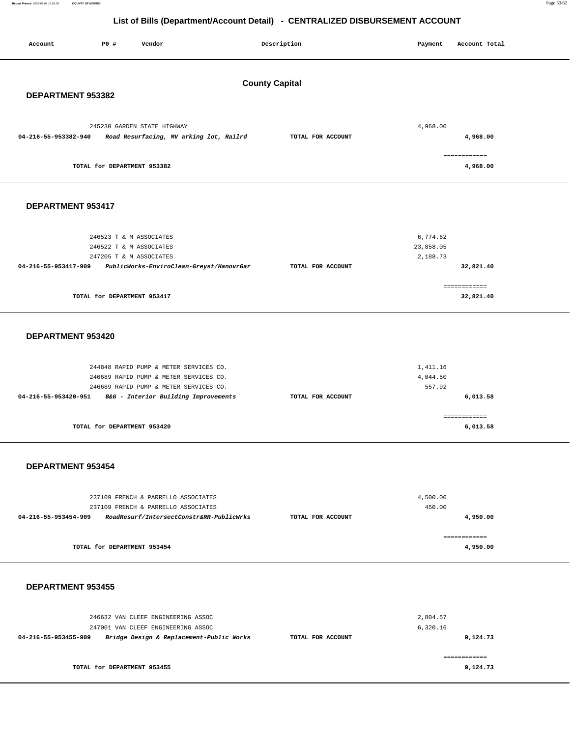**Report Printed** 2022-02-04 12:01:29 **COUNTY OF MORRIS** Page 53/62

# **List of Bills (Department/Account Detail) - CENTRALIZED DISBURSEMENT ACCOUNT**

| Account              | P0 #                        | Vendor                                                                         |                       | Description       | Payment               | Account Total            |  |
|----------------------|-----------------------------|--------------------------------------------------------------------------------|-----------------------|-------------------|-----------------------|--------------------------|--|
|                      |                             |                                                                                |                       |                   |                       |                          |  |
|                      |                             |                                                                                |                       |                   |                       |                          |  |
|                      |                             |                                                                                | <b>County Capital</b> |                   |                       |                          |  |
| DEPARTMENT 953382    |                             |                                                                                |                       |                   |                       |                          |  |
|                      |                             |                                                                                |                       |                   |                       |                          |  |
|                      |                             | 245230 GARDEN STATE HIGHWAY                                                    |                       |                   | 4,968.00              |                          |  |
| 04-216-55-953382-940 |                             | Road Resurfacing, MV arking lot, Railrd                                        |                       | TOTAL FOR ACCOUNT |                       | 4,968.00                 |  |
|                      |                             |                                                                                |                       |                   |                       |                          |  |
|                      | TOTAL for DEPARTMENT 953382 |                                                                                |                       |                   |                       | ============<br>4,968.00 |  |
|                      |                             |                                                                                |                       |                   |                       |                          |  |
|                      |                             |                                                                                |                       |                   |                       |                          |  |
| DEPARTMENT 953417    |                             |                                                                                |                       |                   |                       |                          |  |
|                      |                             |                                                                                |                       |                   |                       |                          |  |
|                      |                             |                                                                                |                       |                   |                       |                          |  |
|                      |                             | 246523 T & M ASSOCIATES                                                        |                       |                   | 6,774.62              |                          |  |
|                      |                             | 246522 T & M ASSOCIATES                                                        |                       |                   | 23,858.05<br>2,188.73 |                          |  |
| 04-216-55-953417-909 |                             | 247205 T & M ASSOCIATES<br>PublicWorks-EnviroClean-Greyst/HanovrGar            |                       | TOTAL FOR ACCOUNT |                       | 32,821.40                |  |
|                      |                             |                                                                                |                       |                   |                       |                          |  |
|                      |                             |                                                                                |                       |                   |                       | ============             |  |
|                      | TOTAL for DEPARTMENT 953417 |                                                                                |                       |                   |                       | 32,821.40                |  |
|                      |                             |                                                                                |                       |                   |                       |                          |  |
|                      |                             |                                                                                |                       |                   |                       |                          |  |
| DEPARTMENT 953420    |                             |                                                                                |                       |                   |                       |                          |  |
|                      |                             |                                                                                |                       |                   |                       |                          |  |
|                      |                             | 244848 RAPID PUMP & METER SERVICES CO.                                         |                       |                   | 1,411.16              |                          |  |
|                      |                             | 246689 RAPID PUMP & METER SERVICES CO.                                         |                       |                   | 4,044.50              |                          |  |
| 04-216-55-953420-951 |                             | 246689 RAPID PUMP & METER SERVICES CO.                                         |                       |                   | 557.92                | 6,013.58                 |  |
|                      |                             | B&G - Interior Building Improvements                                           |                       | TOTAL FOR ACCOUNT |                       |                          |  |
|                      |                             |                                                                                |                       |                   |                       | ------------             |  |
|                      | TOTAL for DEPARTMENT 953420 |                                                                                |                       |                   |                       | 6,013.58                 |  |
|                      |                             |                                                                                |                       |                   |                       |                          |  |
|                      |                             |                                                                                |                       |                   |                       |                          |  |
| DEPARTMENT 953454    |                             |                                                                                |                       |                   |                       |                          |  |
|                      |                             |                                                                                |                       |                   |                       |                          |  |
|                      |                             | 237109 FRENCH & PARRELLO ASSOCIATES                                            |                       |                   | 4,500.00              |                          |  |
|                      |                             | 237109 FRENCH & PARRELLO ASSOCIATES                                            |                       |                   | 450.00                |                          |  |
| 04-216-55-953454-909 |                             | RoadResurf/IntersectConstr&RR-PublicWrks                                       |                       | TOTAL FOR ACCOUNT |                       | 4,950.00                 |  |
|                      |                             |                                                                                |                       |                   |                       | ============             |  |
|                      | TOTAL for DEPARTMENT 953454 |                                                                                |                       |                   |                       | 4,950.00                 |  |
|                      |                             |                                                                                |                       |                   |                       |                          |  |
|                      |                             |                                                                                |                       |                   |                       |                          |  |
| DEPARTMENT 953455    |                             |                                                                                |                       |                   |                       |                          |  |
|                      |                             |                                                                                |                       |                   |                       |                          |  |
|                      |                             |                                                                                |                       |                   |                       |                          |  |
|                      |                             | 246632 VAN CLEEF ENGINEERING ASSOC                                             |                       |                   | 2,804.57              |                          |  |
| 04-216-55-953455-909 |                             | 247001 VAN CLEEF ENGINEERING ASSOC<br>Bridge Design & Replacement-Public Works |                       | TOTAL FOR ACCOUNT | 6,320.16              | 9,124.73                 |  |
|                      |                             |                                                                                |                       |                   |                       |                          |  |
|                      |                             |                                                                                |                       |                   |                       | ============             |  |

**TOTAL for DEPARTMENT 953455** 

**9,124.73**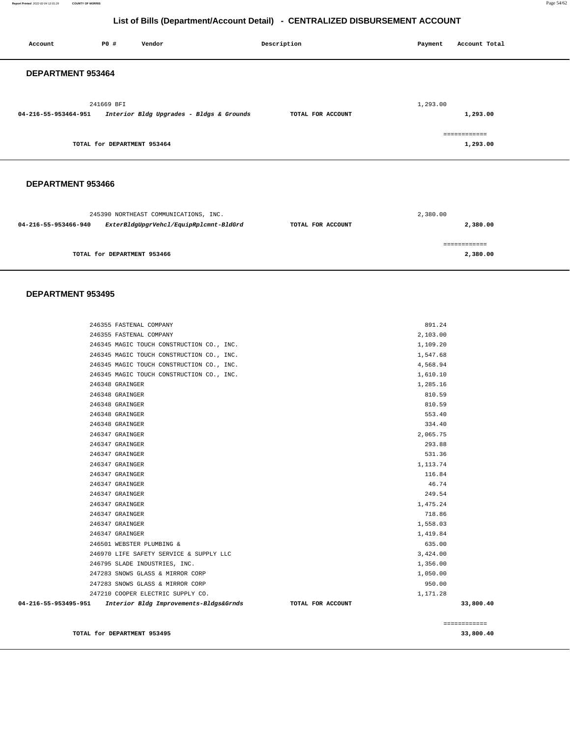**Report Printed** 2022-02-04 12:01:29 **COUNTY OF MORRIS** Page 54/62

# **List of Bills (Department/Account Detail) - CENTRALIZED DISBURSEMENT ACCOUNT**

| Account              | P0 #                        | Vendor                                   | Description       | Payment  | Account Total            |
|----------------------|-----------------------------|------------------------------------------|-------------------|----------|--------------------------|
| DEPARTMENT 953464    |                             |                                          |                   |          |                          |
| 04-216-55-953464-951 | 241669 BFI                  | Interior Bldg Upgrades - Bldgs & Grounds | TOTAL FOR ACCOUNT | 1,293.00 | 1,293.00                 |
|                      | TOTAL for DEPARTMENT 953464 |                                          |                   |          | ============<br>1,293.00 |

## **DEPARTMENT 953466**

|                      | 245390 NORTHEAST COMMUNICATIONS, INC.  |                   | 2,380.00     |
|----------------------|----------------------------------------|-------------------|--------------|
| 04-216-55-953466-940 | ExterBldgUpgrVehcl/EquipRplcmnt-BldGrd | TOTAL FOR ACCOUNT | 2,380.00     |
|                      |                                        |                   | ------------ |
|                      | TOTAL for DEPARTMENT 953466            |                   | 2,380.00     |

| 246355 FASTENAL COMPANY                                        |                   | 891.24    |              |
|----------------------------------------------------------------|-------------------|-----------|--------------|
| 246355 FASTENAL COMPANY                                        |                   | 2,103.00  |              |
| 246345 MAGIC TOUCH CONSTRUCTION CO., INC.                      |                   | 1,109.20  |              |
| 246345 MAGIC TOUCH CONSTRUCTION CO., INC.                      |                   | 1,547.68  |              |
| 246345 MAGIC TOUCH CONSTRUCTION CO., INC.                      |                   | 4,568.94  |              |
| 246345 MAGIC TOUCH CONSTRUCTION CO., INC.                      |                   | 1,610.10  |              |
| 246348 GRAINGER                                                |                   | 1,285.16  |              |
| 246348 GRAINGER                                                |                   | 810.59    |              |
| 246348 GRAINGER                                                |                   | 810.59    |              |
| 246348 GRAINGER                                                |                   | 553.40    |              |
| 246348 GRAINGER                                                |                   | 334.40    |              |
| 246347 GRAINGER                                                |                   | 2,065.75  |              |
| 246347 GRAINGER                                                |                   | 293.88    |              |
| 246347 GRAINGER                                                |                   | 531.36    |              |
| 246347 GRAINGER                                                |                   | 1, 113.74 |              |
| 246347 GRAINGER                                                |                   | 116.84    |              |
| 246347 GRAINGER                                                |                   | 46.74     |              |
| 246347 GRAINGER                                                |                   | 249.54    |              |
| 246347 GRAINGER                                                |                   | 1,475.24  |              |
| 246347 GRAINGER                                                |                   | 718.86    |              |
| 246347 GRAINGER                                                |                   | 1,558.03  |              |
| 246347 GRAINGER                                                |                   | 1,419.84  |              |
| 246501 WEBSTER PLUMBING &                                      |                   | 635.00    |              |
| 246970 LIFE SAFETY SERVICE & SUPPLY LLC                        |                   | 3,424.00  |              |
| 246795 SLADE INDUSTRIES, INC.                                  |                   | 1,356.00  |              |
| 247283 SNOWS GLASS & MIRROR CORP                               |                   | 1,050.00  |              |
| 247283 SNOWS GLASS & MIRROR CORP                               |                   | 950.00    |              |
| 247210 COOPER ELECTRIC SUPPLY CO.                              |                   | 1,171.28  |              |
| Interior Bldg Improvements-Bldgs&Grnds<br>04-216-55-953495-951 | TOTAL FOR ACCOUNT |           | 33,800.40    |
|                                                                |                   |           | ============ |
| TOTAL for DEPARTMENT 953495                                    |                   |           | 33,800.40    |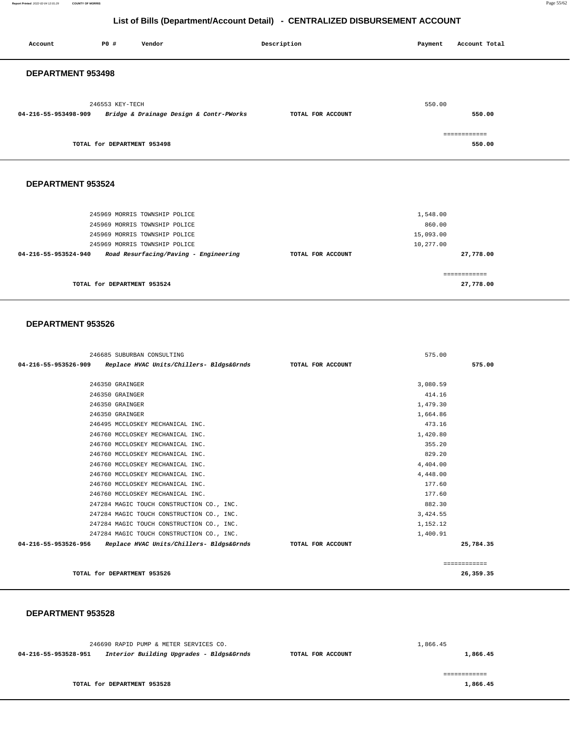**Report Printed** 2022-02-04 12:01:29 **COUNTY OF MORRIS** Page 55/62

# **List of Bills (Department/Account Detail) - CENTRALIZED DISBURSEMENT ACCOUNT**

| Account                     | PO#             | Vendor                                                                                                                           | Description       | Payment                                      | Account Total          |
|-----------------------------|-----------------|----------------------------------------------------------------------------------------------------------------------------------|-------------------|----------------------------------------------|------------------------|
| DEPARTMENT 953498           |                 |                                                                                                                                  |                   |                                              |                        |
| 04-216-55-953498-909        | 246553 KEY-TECH | Bridge & Drainage Design & Contr-PWorks                                                                                          | TOTAL FOR ACCOUNT | 550.00                                       | 550.00                 |
| TOTAL for DEPARTMENT 953498 |                 |                                                                                                                                  |                   |                                              | ============<br>550.00 |
| DEPARTMENT 953524           |                 |                                                                                                                                  |                   |                                              |                        |
|                             |                 | 245969 MORRIS TOWNSHIP POLICE<br>245969 MORRIS TOWNSHIP POLICE<br>245969 MORRIS TOWNSHIP POLICE<br>245969 MORRIS TOWNSHIP POLICE |                   | 1,548.00<br>860.00<br>15,093.00<br>10,277.00 |                        |
| 04-216-55-953524-940        |                 | Road Resurfacing/Paving - Engineering                                                                                            | TOTAL FOR ACCOUNT |                                              | 27,778.00              |
|                             |                 |                                                                                                                                  |                   |                                              | ============           |

**27,778.00**

### **DEPARTMENT 953526**

**TOTAL for DEPARTMENT 953524** 

|                      | 246685 SUBURBAN CONSULTING                |                   | 575.00   |              |
|----------------------|-------------------------------------------|-------------------|----------|--------------|
| 04-216-55-953526-909 | Replace HVAC Units/Chillers- Bldgs&Grnds  | TOTAL FOR ACCOUNT |          | 575.00       |
|                      |                                           |                   |          |              |
|                      | 246350 GRAINGER                           |                   | 3,080.59 |              |
|                      | 246350 GRAINGER                           |                   | 414.16   |              |
|                      | 246350 GRAINGER                           |                   | 1,479.30 |              |
|                      | 246350 GRAINGER                           |                   | 1,664.86 |              |
|                      | 246495 MCCLOSKEY MECHANICAL INC.          |                   | 473.16   |              |
|                      | 246760 MCCLOSKEY MECHANICAL INC.          |                   | 1,420.80 |              |
|                      | 246760 MCCLOSKEY MECHANICAL INC.          |                   | 355.20   |              |
|                      | 246760 MCCLOSKEY MECHANICAL INC.          |                   | 829.20   |              |
|                      | 246760 MCCLOSKEY MECHANICAL INC.          |                   | 4,404.00 |              |
|                      | 246760 MCCLOSKEY MECHANICAL INC.          |                   | 4,448.00 |              |
|                      | 246760 MCCLOSKEY MECHANICAL INC.          |                   | 177.60   |              |
|                      | 246760 MCCLOSKEY MECHANICAL INC.          |                   | 177.60   |              |
|                      | 247284 MAGIC TOUCH CONSTRUCTION CO., INC. |                   | 882.30   |              |
|                      | 247284 MAGIC TOUCH CONSTRUCTION CO., INC. |                   | 3,424.55 |              |
|                      | 247284 MAGIC TOUCH CONSTRUCTION CO., INC. |                   | 1,152.12 |              |
|                      | 247284 MAGIC TOUCH CONSTRUCTION CO., INC. |                   | 1,400.91 |              |
| 04-216-55-953526-956 | Replace HVAC Units/Chillers- Bldgs&Grnds  | TOTAL FOR ACCOUNT |          | 25,784.35    |
|                      |                                           |                   |          | ============ |
|                      | TOTAL for DEPARTMENT 953526               |                   |          | 26.359.35    |

**TOTAL for DEPARTMENT 953526 26,359.35**

|                      | 246690 RAPID PUMP & METER SERVICES CO.   |                   | 1,866.45 |
|----------------------|------------------------------------------|-------------------|----------|
| 04-216-55-953528-951 | Interior Building Upgrades - Bldgs&Grnds | TOTAL FOR ACCOUNT | 1,866.45 |
|                      |                                          |                   |          |
|                      |                                          |                   |          |
|                      | TOTAL for DEPARTMENT 953528              |                   | 1,866.45 |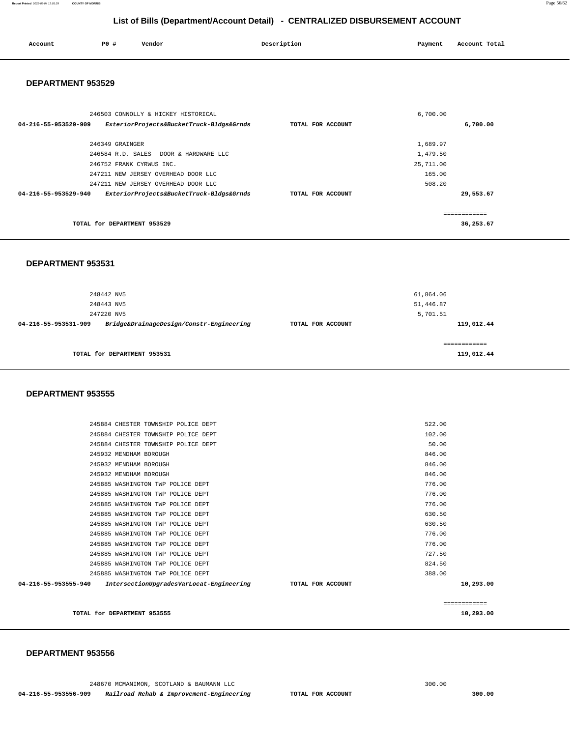| Account | P0# | Vendor | Description |                | Account Total |
|---------|-----|--------|-------------|----------------|---------------|
| .       |     |        |             | Payment<br>. . |               |
|         |     |        |             |                |               |
|         |     |        |             |                |               |

#### **DEPARTMENT 953529**

| 246503 CONNOLLY & HICKEY HISTORICAL<br>ExteriorProjects&BucketTruck-Bldgs&Grnds<br>04-216-55-953529-909 | 6,700.00<br>6,700.00<br>TOTAL FOR ACCOUNT |
|---------------------------------------------------------------------------------------------------------|-------------------------------------------|
| 246349 GRAINGER                                                                                         | 1,689.97                                  |
| 246584 R.D. SALES DOOR & HARDWARE LLC                                                                   | 1,479.50                                  |
| 246752 FRANK CYRWUS INC.                                                                                | 25,711.00                                 |
| 247211 NEW JERSEY OVERHEAD DOOR LLC                                                                     | 165.00                                    |
| 247211 NEW JERSEY OVERHEAD DOOR LLC                                                                     | 508.20                                    |
| ExteriorProjects&BucketTruck-Bldgs&Grnds<br>04-216-55-953529-940                                        | 29,553.67<br>TOTAL FOR ACCOUNT            |
|                                                                                                         |                                           |
| TOTAL for DEPARTMENT 953529                                                                             | 36,253.67                                 |

#### **DEPARTMENT 953531**

| 248442 NV5                                                       |                   | 61,864.06                  |
|------------------------------------------------------------------|-------------------|----------------------------|
| 248443 NV5                                                       |                   | 51,446.87                  |
| 247220 NV5                                                       |                   | 5,701.51                   |
| Bridge&DrainageDesign/Constr-Engineering<br>04-216-55-953531-909 | TOTAL FOR ACCOUNT | 119,012.44                 |
| TOTAL for DEPARTMENT 953531                                      |                   | ------------<br>119,012.44 |

#### **DEPARTMENT 953555**

|                      |                                          |                   | ============ |  |
|----------------------|------------------------------------------|-------------------|--------------|--|
| 04-216-55-953555-940 | IntersectionUpgradesVarLocat-Engineering | TOTAL FOR ACCOUNT | 10,293.00    |  |
|                      | 245885 WASHINGTON TWP POLICE DEPT        |                   | 388.00       |  |
|                      | 245885 WASHINGTON TWP POLICE DEPT        |                   | 824.50       |  |
|                      | 245885 WASHINGTON TWP POLICE DEPT        |                   | 727.50       |  |
|                      | 245885 WASHINGTON TWP POLICE DEPT        |                   | 776.00       |  |
|                      | 245885 WASHINGTON TWP POLICE DEPT        |                   | 776.00       |  |
|                      | 245885 WASHINGTON TWP POLICE DEPT        |                   | 630.50       |  |
|                      | 245885 WASHINGTON TWP POLICE DEPT        |                   | 630.50       |  |
|                      | 245885 WASHINGTON TWP POLICE DEPT        |                   | 776.00       |  |
|                      | 245885 WASHINGTON TWP POLICE DEPT        |                   | 776.00       |  |
|                      | 245885 WASHINGTON TWP POLICE DEPT        |                   | 776.00       |  |
|                      | 245932 MENDHAM BOROUGH                   |                   | 846.00       |  |
|                      | 245932 MENDHAM BOROUGH                   |                   | 846.00       |  |
|                      | 245932 MENDHAM BOROUGH                   |                   | 846.00       |  |
|                      | 245884 CHESTER TOWNSHIP POLICE DEPT      |                   | 50.00        |  |
|                      | 245884 CHESTER TOWNSHIP POLICE DEPT      |                   | 102.00       |  |
|                      | 245884 CHESTER TOWNSHIP POLICE DEPT      |                   | 522.00       |  |

**TOTAL for DEPARTMENT 953555 10,293.00**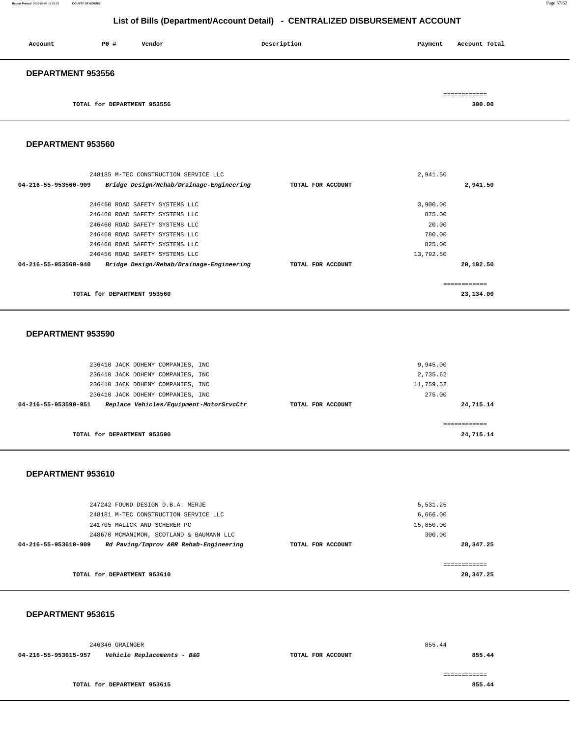246346 GRAINGER **04-216-55-953615-957 Vehicle Replacements - B&G TOTAL FOR ACCOUNT**  855.44 **855.44 TOTAL for DEPARTMENT 953615**  ============ **855.44** 

#### **DEPARTMENT 953615**

248181 M-TEC CONSTRUCTION SERVICE LLC 241705 MALICK AND SCHERER PC 248670 MCMANIMON, SCOTLAND & BAUMANN LLC **04-216-55-953610-909 Rd Paving/Improv &RR Rehab-Engineering TOTAL FOR ACCOUNT**  6,666.00 15,850.00 300.00 **28,347.25 TOTAL for DEPARTMENT 953610**  ============ **28,347.25**

#### **DEPARTMENT 953610**

| 236410 JACK DOHENY COMPANIES, INC                               | 2,735.62                       |
|-----------------------------------------------------------------|--------------------------------|
| 236410 JACK DOHENY COMPANIES, INC                               | 11,759.52                      |
| 236410 JACK DOHENY COMPANIES, INC                               | 275.00                         |
| Replace Vehicles/Equipment-MotorSrvcCtr<br>04-216-55-953590-951 | 24,715.14<br>TOTAL FOR ACCOUNT |
|                                                                 |                                |
|                                                                 |                                |
| TOTAL for DEPARTMENT 953590                                     | 24,715.14                      |
|                                                                 |                                |

9,945.00

5,531.25

#### **DEPARTMENT 953590**

236410 JACK DOHENY COMPANIES, INC

247242 FOUND DESIGN D.B.A. MERJE

|                      | 248185 M-TEC CONSTRUCTION SERVICE LLC    |                   | 2,941.50  |           |
|----------------------|------------------------------------------|-------------------|-----------|-----------|
| 04-216-55-953560-909 | Bridge Design/Rehab/Drainage-Engineering | TOTAL FOR ACCOUNT |           | 2,941.50  |
|                      |                                          |                   |           |           |
|                      | 246460 ROAD SAFETY SYSTEMS LLC           |                   | 3,900.00  |           |
|                      | 246460 ROAD SAFETY SYSTEMS LLC           |                   | 875.00    |           |
|                      | 246460 ROAD SAFETY SYSTEMS LLC           |                   | 20.00     |           |
|                      | 246460 ROAD SAFETY SYSTEMS LLC           |                   | 780.00    |           |
|                      | 246460 ROAD SAFETY SYSTEMS LLC           |                   | 825.00    |           |
|                      | 246456 ROAD SAFETY SYSTEMS LLC           |                   | 13,792.50 |           |
| 04-216-55-953560-940 | Bridge Design/Rehab/Drainage-Engineering | TOTAL FOR ACCOUNT |           | 20,192.50 |
|                      |                                          |                   |           |           |
|                      |                                          |                   |           |           |
|                      | TOTAL for DEPARTMENT 953560              |                   |           | 23,134.00 |

# **DEPARTMENT 953560**

| Account                  | PO#                         | Vendor | Description | Account Total<br>Payment |
|--------------------------|-----------------------------|--------|-------------|--------------------------|
| <b>DEPARTMENT 953556</b> |                             |        |             |                          |
|                          |                             |        |             | ============             |
|                          | TOTAL for DEPARTMENT 953556 |        |             | 300.00                   |

# **List of Bills (Department/Account Detail) - CENTRALIZED DISBURSEMENT ACCOUNT**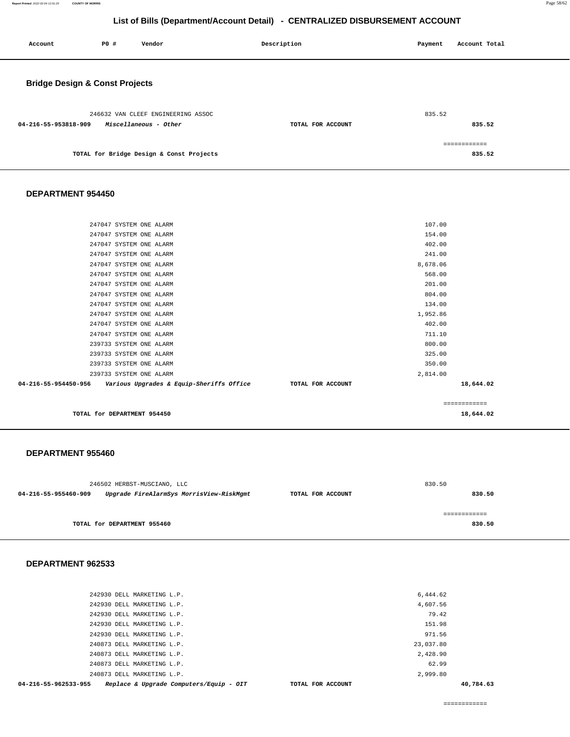| Account                                   | <b>PO #</b> | Vendor                                                      | Description       | Payment | Account Total          |
|-------------------------------------------|-------------|-------------------------------------------------------------|-------------------|---------|------------------------|
| <b>Bridge Design &amp; Const Projects</b> |             |                                                             |                   |         |                        |
| 04-216-55-953818-909                      |             | 246632 VAN CLEEF ENGINEERING ASSOC<br>Miscellaneous - Other | TOTAL FOR ACCOUNT | 835.52  | 835.52                 |
|                                           |             | TOTAL for Bridge Design & Const Projects                    |                   |         | ------------<br>835.52 |

#### **DEPARTMENT 954450**

| 04-216-55-954450-956<br>Various Upgrades & Equip-Sheriffs Office | TOTAL FOR ACCOUNT | 18,644.02 |
|------------------------------------------------------------------|-------------------|-----------|
| 239733 SYSTEM ONE ALARM                                          | 2,814.00          |           |
| 239733 SYSTEM ONE ALARM                                          | 350.00            |           |
| 239733 SYSTEM ONE ALARM                                          | 325.00            |           |
| 239733 SYSTEM ONE ALARM                                          | 800.00            |           |
| 247047 SYSTEM ONE ALARM                                          | 711.10            |           |
| 247047 SYSTEM ONE ALARM                                          | 402.00            |           |
| 247047 SYSTEM ONE ALARM                                          | 1,952.86          |           |
| 247047 SYSTEM ONE ALARM                                          | 134.00            |           |
| 247047 SYSTEM ONE ALARM                                          | 804.00            |           |
| 247047 SYSTEM ONE ALARM                                          | 201.00            |           |
| 247047 SYSTEM ONE ALARM                                          | 568.00            |           |
| 247047 SYSTEM ONE ALARM                                          | 8,678.06          |           |
| 247047 SYSTEM ONE ALARM                                          | 241.00            |           |
| 247047 SYSTEM ONE ALARM                                          | 402.00            |           |
| 247047 SYSTEM ONE ALARM                                          | 154.00            |           |
| 247047 SYSTEM ONE ALARM                                          | 107.00            |           |
|                                                                  |                   |           |

**TOTAL for DEPARTMENT 954450 18,644.02**

#### **DEPARTMENT 955460**

|                      | 246502 HERBST-MUSCIANO, LLC              |                   | 830.50      |
|----------------------|------------------------------------------|-------------------|-------------|
| 04-216-55-955460-909 | Upgrade FireAlarmSys MorrisView-RiskMgmt | TOTAL FOR ACCOUNT | 830.50      |
|                      |                                          |                   |             |
|                      |                                          |                   | ----------- |
|                      | TOTAL for DEPARTMENT 955460              |                   | 830.50      |
|                      |                                          |                   |             |

#### **DEPARTMENT 962533**

| 04-216-55-962533-955       | Replace & Upgrade Computers/Equip - OIT | TOTAL FOR ACCOUNT |           | 40,784.63 |
|----------------------------|-----------------------------------------|-------------------|-----------|-----------|
| 240873 DELL MARKETING L.P. |                                         |                   | 2,999.80  |           |
| 240873 DELL MARKETING L.P. |                                         |                   | 62.99     |           |
| 240873 DELL MARKETING L.P. |                                         |                   | 2,428.90  |           |
| 240873 DELL MARKETING L.P. |                                         |                   | 23,037.80 |           |
| 242930 DELL MARKETING L.P. |                                         |                   | 971.56    |           |
| 242930 DELL MARKETING L.P. |                                         |                   | 151.98    |           |
| 242930 DELL MARKETING L.P. |                                         |                   | 79.42     |           |
| 242930 DELL MARKETING L.P. |                                         |                   | 4,607.56  |           |
| 242930 DELL MARKETING L.P. |                                         |                   | 6,444.62  |           |
|                            |                                         |                   |           |           |

============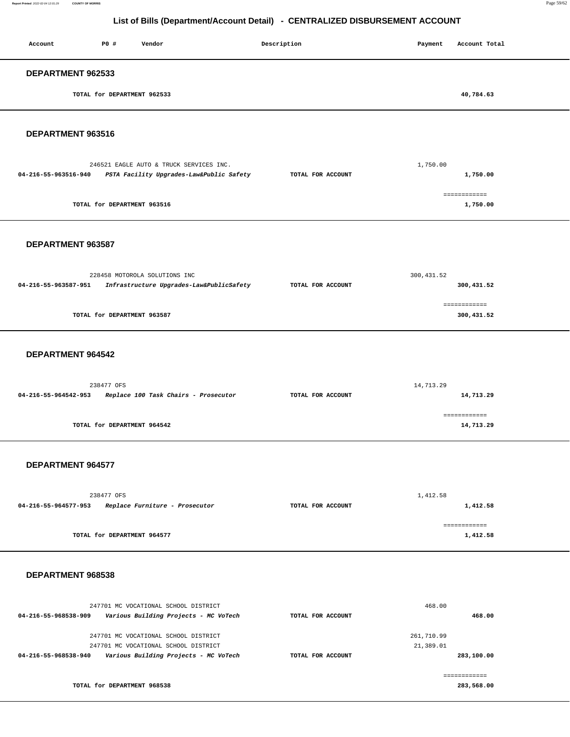#### **Report Printed** 2022-02-04 12:01:29 **COUNTY OF MORRIS** Page 59/62

| List of Bills (Department/Account Detail) - CENTRALIZED DISBURSEMENT ACCOUNT |                             |                                                                                                                       |                   |                         |                            |
|------------------------------------------------------------------------------|-----------------------------|-----------------------------------------------------------------------------------------------------------------------|-------------------|-------------------------|----------------------------|
| Account                                                                      | P0 #                        | Vendor                                                                                                                | Description       | Payment                 | Account Total              |
| DEPARTMENT 962533                                                            |                             |                                                                                                                       |                   |                         |                            |
|                                                                              | TOTAL for DEPARTMENT 962533 |                                                                                                                       |                   |                         | 40,784.63                  |
| DEPARTMENT 963516                                                            |                             |                                                                                                                       |                   |                         |                            |
| 04-216-55-963516-940                                                         |                             | 246521 EAGLE AUTO & TRUCK SERVICES INC.<br>PSTA Facility Upgrades-Law&Public Safety                                   | TOTAL FOR ACCOUNT | 1,750.00                | 1,750.00                   |
|                                                                              | TOTAL for DEPARTMENT 963516 |                                                                                                                       |                   |                         | ------------<br>1,750.00   |
| DEPARTMENT 963587                                                            |                             |                                                                                                                       |                   |                         |                            |
| 04-216-55-963587-951                                                         |                             | 228458 MOTOROLA SOLUTIONS INC<br>Infrastructure Upgrades-Law&PublicSafety                                             | TOTAL FOR ACCOUNT | 300, 431.52             | 300, 431.52                |
|                                                                              | TOTAL for DEPARTMENT 963587 |                                                                                                                       |                   |                         | ============<br>300,431.52 |
| DEPARTMENT 964542                                                            |                             |                                                                                                                       |                   |                         |                            |
| 04-216-55-964542-953                                                         | 238477 OFS                  | Replace 100 Task Chairs - Prosecutor                                                                                  | TOTAL FOR ACCOUNT | 14,713.29               | 14,713.29                  |
|                                                                              | TOTAL for DEPARTMENT 964542 |                                                                                                                       |                   |                         | ============<br>14,713.29  |
| <b>DEPARTMENT 964577</b>                                                     |                             |                                                                                                                       |                   |                         |                            |
| 04-216-55-964577-953                                                         | 238477 OFS                  | Replace Furniture - Prosecutor                                                                                        | TOTAL FOR ACCOUNT | 1,412.58                | 1,412.58                   |
|                                                                              | TOTAL for DEPARTMENT 964577 |                                                                                                                       |                   |                         | ============<br>1,412.58   |
| DEPARTMENT 968538                                                            |                             |                                                                                                                       |                   |                         |                            |
| 04-216-55-968538-909                                                         |                             | 247701 MC VOCATIONAL SCHOOL DISTRICT<br>Various Building Projects - MC VoTech                                         | TOTAL FOR ACCOUNT | 468.00                  | 468.00                     |
| 04-216-55-968538-940                                                         |                             | 247701 MC VOCATIONAL SCHOOL DISTRICT<br>247701 MC VOCATIONAL SCHOOL DISTRICT<br>Various Building Projects - MC VoTech | TOTAL FOR ACCOUNT | 261,710.99<br>21,389.01 | 283,100.00                 |
|                                                                              | TOTAL for DEPARTMENT 968538 |                                                                                                                       |                   |                         | ============<br>283,568.00 |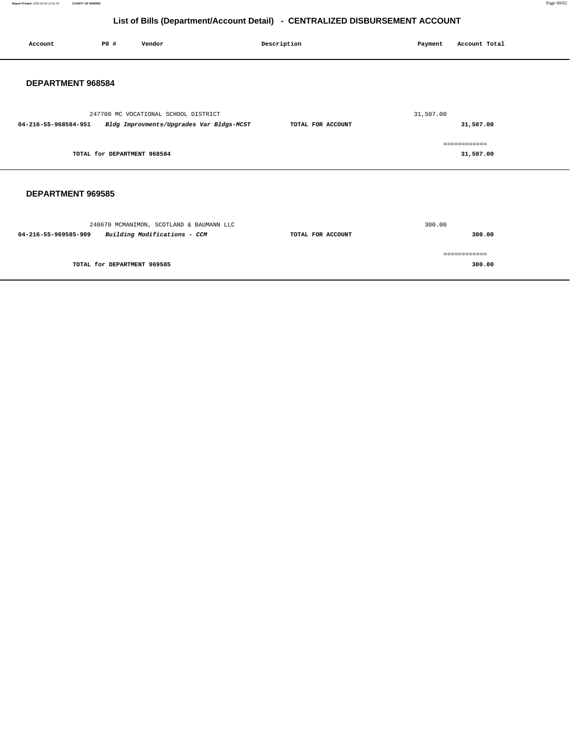**Report Printed** 2022-02-04 12:01:29 **COUNTY OF MORRIS** Page 60/62

# **List of Bills (Department/Account Detail) - CENTRALIZED DISBURSEMENT ACCOUNT**

| Account                  | P0#                         | Vendor                                                                           | Description       | Payment   | Account Total             |
|--------------------------|-----------------------------|----------------------------------------------------------------------------------|-------------------|-----------|---------------------------|
| DEPARTMENT 968584        |                             |                                                                                  |                   |           |                           |
| 04-216-55-968584-951     |                             | 247700 MC VOCATIONAL SCHOOL DISTRICT<br>Bldg Improvments/Upgrades Var Bldgs-MCST | TOTAL FOR ACCOUNT | 31,507.00 | 31,507.00                 |
|                          | TOTAL for DEPARTMENT 968584 |                                                                                  |                   |           | ============<br>31,507.00 |
| <b>DEPARTMENT 969585</b> |                             |                                                                                  |                   |           |                           |
| 04-216-55-969585-909     |                             | 248670 MCMANIMON, SCOTLAND & BAUMANN LLC<br>Building Modifications - CCM         | TOTAL FOR ACCOUNT | 300.00    | 300.00                    |
|                          | TOTAL for DEPARTMENT 969585 |                                                                                  |                   |           | ============<br>300.00    |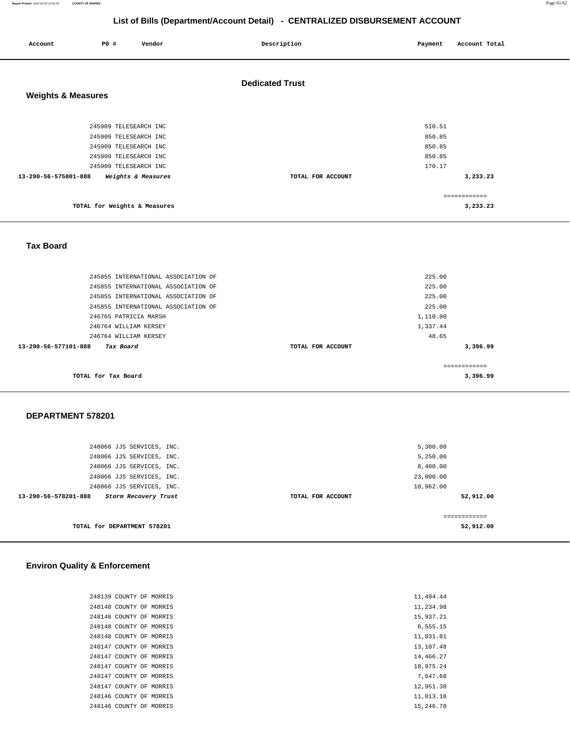**Report Printed** 2022-02-04 12:01:29 **COUNTY OF MORRIS** Page 61/62

# **List of Bills (Department/Account Detail) - CENTRALIZED DISBURSEMENT ACCOUNT**

| Account                       | P0 #                                                                                                                      | Vendor             | Description            | Payment                                        | Account Total            |
|-------------------------------|---------------------------------------------------------------------------------------------------------------------------|--------------------|------------------------|------------------------------------------------|--------------------------|
| <b>Weights &amp; Measures</b> |                                                                                                                           |                    | <b>Dedicated Trust</b> |                                                |                          |
| 13-290-56-575801-888          | 245909 TELESEARCH INC<br>245909 TELESEARCH INC<br>245909 TELESEARCH INC<br>245909 TELESEARCH INC<br>245909 TELESEARCH INC | Weights & Measures | TOTAL FOR ACCOUNT      | 510.51<br>850.85<br>850.85<br>850.85<br>170.17 | 3,233.23                 |
|                               | TOTAL for Weights & Measures                                                                                              |                    |                        |                                                | ============<br>3,233.23 |

 **Tax Board** 

| 245855 INTERNATIONAL ASSOCIATION OF | 225.00            |              |
|-------------------------------------|-------------------|--------------|
| 245855 INTERNATIONAL ASSOCIATION OF | 225.00            |              |
| 245855 INTERNATIONAL ASSOCIATION OF | 225.00            |              |
| 245855 INTERNATIONAL ASSOCIATION OF | 225.00            |              |
| 246765 PATRICIA MARSH               | 1,110.90          |              |
| 246764 WILLIAM KERSEY               | 1,337.44          |              |
| 246764 WILLIAM KERSEY               | 48.65             |              |
| 13-290-56-577101-888<br>Tax Board   | TOTAL FOR ACCOUNT | 3,396.99     |
| TOTAL for Tax Board                 |                   | <br>3,396.99 |

### **DEPARTMENT 578201**

| 248066 JJS SERVICES, INC.                    |                   | 5,300.00  |
|----------------------------------------------|-------------------|-----------|
| 248066 JJS SERVICES, INC.                    |                   | 5,250.00  |
| 248066 JJS SERVICES, INC.                    |                   | 8,400.00  |
| 248066 JJS SERVICES, INC.                    |                   | 23,000.00 |
| 248066 JJS SERVICES, INC.                    |                   | 10,962.00 |
| 13-290-56-578201-888<br>Storm Recovery Trust | TOTAL FOR ACCOUNT | 52,912.00 |
|                                              |                   |           |
|                                              |                   |           |
| TOTAL for DEPARTMENT 578201                  |                   | 52,912.00 |
|                                              |                   |           |

## **Environ Quality & Enforcement**

| 248139 COUNTY OF MORRIS |  |
|-------------------------|--|
| 248148 COUNTY OF MORRIS |  |
| 248148 COUNTY OF MORRIS |  |
| 248148 COUNTY OF MORRIS |  |
| 248148 COUNTY OF MORRIS |  |
| 248147 COUNTY OF MORRIS |  |
| 248147 COUNTY OF MORRIS |  |
| 248147 COUNTY OF MORRIS |  |
| 248147 COUNTY OF MORRIS |  |
| 248147 COUNTY OF MORRIS |  |
| 248146 COUNTY OF MORRIS |  |
| 248146 COUNTY OF MORRIS |  |